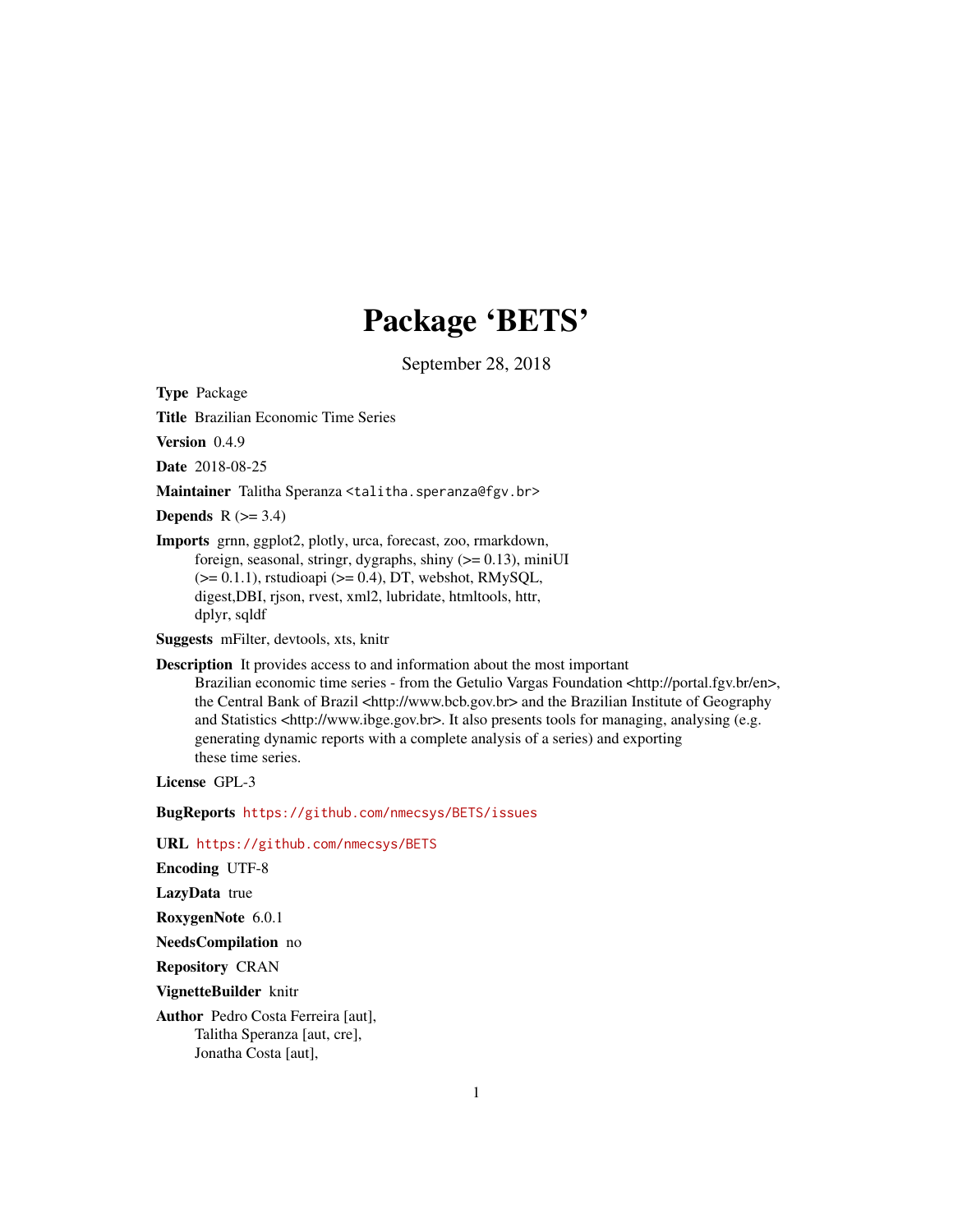# Package 'BETS'

September 28, 2018

<span id="page-0-0"></span>Type Package

Title Brazilian Economic Time Series

Version 0.4.9

Date 2018-08-25

Maintainer Talitha Speranza <talitha.speranza@fgv.br>

**Depends**  $R$  ( $>= 3.4$ )

Imports grnn, ggplot2, plotly, urca, forecast, zoo, rmarkdown, foreign, seasonal, stringr, dygraphs, shiny  $(>= 0.13)$ , miniUI  $(>= 0.1.1)$ , rstudioapi  $(>= 0.4)$ , DT, webshot, RMySQL, digest,DBI, rjson, rvest, xml2, lubridate, htmltools, httr, dplyr, sqldf

Suggests mFilter, devtools, xts, knitr

Description It provides access to and information about the most important

Brazilian economic time series - from the Getulio Vargas Foundation <http://portal.fgv.br/en>, the Central Bank of Brazil <http://www.bcb.gov.br> and the Brazilian Institute of Geography and Statistics <http://www.ibge.gov.br>. It also presents tools for managing, analysing (e.g. generating dynamic reports with a complete analysis of a series) and exporting these time series.

License GPL-3

BugReports <https://github.com/nmecsys/BETS/issues>

URL <https://github.com/nmecsys/BETS>

Encoding UTF-8

LazyData true

RoxygenNote 6.0.1

NeedsCompilation no

Repository CRAN

VignetteBuilder knitr

Author Pedro Costa Ferreira [aut], Talitha Speranza [aut, cre], Jonatha Costa [aut],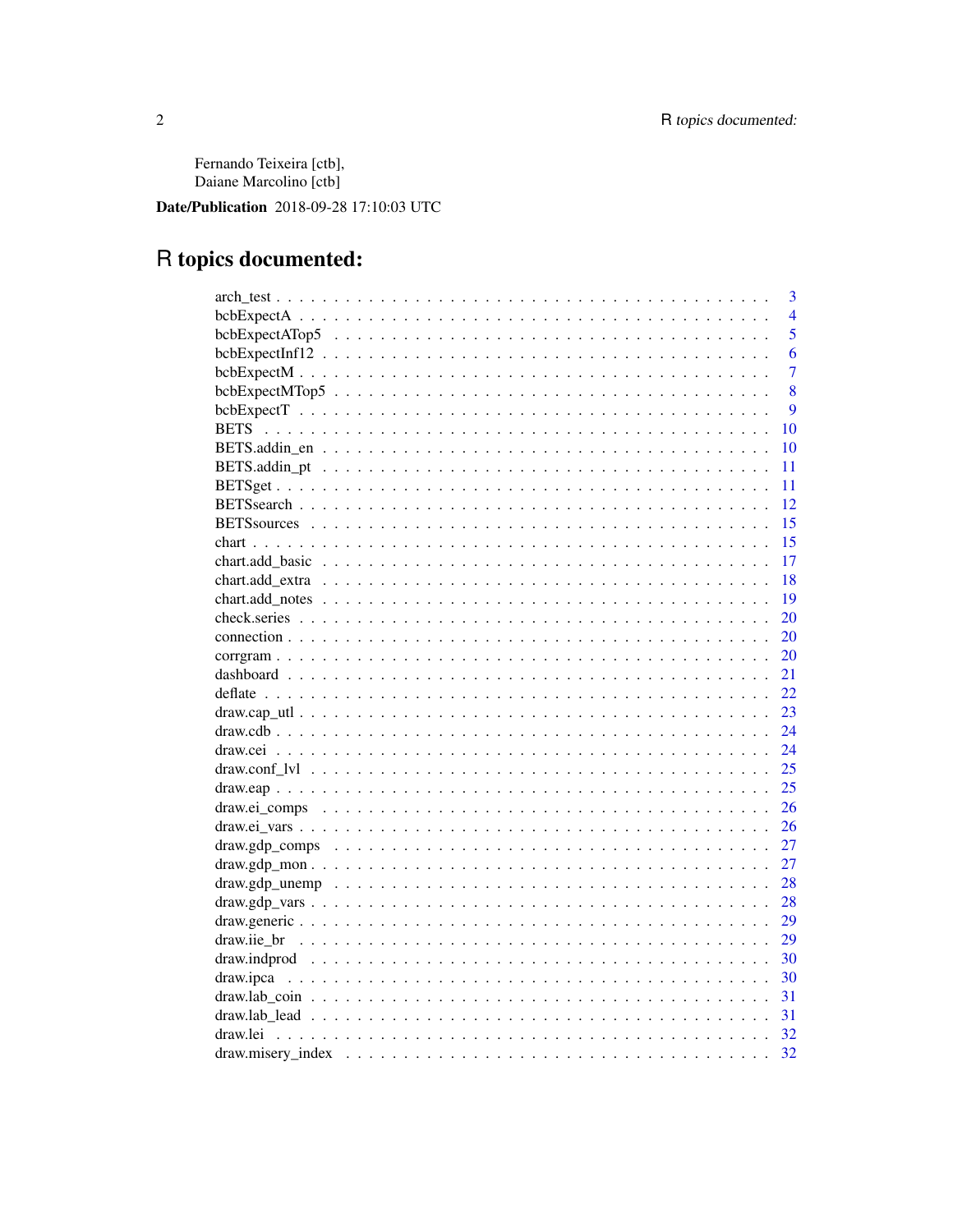Fernando Teixeira [ctb], Daiane Marcolino [ctb]

Date/Publication 2018-09-28 17:10:03 UTC

# R topics documented:

|             | 3              |
|-------------|----------------|
|             | $\overline{4}$ |
|             | 5              |
|             | 6              |
|             | $\overline{7}$ |
|             | 8              |
|             | 9              |
| <b>BETS</b> | 10             |
|             | 10             |
|             | 11             |
|             | 11             |
|             | 12             |
|             | 15             |
|             | 15             |
|             | 17             |
|             | 18             |
|             | 19             |
|             | 20             |
|             | 20             |
|             | 20             |
| 21          |                |
|             | 22             |
|             | 23             |
|             | 24             |
|             | 24             |
|             | 25             |
| 25          |                |
|             | 26             |
|             | 26             |
|             | 27             |
|             | 27             |
| 28          |                |
| 28          |                |
|             | 29             |
| 29          |                |
|             | 30             |
| 30          |                |
| 31          |                |
| 31          |                |
| 32          |                |
| 32          |                |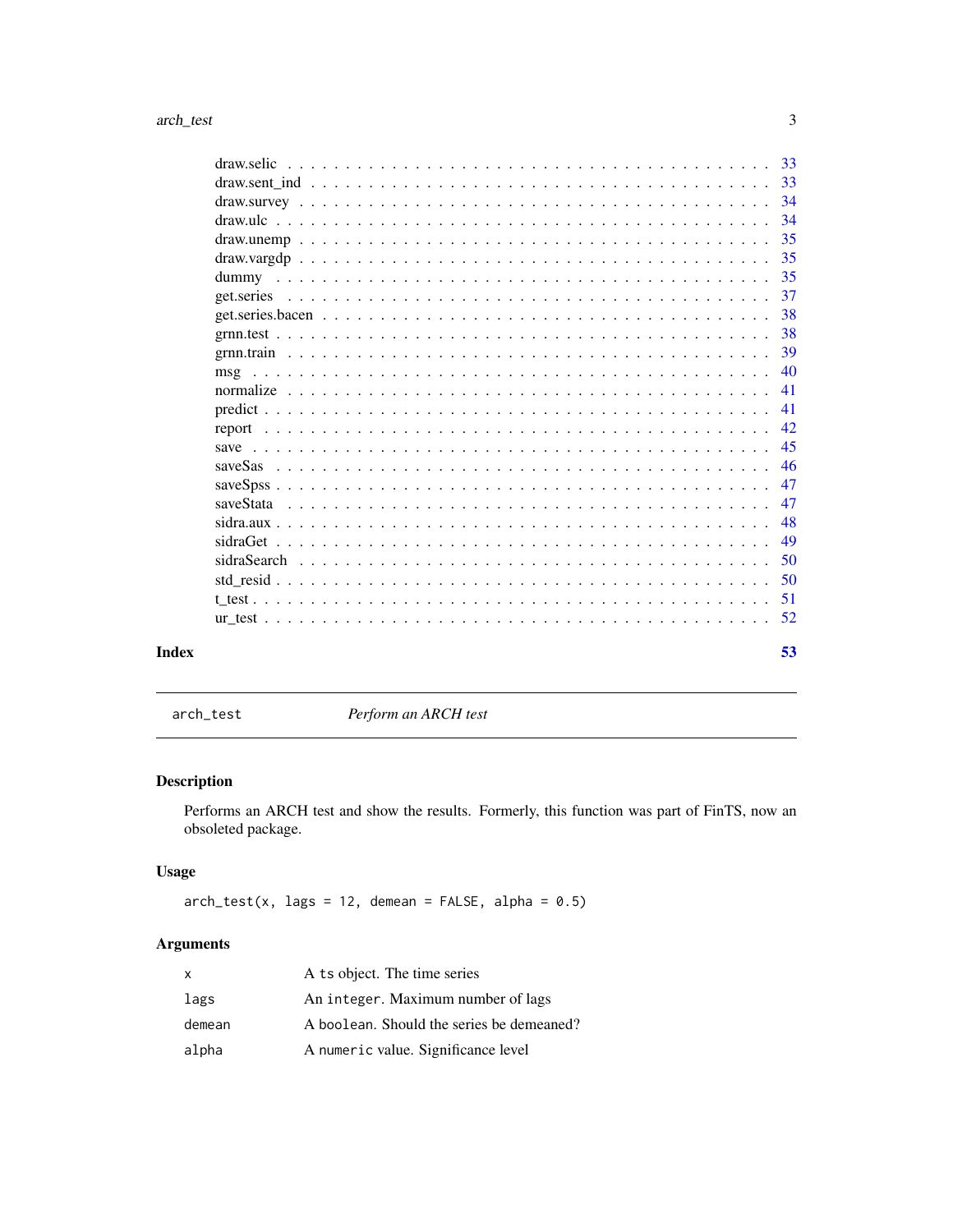<span id="page-2-0"></span>

|       | 34  |
|-------|-----|
|       |     |
|       | 35  |
|       | -35 |
|       | 37  |
|       |     |
|       |     |
|       | -39 |
|       | 40  |
|       | -41 |
|       |     |
|       |     |
|       | -45 |
|       | 46  |
|       | 47  |
|       | 47  |
|       | 48  |
|       | 49  |
|       | .50 |
|       | .50 |
|       |     |
|       |     |
| Index | 53  |

<span id="page-2-1"></span>arch\_test *Perform an ARCH test*

# Description

Performs an ARCH test and show the results. Formerly, this function was part of FinTS, now an obsoleted package.

# Usage

 $arch_test(x, lags = 12, demean = FALSE, alpha = 0.5)$ 

| x      | A ts object. The time series              |
|--------|-------------------------------------------|
| lags   | An integer. Maximum number of lags        |
| demean | A boolean. Should the series be demeaned? |
| alpha  | A numeric value. Significance level       |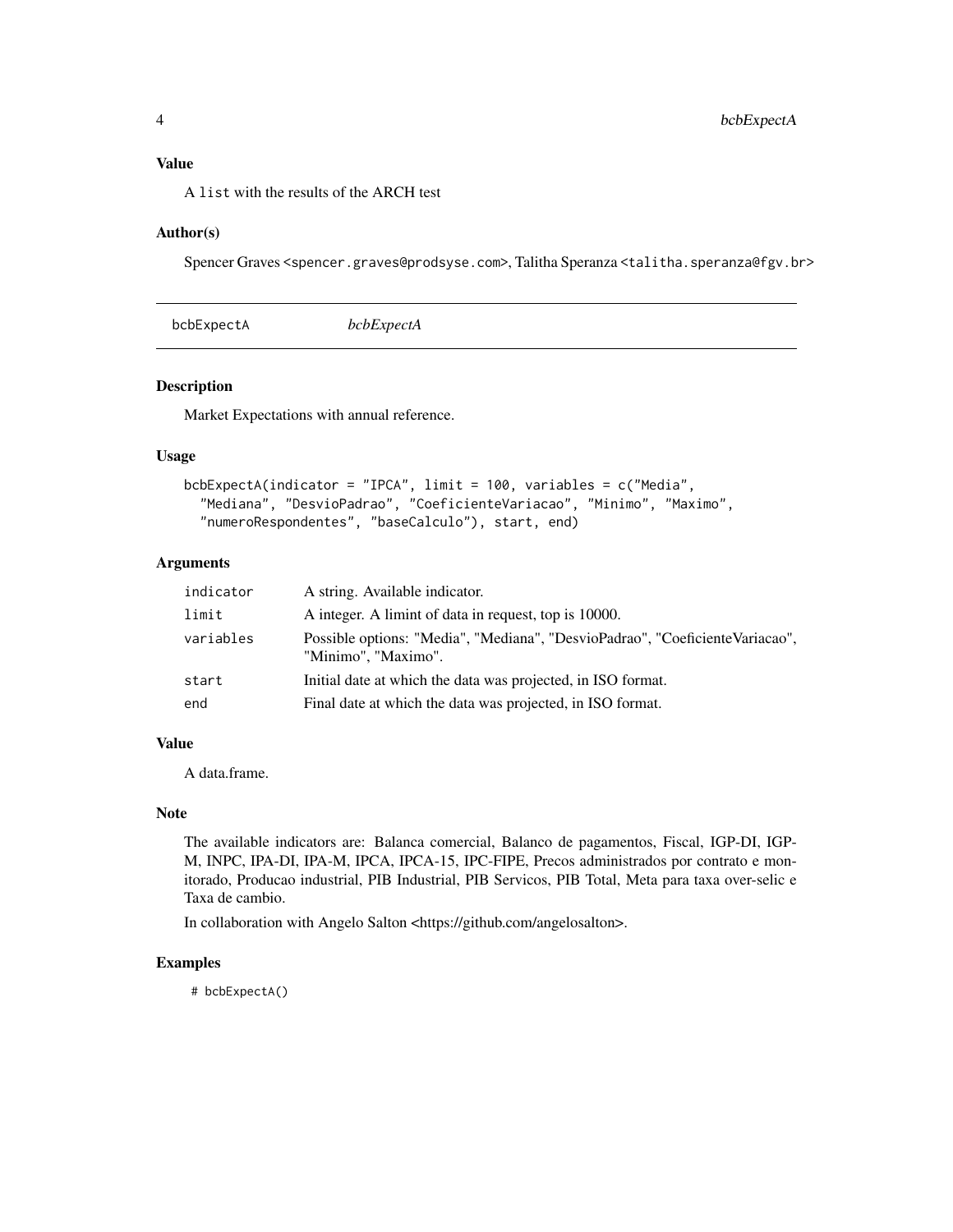#### <span id="page-3-0"></span>Value

A list with the results of the ARCH test

#### Author(s)

Spencer Graves <spencer.graves@prodsyse.com>, Talitha Speranza <talitha.speranza@fgv.br>

| bcbExpectA<br>bcbExpectA |
|--------------------------|
|--------------------------|

#### Description

Market Expectations with annual reference.

#### Usage

```
bcbExpectA(indicator = "IPCA", limit = 100, variables = c("Media",
  "Mediana", "DesvioPadrao", "CoeficienteVariacao", "Minimo", "Maximo",
  "numeroRespondentes", "baseCalculo"), start, end)
```
# Arguments

| indicator | A string. Available indicator.                                                                      |
|-----------|-----------------------------------------------------------------------------------------------------|
| limit     | A integer. A limint of data in request, top is 10000.                                               |
| variables | Possible options: "Media", "Mediana", "DesvioPadrao", "CoeficienteVariacao",<br>"Minimo", "Maximo". |
| start     | Initial date at which the data was projected, in ISO format.                                        |
| end       | Final date at which the data was projected, in ISO format.                                          |

#### Value

A data.frame.

#### Note

The available indicators are: Balanca comercial, Balanco de pagamentos, Fiscal, IGP-DI, IGP-M, INPC, IPA-DI, IPA-M, IPCA, IPCA-15, IPC-FIPE, Precos administrados por contrato e monitorado, Producao industrial, PIB Industrial, PIB Servicos, PIB Total, Meta para taxa over-selic e Taxa de cambio.

In collaboration with Angelo Salton <https://github.com/angelosalton>.

#### Examples

# bcbExpectA()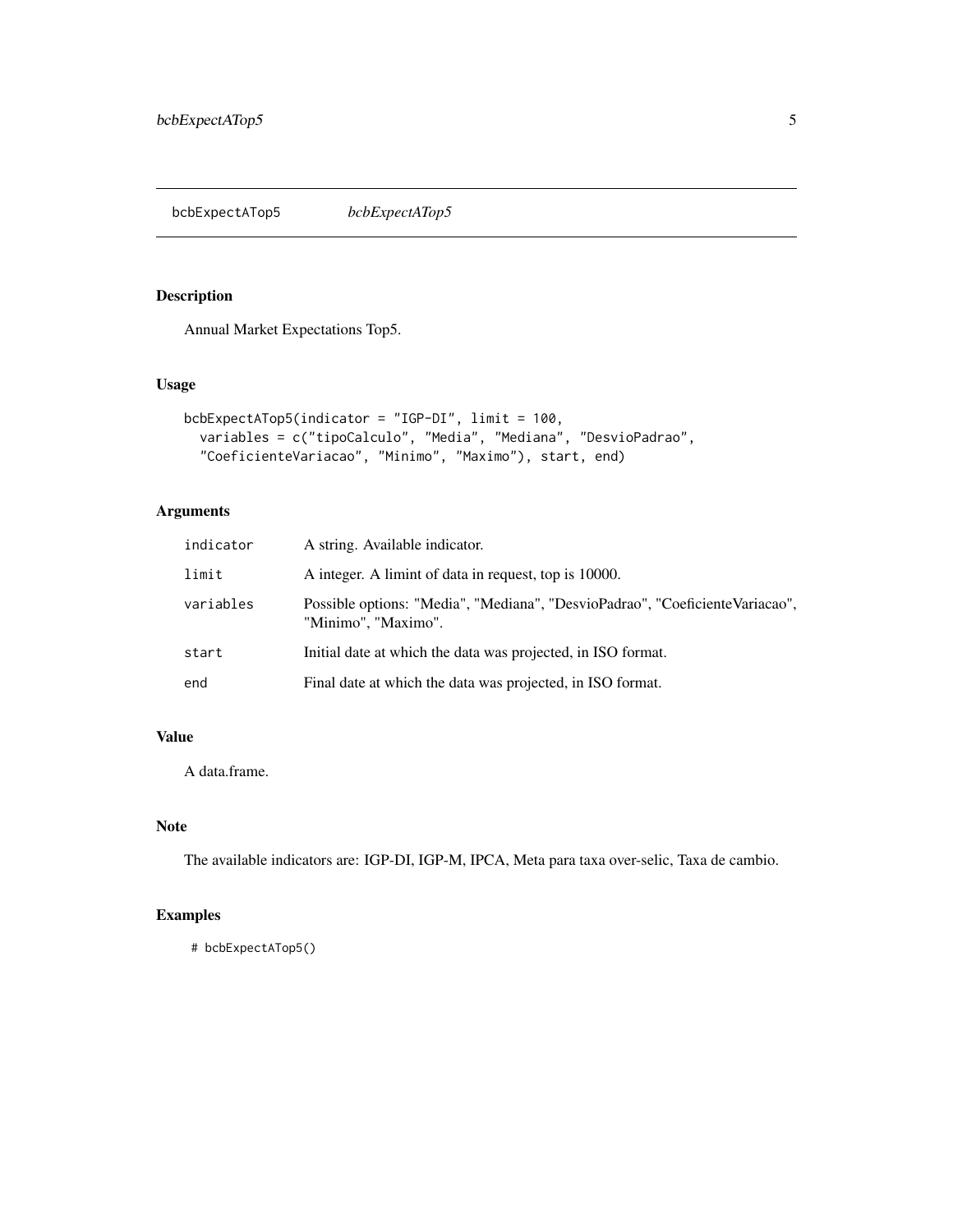<span id="page-4-0"></span>Annual Market Expectations Top5.

# Usage

```
bcbExpectATop5(indicator = "IGP-DI", limit = 100,
  variables = c("tipoCalculo", "Media", "Mediana", "DesvioPadrao",
  "CoeficienteVariacao", "Minimo", "Maximo"), start, end)
```
# Arguments

| indicator | A string. Available indicator.                                                                      |
|-----------|-----------------------------------------------------------------------------------------------------|
| limit     | A integer. A limint of data in request, top is 10000.                                               |
| variables | Possible options: "Media", "Mediana", "DesvioPadrao", "CoeficienteVariacao",<br>"Minimo", "Maximo". |
| start     | Initial date at which the data was projected, in ISO format.                                        |
| end       | Final date at which the data was projected, in ISO format.                                          |

# Value

A data.frame.

# Note

The available indicators are: IGP-DI, IGP-M, IPCA, Meta para taxa over-selic, Taxa de cambio.

# Examples

```
# bcbExpectATop5()
```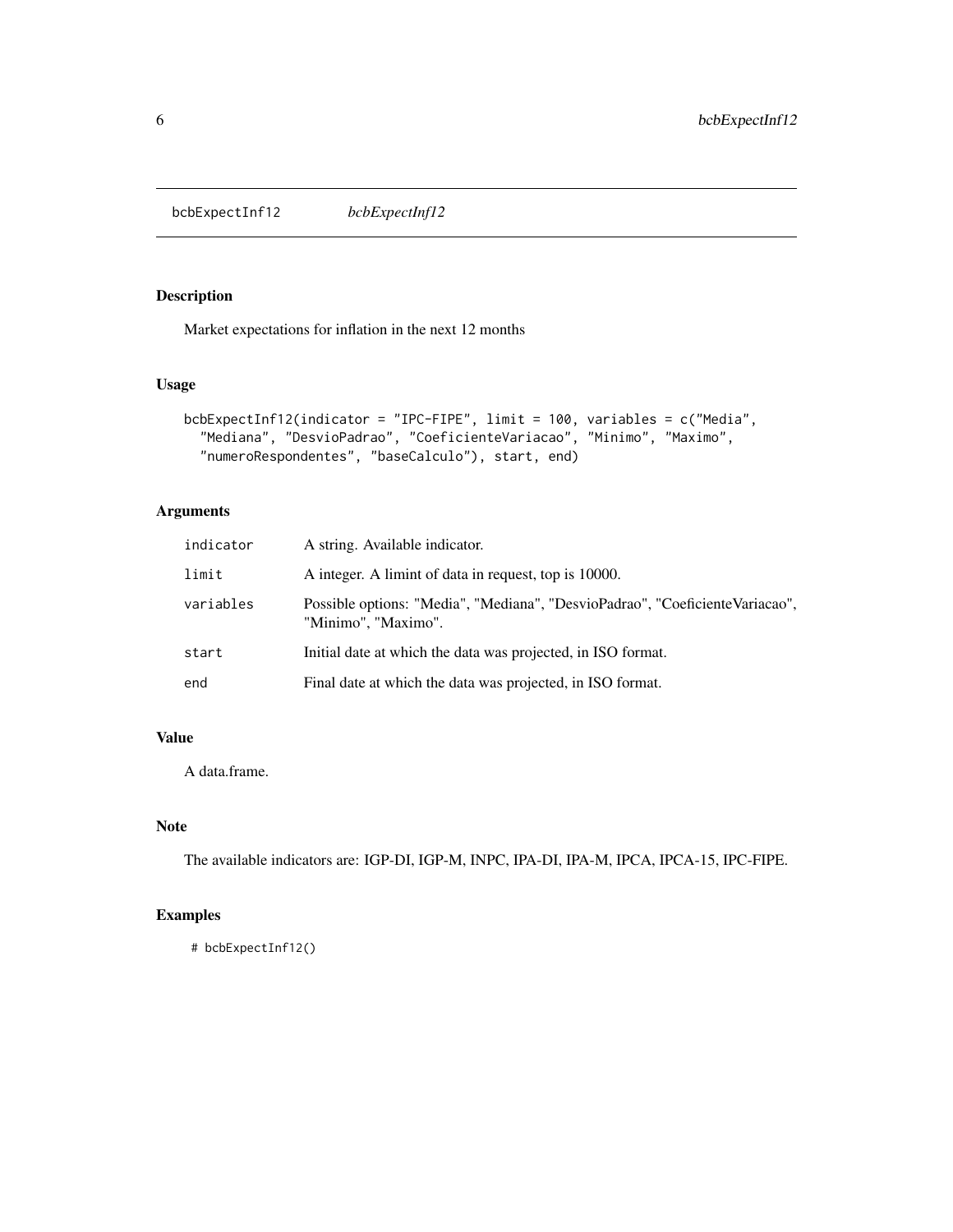<span id="page-5-0"></span>bcbExpectInf12 *bcbExpectInf12*

# Description

Market expectations for inflation in the next 12 months

#### Usage

```
bcbExpectInf12(indicator = "IPC-FIPE", limit = 100, variables = c("Media",
  "Mediana", "DesvioPadrao", "CoeficienteVariacao", "Minimo", "Maximo",
  "numeroRespondentes", "baseCalculo"), start, end)
```
# Arguments

| indicator | A string. Available indicator.                                                                      |
|-----------|-----------------------------------------------------------------------------------------------------|
| limit     | A integer. A limint of data in request, top is 10000.                                               |
| variables | Possible options: "Media", "Mediana", "DesvioPadrao", "CoeficienteVariacao",<br>"Minimo", "Maximo". |
| start     | Initial date at which the data was projected, in ISO format.                                        |
| end       | Final date at which the data was projected, in ISO format.                                          |

# Value

A data.frame.

#### Note

The available indicators are: IGP-DI, IGP-M, INPC, IPA-DI, IPA-M, IPCA, IPCA-15, IPC-FIPE.

# Examples

```
# bcbExpectInf12()
```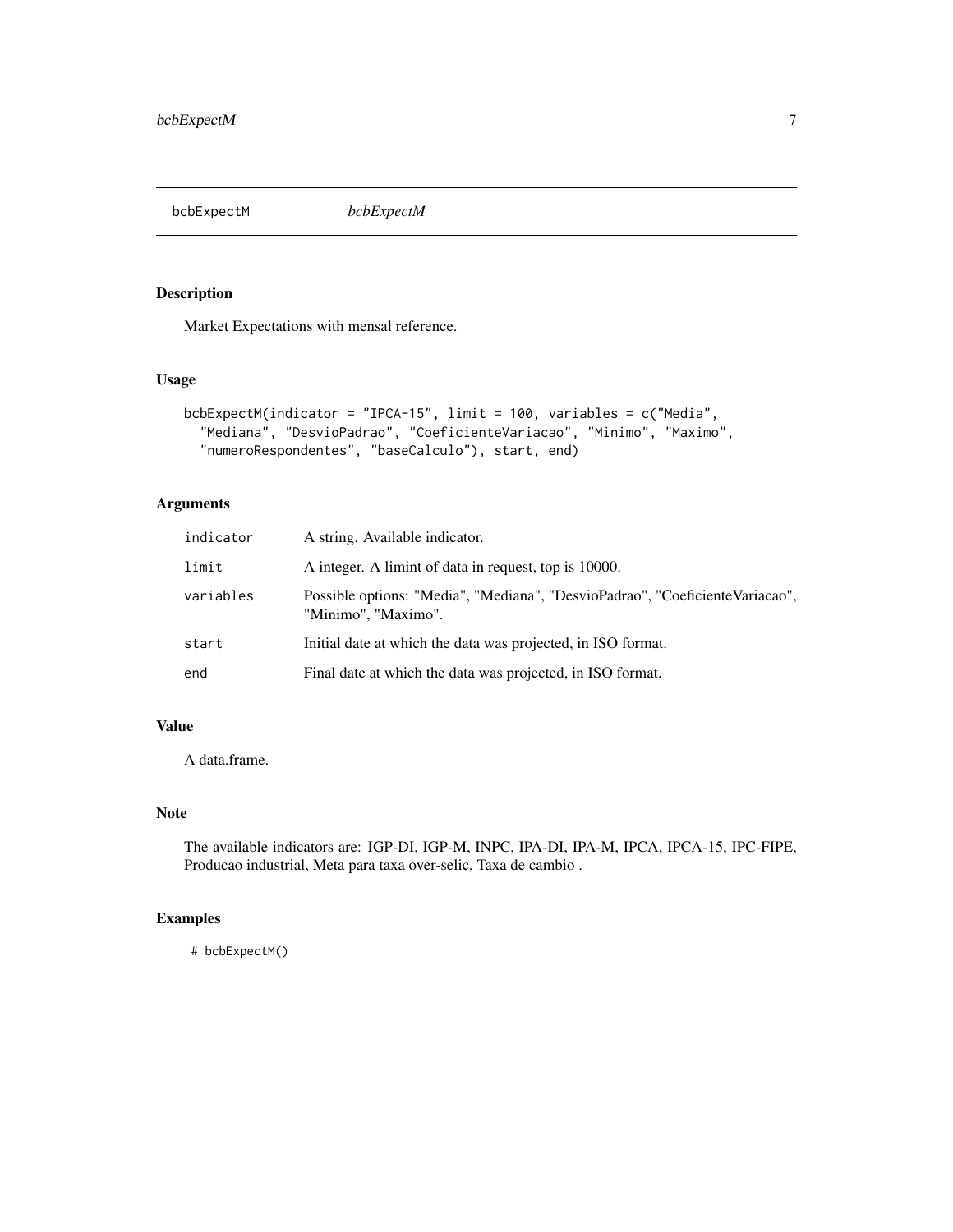<span id="page-6-0"></span>bcbExpectM *bcbExpectM*

# Description

Market Expectations with mensal reference.

#### Usage

```
bcbExpectM(indicator = "IPCA-15", limit = 100, variables = c("Media",
  "Mediana", "DesvioPadrao", "CoeficienteVariacao", "Minimo", "Maximo",
  "numeroRespondentes", "baseCalculo"), start, end)
```
# Arguments

| indicator | A string. Available indicator.                                                                      |
|-----------|-----------------------------------------------------------------------------------------------------|
| limit     | A integer. A limint of data in request, top is 10000.                                               |
| variables | Possible options: "Media", "Mediana", "DesvioPadrao", "CoeficienteVariacao",<br>"Minimo", "Maximo". |
| start     | Initial date at which the data was projected, in ISO format.                                        |
| end       | Final date at which the data was projected, in ISO format.                                          |

#### Value

A data.frame.

# Note

The available indicators are: IGP-DI, IGP-M, INPC, IPA-DI, IPA-M, IPCA, IPCA-15, IPC-FIPE, Producao industrial, Meta para taxa over-selic, Taxa de cambio .

# Examples

# bcbExpectM()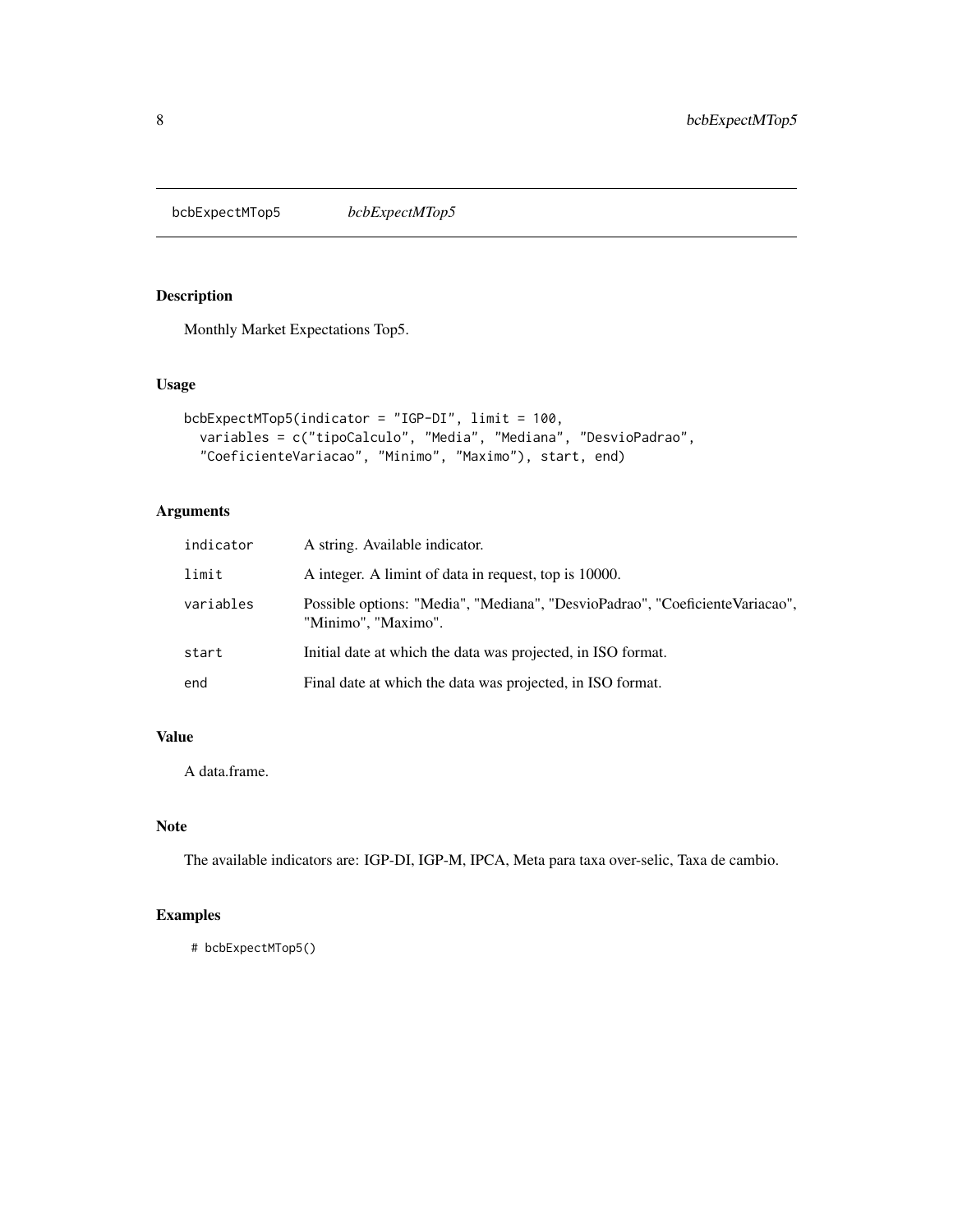<span id="page-7-0"></span>bcbExpectMTop5 *bcbExpectMTop5*

# Description

Monthly Market Expectations Top5.

### Usage

```
bcbExpectMTop5(indicator = "IGP-DI", limit = 100,
  variables = c("tipoCalculo", "Media", "Mediana", "DesvioPadrao",
  "CoeficienteVariacao", "Minimo", "Maximo"), start, end)
```
# Arguments

| indicator | A string. Available indicator.                                                                      |
|-----------|-----------------------------------------------------------------------------------------------------|
| limit     | A integer. A limint of data in request, top is 10000.                                               |
| variables | Possible options: "Media", "Mediana", "DesvioPadrao", "CoeficienteVariacao",<br>"Minimo", "Maximo". |
| start     | Initial date at which the data was projected, in ISO format.                                        |
| end       | Final date at which the data was projected, in ISO format.                                          |

# Value

A data.frame.

#### Note

The available indicators are: IGP-DI, IGP-M, IPCA, Meta para taxa over-selic, Taxa de cambio.

# Examples

```
# bcbExpectMTop5()
```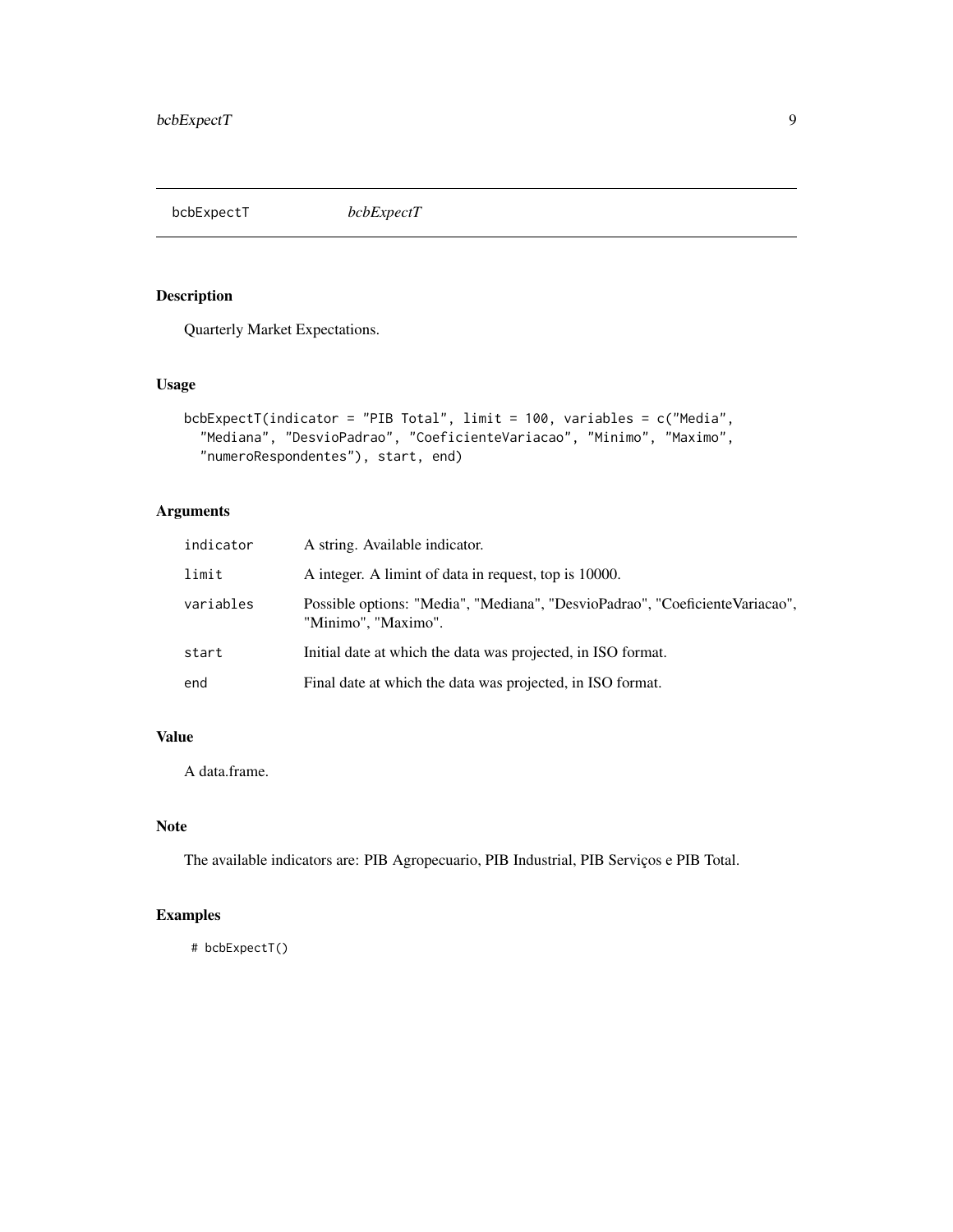<span id="page-8-0"></span>bcbExpectT *bcbExpectT*

# Description

Quarterly Market Expectations.

# Usage

```
bcbExpectT(indicator = "PIB Total", limit = 100, variables = c("Media",
  "Mediana", "DesvioPadrao", "CoeficienteVariacao", "Minimo", "Maximo",
  "numeroRespondentes"), start, end)
```
# Arguments

| indicator | A string. Available indicator.                                                                      |
|-----------|-----------------------------------------------------------------------------------------------------|
| limit     | A integer. A limint of data in request, top is 10000.                                               |
| variables | Possible options: "Media", "Mediana", "DesvioPadrao", "CoeficienteVariacao",<br>"Minimo", "Maximo". |
| start     | Initial date at which the data was projected, in ISO format.                                        |
| end       | Final date at which the data was projected, in ISO format.                                          |

# Value

A data.frame.

# Note

The available indicators are: PIB Agropecuario, PIB Industrial, PIB Serviços e PIB Total.

# Examples

# bcbExpectT()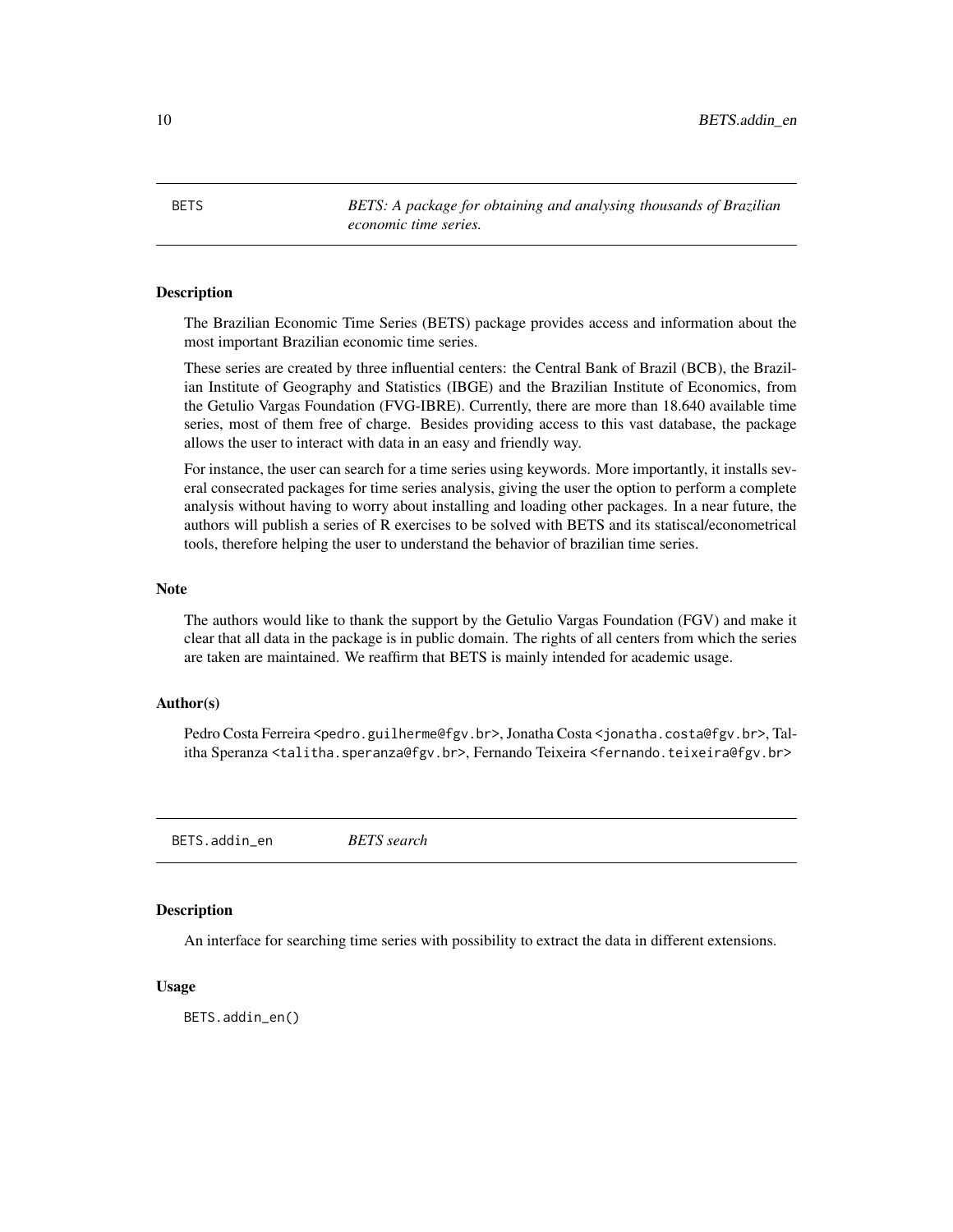<span id="page-9-0"></span>10 BETS.addin\_en

BETS *BETS: A package for obtaining and analysing thousands of Brazilian economic time series.*

#### **Description**

The Brazilian Economic Time Series (BETS) package provides access and information about the most important Brazilian economic time series.

These series are created by three influential centers: the Central Bank of Brazil (BCB), the Brazilian Institute of Geography and Statistics (IBGE) and the Brazilian Institute of Economics, from the Getulio Vargas Foundation (FVG-IBRE). Currently, there are more than 18.640 available time series, most of them free of charge. Besides providing access to this vast database, the package allows the user to interact with data in an easy and friendly way.

For instance, the user can search for a time series using keywords. More importantly, it installs several consecrated packages for time series analysis, giving the user the option to perform a complete analysis without having to worry about installing and loading other packages. In a near future, the authors will publish a series of R exercises to be solved with BETS and its statiscal/econometrical tools, therefore helping the user to understand the behavior of brazilian time series.

# **Note**

The authors would like to thank the support by the Getulio Vargas Foundation (FGV) and make it clear that all data in the package is in public domain. The rights of all centers from which the series are taken are maintained. We reaffirm that BETS is mainly intended for academic usage.

# Author(s)

Pedro Costa Ferreira <pedro.guilherme@fgv.br>, Jonatha Costa <jonatha.costa@fgv.br>, Talitha Speranza <talitha.speranza@fgv.br>, Fernando Teixeira <fernando.teixeira@fgv.br>

BETS.addin\_en *BETS search*

#### Description

An interface for searching time series with possibility to extract the data in different extensions.

#### Usage

BETS.addin\_en()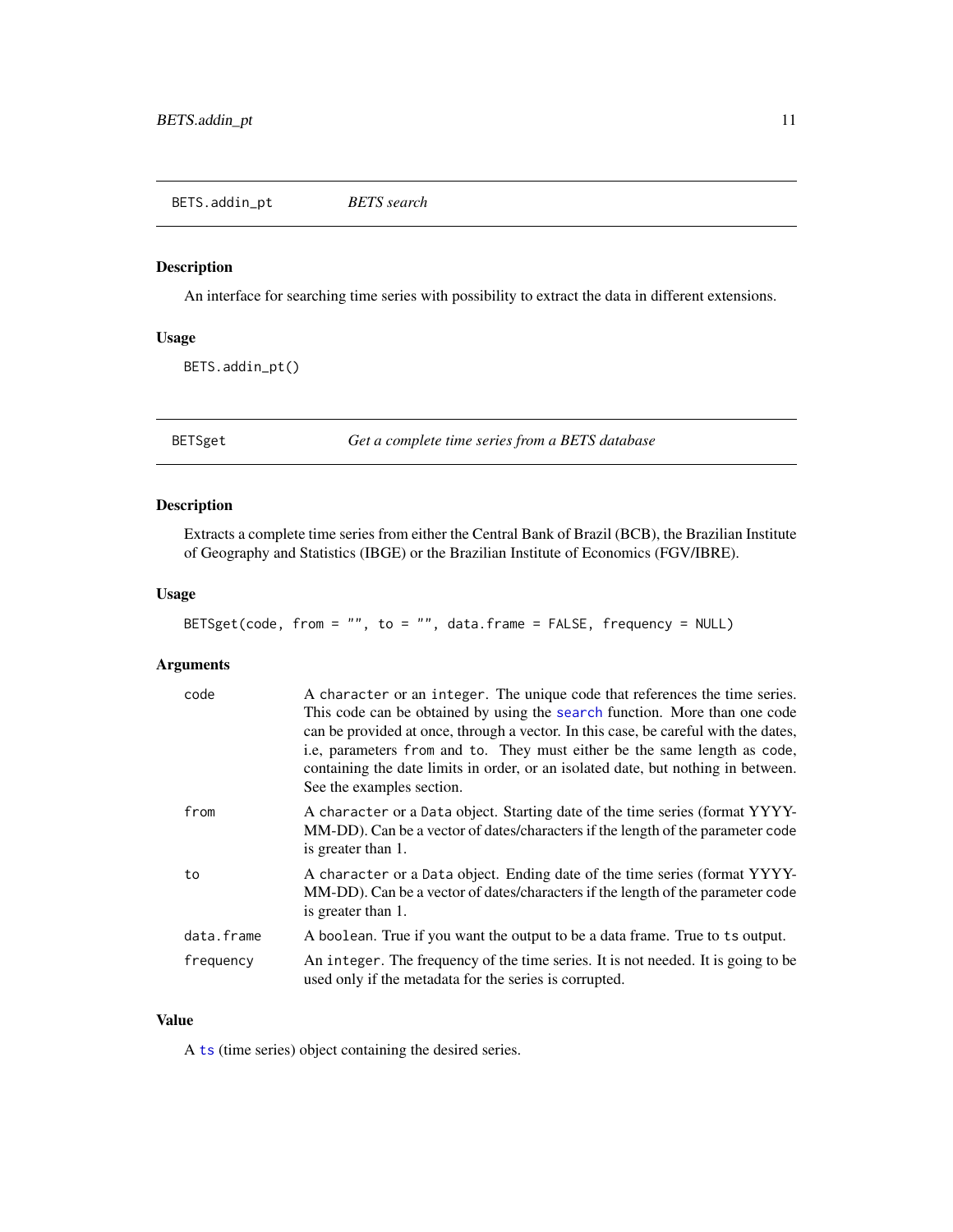<span id="page-10-0"></span>An interface for searching time series with possibility to extract the data in different extensions.

# Usage

BETS.addin\_pt()

BETSget *Get a complete time series from a BETS database*

# Description

Extracts a complete time series from either the Central Bank of Brazil (BCB), the Brazilian Institute of Geography and Statistics (IBGE) or the Brazilian Institute of Economics (FGV/IBRE).

#### Usage

```
BETSget(code, from = "", to = "", data.frame = FALSE, frequency = NULL)
```
#### Arguments

| code       | A character or an integer. The unique code that references the time series.<br>This code can be obtained by using the search function. More than one code<br>can be provided at once, through a vector. In this case, be careful with the dates,<br>i.e, parameters from and to. They must either be the same length as code,<br>containing the date limits in order, or an isolated date, but nothing in between.<br>See the examples section. |
|------------|-------------------------------------------------------------------------------------------------------------------------------------------------------------------------------------------------------------------------------------------------------------------------------------------------------------------------------------------------------------------------------------------------------------------------------------------------|
| from       | A character or a Data object. Starting date of the time series (format YYYY-<br>MM-DD). Can be a vector of dates/characters if the length of the parameter code<br>is greater than 1.                                                                                                                                                                                                                                                           |
| to         | A character or a Data object. Ending date of the time series (format YYYY-<br>MM-DD). Can be a vector of dates/characters if the length of the parameter code<br>is greater than 1.                                                                                                                                                                                                                                                             |
| data.frame | A boolean. True if you want the output to be a data frame. True to ts output.                                                                                                                                                                                                                                                                                                                                                                   |
| frequency  | An integer. The frequency of the time series. It is not needed. It is going to be<br>used only if the metadata for the series is corrupted.                                                                                                                                                                                                                                                                                                     |

# Value

A [ts](#page-0-0) (time series) object containing the desired series.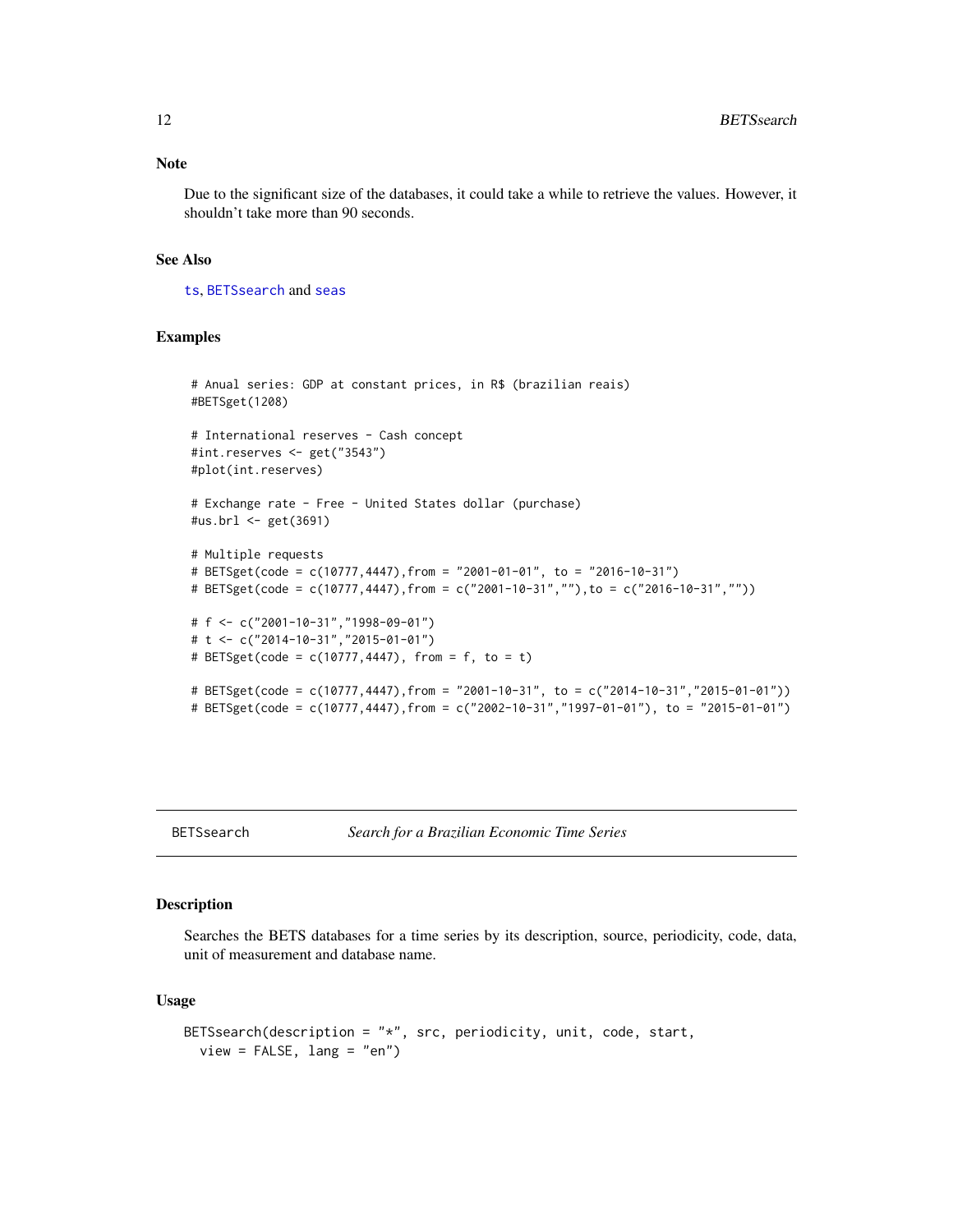<span id="page-11-0"></span>Due to the significant size of the databases, it could take a while to retrieve the values. However, it shouldn't take more than 90 seconds.

#### See Also

[ts](#page-0-0), [BETSsearch](#page-11-1) and [seas](#page-0-0)

#### Examples

```
# Anual series: GDP at constant prices, in R$ (brazilian reais)
#BETSget(1208)
# International reserves - Cash concept
#int.reserves <- get("3543")
#plot(int.reserves)
# Exchange rate - Free - United States dollar (purchase)
#us.brl <- get(3691)
# Multiple requests
# BETSget(code = c(10777,4447),from = "2001-01-01", to = "2016-10-31")
# BETSget(code = c(10777,4447),from = c("2001-10-31",""),to = c("2016-10-31",""))
# f <- c("2001-10-31","1998-09-01")
# t <- c("2014-10-31","2015-01-01")
# BETSget(code = c(10777,4447), from = f, to = t)
# BETSget(code = c(10777,4447),from = "2001-10-31", to = c("2014-10-31","2015-01-01"))
# BETSget(code = c(10777,4447),from = c("2002-10-31","1997-01-01"), to = "2015-01-01")
```
#### <span id="page-11-1"></span>BETSsearch *Search for a Brazilian Economic Time Series*

#### Description

Searches the BETS databases for a time series by its description, source, periodicity, code, data, unit of measurement and database name.

#### Usage

```
BETSsearch(description = "*", src, periodicity, unit, code, start,
  view = FALSE, lang = "en")
```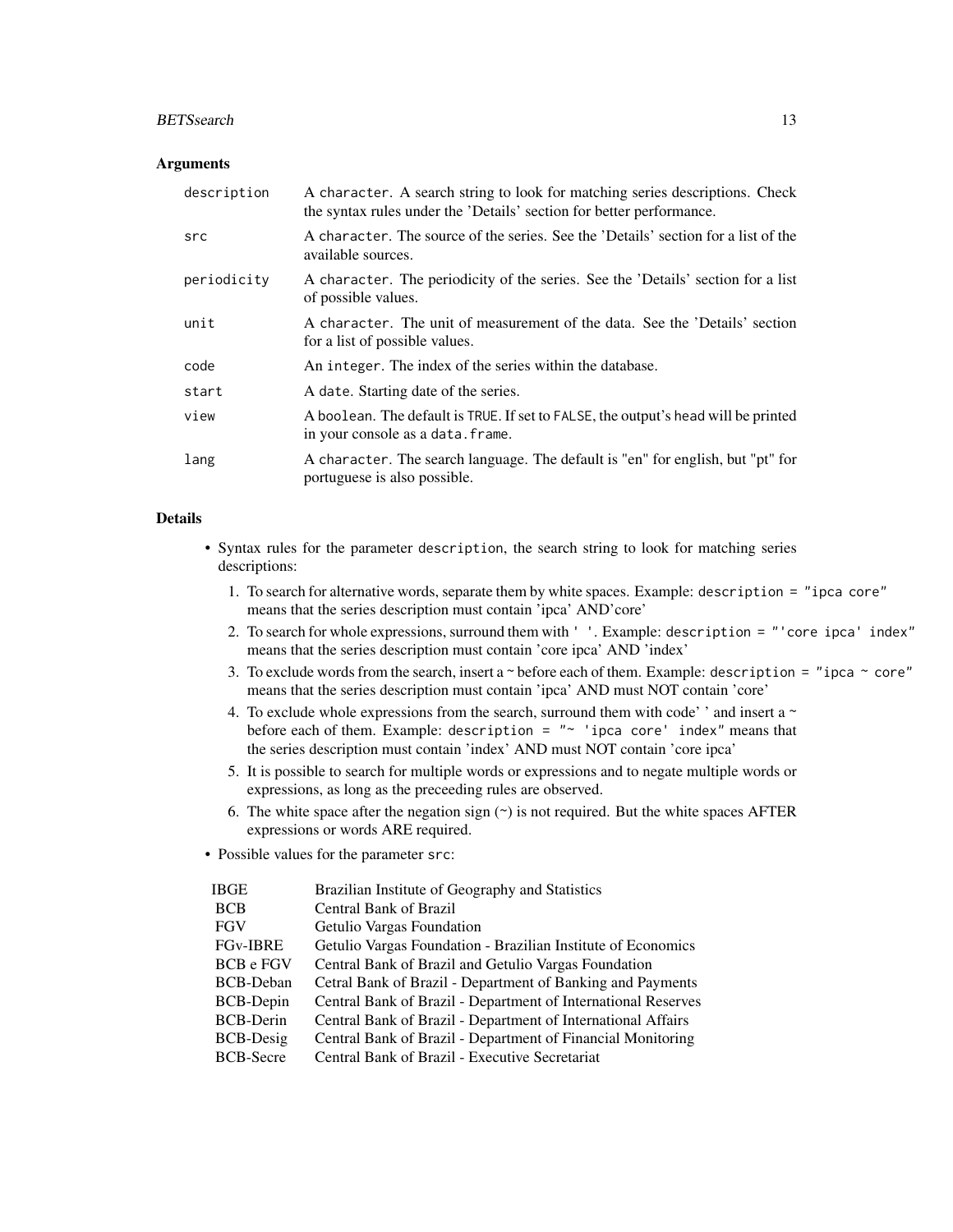#### BETSsearch 13

#### **Arguments**

| description | A character. A search string to look for matching series descriptions. Check<br>the syntax rules under the 'Details' section for better performance. |
|-------------|------------------------------------------------------------------------------------------------------------------------------------------------------|
| src         | A character. The source of the series. See the 'Details' section for a list of the<br>available sources.                                             |
| periodicity | A character. The periodicity of the series. See the 'Details' section for a list<br>of possible values.                                              |
| unit        | A character. The unit of measurement of the data. See the 'Details' section<br>for a list of possible values.                                        |
| code        | An integer. The index of the series within the database.                                                                                             |
| start       | A date. Starting date of the series.                                                                                                                 |
| view        | A boolean. The default is TRUE. If set to FALSE, the output's head will be printed<br>in your console as a data. frame.                              |
| lang        | A character. The search language. The default is "en" for english, but "pt" for<br>portuguese is also possible.                                      |

# Details

• Syntax rules for the parameter description, the search string to look for matching series descriptions:

- 1. To search for alternative words, separate them by white spaces. Example: description = "ipca core" means that the series description must contain 'ipca' AND'core'
- 2. To search for whole expressions, surround them with ' '. Example: description = "'core ipca' index" means that the series description must contain 'core ipca' AND 'index'
- 3. To exclude words from the search, insert a  $\sim$  before each of them. Example: description = "ipca  $\sim$  core" means that the series description must contain 'ipca' AND must NOT contain 'core'
- 4. To exclude whole expressions from the search, surround them with code' ' and insert a  $\sim$ before each of them. Example: description = "~ 'ipca core' index" means that the series description must contain 'index' AND must NOT contain 'core ipca'
- 5. It is possible to search for multiple words or expressions and to negate multiple words or expressions, as long as the preceeding rules are observed.
- 6. The white space after the negation sign  $(\sim)$  is not required. But the white spaces AFTER expressions or words ARE required.
- Possible values for the parameter src:

| IBGE             | Brazilian Institute of Geography and Statistics               |
|------------------|---------------------------------------------------------------|
| <b>BCB</b>       | Central Bank of Brazil                                        |
| <b>FGV</b>       | Getulio Vargas Foundation                                     |
| <b>FGv-IBRE</b>  | Getulio Vargas Foundation - Brazilian Institute of Economics  |
| <b>BCB</b> e FGV | Central Bank of Brazil and Getulio Vargas Foundation          |
| <b>BCB-Deban</b> | Cetral Bank of Brazil - Department of Banking and Payments    |
| <b>BCB-Depin</b> | Central Bank of Brazil - Department of International Reserves |
| <b>BCB-Derin</b> | Central Bank of Brazil - Department of International Affairs  |
| <b>BCB-Desig</b> | Central Bank of Brazil - Department of Financial Monitoring   |
| <b>BCB-Secre</b> | Central Bank of Brazil - Executive Secretariat                |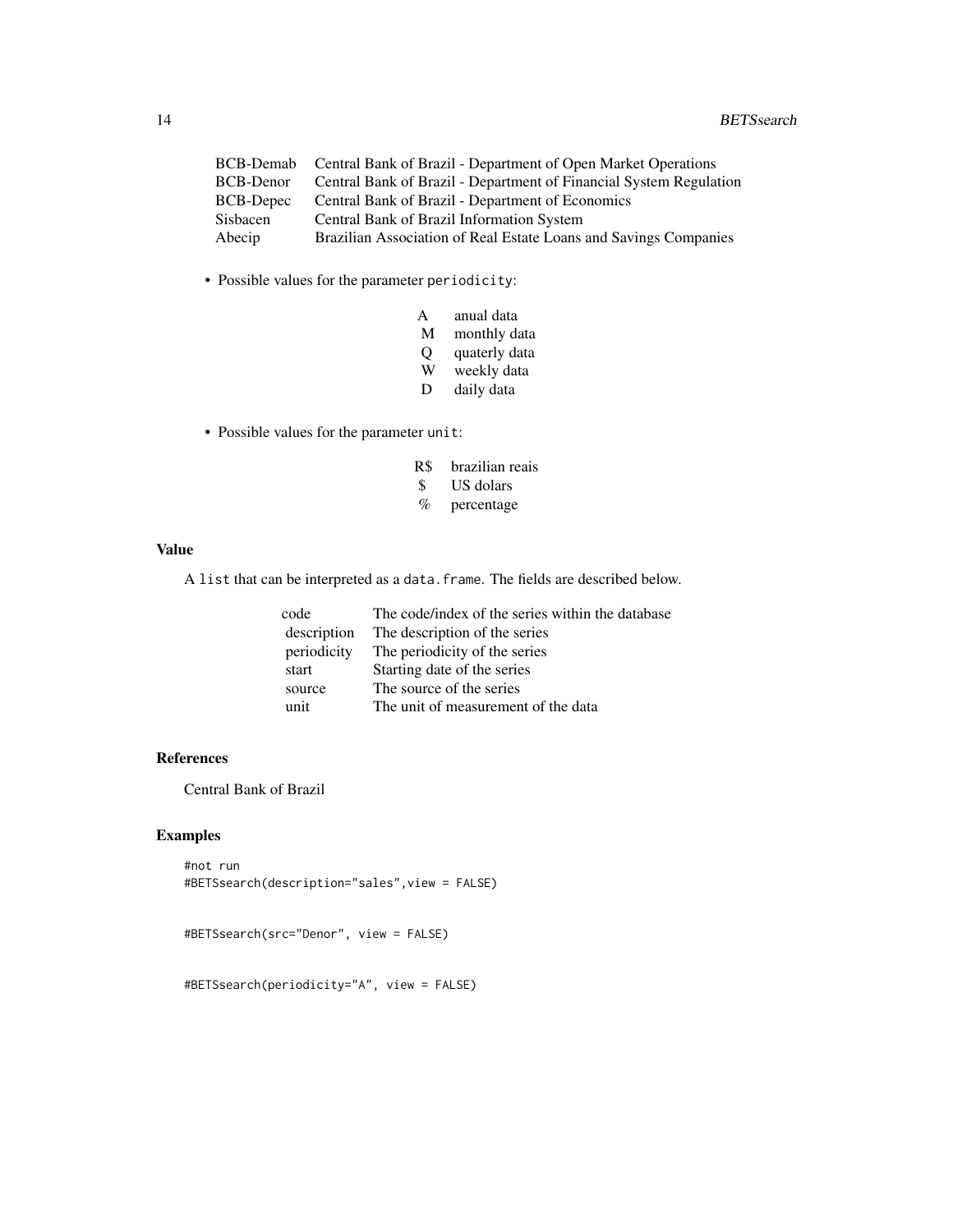| BCB-Demab | Central Bank of Brazil - Department of Open Market Operations      |
|-----------|--------------------------------------------------------------------|
| BCB-Denor | Central Bank of Brazil - Department of Financial System Regulation |
| BCB-Depec | Central Bank of Brazil - Department of Economics                   |
| Sisbacen  | Central Bank of Brazil Information System                          |
| Abecip    | Brazilian Association of Real Estate Loans and Savings Companies   |
|           |                                                                    |

• Possible values for the parameter periodicity:

| А | anual data |  |
|---|------------|--|
|   |            |  |

- M monthly data
- Q quaterly data<br>W weekly data
- weekly data
- D daily data
- Possible values for the parameter unit:
	- R\$ brazilian reais
	- \$ US dolars
	- % percentage

#### Value

A list that can be interpreted as a data.frame. The fields are described below.

| code        | The code/index of the series within the database |
|-------------|--------------------------------------------------|
| description | The description of the series                    |
| periodicity | The periodicity of the series                    |
| start       | Starting date of the series                      |
| source      | The source of the series                         |
| unit        | The unit of measurement of the data              |

# References

Central Bank of Brazil

#### Examples

```
#not run
#BETSsearch(description="sales",view = FALSE)
```

```
#BETSsearch(src="Denor", view = FALSE)
```
#BETSsearch(periodicity="A", view = FALSE)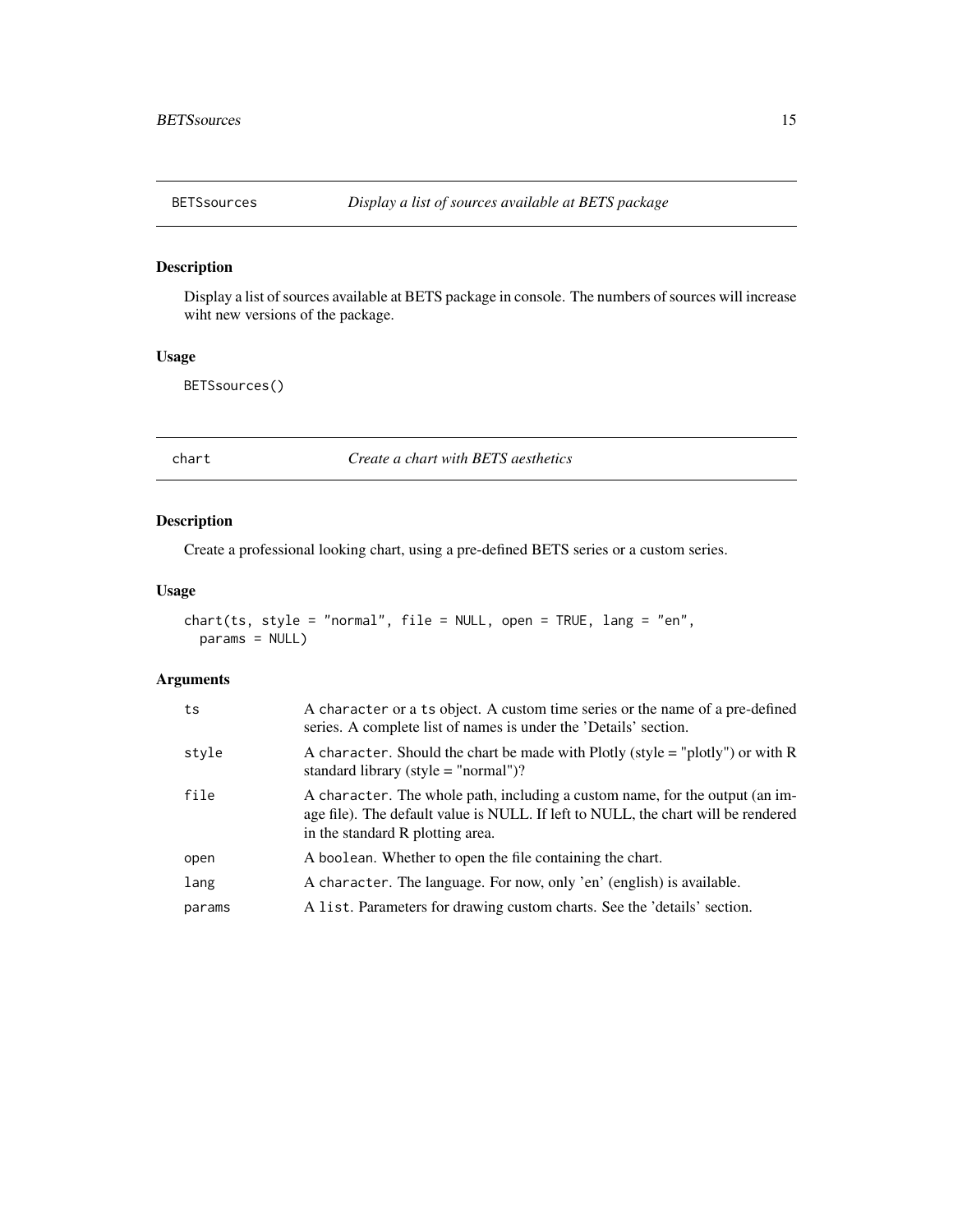<span id="page-14-0"></span>

Display a list of sources available at BETS package in console. The numbers of sources will increase wiht new versions of the package.

#### Usage

BETSsources()

<span id="page-14-1"></span>chart *Create a chart with BETS aesthetics*

# Description

Create a professional looking chart, using a pre-defined BETS series or a custom series.

#### Usage

```
chart(ts, style = "normal", file = NULL, open = TRUE, lang = "en",
 params = NULL)
```

| ts     | A character or a ts object. A custom time series or the name of a pre-defined<br>series. A complete list of names is under the 'Details' section.                                                     |
|--------|-------------------------------------------------------------------------------------------------------------------------------------------------------------------------------------------------------|
| style  | A character. Should the chart be made with Plotly (style $=$ "plotly") or with R<br>standard library (style $=$ "normal")?                                                                            |
| file   | A character. The whole path, including a custom name, for the output (an im-<br>age file). The default value is NULL. If left to NULL, the chart will be rendered<br>in the standard R plotting area. |
| open   | A boolean. Whether to open the file containing the chart.                                                                                                                                             |
| lang   | A character. The language. For now, only 'en' (english) is available.                                                                                                                                 |
| params | A list. Parameters for drawing custom charts. See the 'details' section.                                                                                                                              |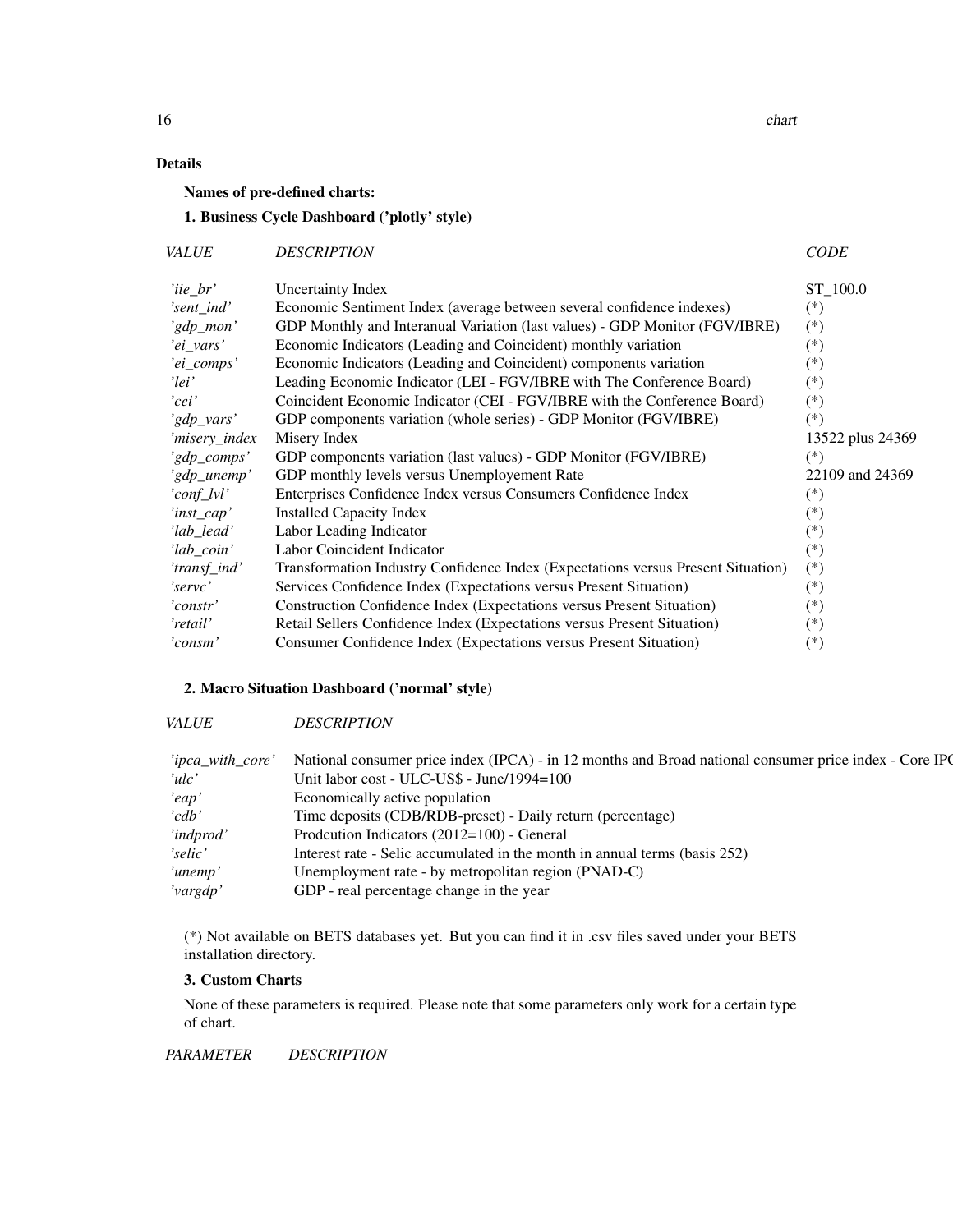16 chart control of the chart control of the chart control of the chart control of the chart control of the chart control of the chart control of the chart control of the chart control of the chart control of the chart con

# Details

Names of pre-defined charts:

# 1. Business Cycle Dashboard ('plotly' style)

| <i>VALUE</i> | <b>DESCRIPTION</b> | <i>CODE</i> |
|--------------|--------------------|-------------|
|--------------|--------------------|-------------|

| $'iie_br'$    | Uncertainty Index                                                                | ST_100.0         |
|---------------|----------------------------------------------------------------------------------|------------------|
| 'sent_ind'    | Economic Sentiment Index (average between several confidence indexes)            | $(*)$            |
| 'gdp_mon'     | GDP Monthly and Interanual Variation (last values) - GDP Monitor (FGV/IBRE)      | $(*)$            |
| 'ei_vars'     | Economic Indicators (Leading and Coincident) monthly variation                   | $(*)$            |
| 'ei_comps'    | Economic Indicators (Leading and Coincident) components variation                | $(*)$            |
| 'lei'         | Leading Economic Indicator (LEI - FGV/IBRE with The Conference Board)            | $(*)$            |
| 'cei'         | Coincident Economic Indicator (CEI - FGV/IBRE with the Conference Board)         | $(*)$            |
| 'gdp_vars'    | GDP components variation (whole series) - GDP Monitor (FGV/IBRE)                 | $(*)$            |
| 'misery_index | Misery Index                                                                     | 13522 plus 24369 |
| 'gdp_comps'   | GDP components variation (last values) - GDP Monitor (FGV/IBRE)                  | $(*)$            |
| 'gdp_unemp'   | GDP monthly levels versus Unemployement Rate                                     | 22109 and 24369  |
| 'conf_lvl'    | Enterprises Confidence Index versus Consumers Confidence Index                   | $(*)$            |
| 'inst_cap'    | <b>Installed Capacity Index</b>                                                  | $(*)$            |
| 'lab_lead'    | Labor Leading Indicator                                                          | $(*)$            |
| 'lab_coin'    | Labor Coincident Indicator                                                       | $(*)$            |
| 'transf_ind'  | Transformation Industry Confidence Index (Expectations versus Present Situation) | $(*)$            |
| 'servc'       | Services Confidence Index (Expectations versus Present Situation)                | $(*)$            |
| 'constr'      | Construction Confidence Index (Expectations versus Present Situation)            | $(*)$            |
| 'retail'      | Retail Sellers Confidence Index (Expectations versus Present Situation)          | $(*)$            |
| 'consm'       | Consumer Confidence Index (Expectations versus Present Situation)                | $(*)$            |

# 2. Macro Situation Dashboard ('normal' style)

#### *VALUE DESCRIPTION CODE*

| 'ipca_with_core' | National consumer price index (IPCA) - in 12 months and Broad national consumer price index - Core IPC |
|------------------|--------------------------------------------------------------------------------------------------------|
| 'ulc'            | Unit labor cost - ULC-US\$ - June/1994=100                                                             |
| 'eqp'            | Economically active population                                                                         |
| 'cdb'            | Time deposits (CDB/RDB-preset) - Daily return (percentage)                                             |
| 'indprod'        | Prodcution Indicators (2012=100) - General                                                             |
| 'selic'          | Interest rate - Selic accumulated in the month in annual terms (basis 252)                             |
| 'unemp'          | Unemployment rate - by metropolitan region (PNAD-C)                                                    |
| 'vargdp'         | GDP - real percentage change in the year                                                               |

(\*) Not available on BETS databases yet. But you can find it in .csv files saved under your BETS installation directory.

# 3. Custom Charts

None of these parameters is required. Please note that some parameters only work for a certain type of chart.

*PARAMETER DESCRIPTION WORKS FOR*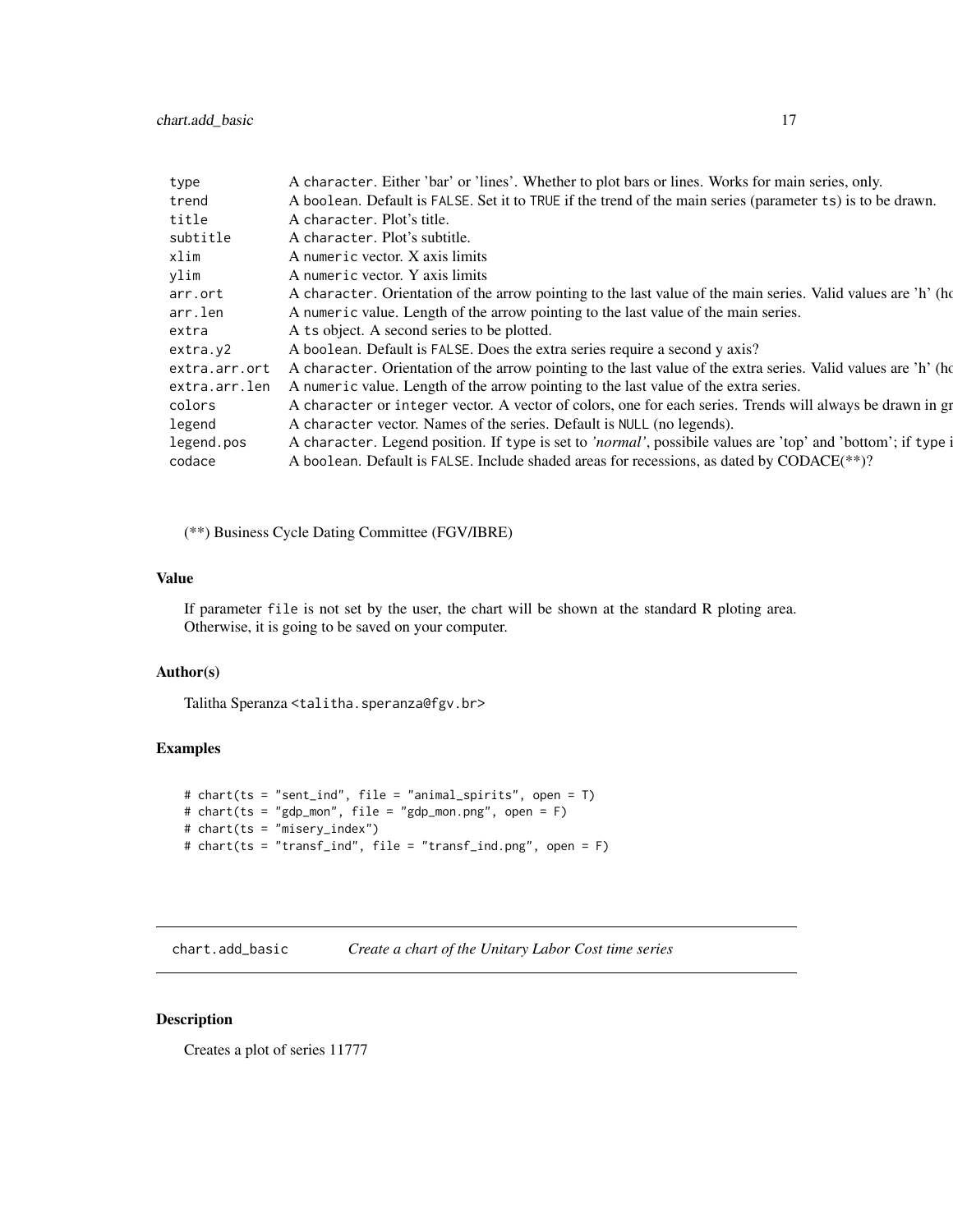<span id="page-16-0"></span>

| A character. Either 'bar' or 'lines'. Whether to plot bars or lines. Works for main series, only.              |
|----------------------------------------------------------------------------------------------------------------|
| A boolean. Default is FALSE. Set it to TRUE if the trend of the main series (parameter ts) is to be drawn.     |
| A character. Plot's title.                                                                                     |
| A character. Plot's subtitle.                                                                                  |
| A numeric vector. X axis limits                                                                                |
| A numeric vector. Y axis limits                                                                                |
| A character. Orientation of the arrow pointing to the last value of the main series. Valid values are 'h' (ho  |
| A numeric value. Length of the arrow pointing to the last value of the main series.                            |
| A ts object. A second series to be plotted.                                                                    |
| A boolean. Default is FALSE. Does the extra series require a second y axis?                                    |
| A character. Orientation of the arrow pointing to the last value of the extra series. Valid values are 'h' (ho |
| A numeric value. Length of the arrow pointing to the last value of the extra series.                           |
| A character or integer vector. A vector of colors, one for each series. Trends will always be drawn in gr      |
| A character vector. Names of the series. Default is NULL (no legends).                                         |
| A character. Legend position. If type is set to 'normal', possibile values are 'top' and 'bottom'; if type i   |
| A boolean. Default is FALSE. Include shaded areas for recessions, as dated by CODACE(**)?                      |
|                                                                                                                |

(\*\*) Business Cycle Dating Committee (FGV/IBRE)

#### Value

If parameter file is not set by the user, the chart will be shown at the standard R ploting area. Otherwise, it is going to be saved on your computer.

#### Author(s)

Talitha Speranza <talitha.speranza@fgv.br>

# Examples

```
# chart(ts = "sent_ind", file = "animal_spirits", open = T)
# chart(ts = "gdp_mon", file = "gdp_mon.png", open = F)
# chart(ts = "misery_index")
# chart(ts = "transf_ind", file = "transf_ind.png", open = F)
```
chart.add\_basic *Create a chart of the Unitary Labor Cost time series*

#### Description

Creates a plot of series 11777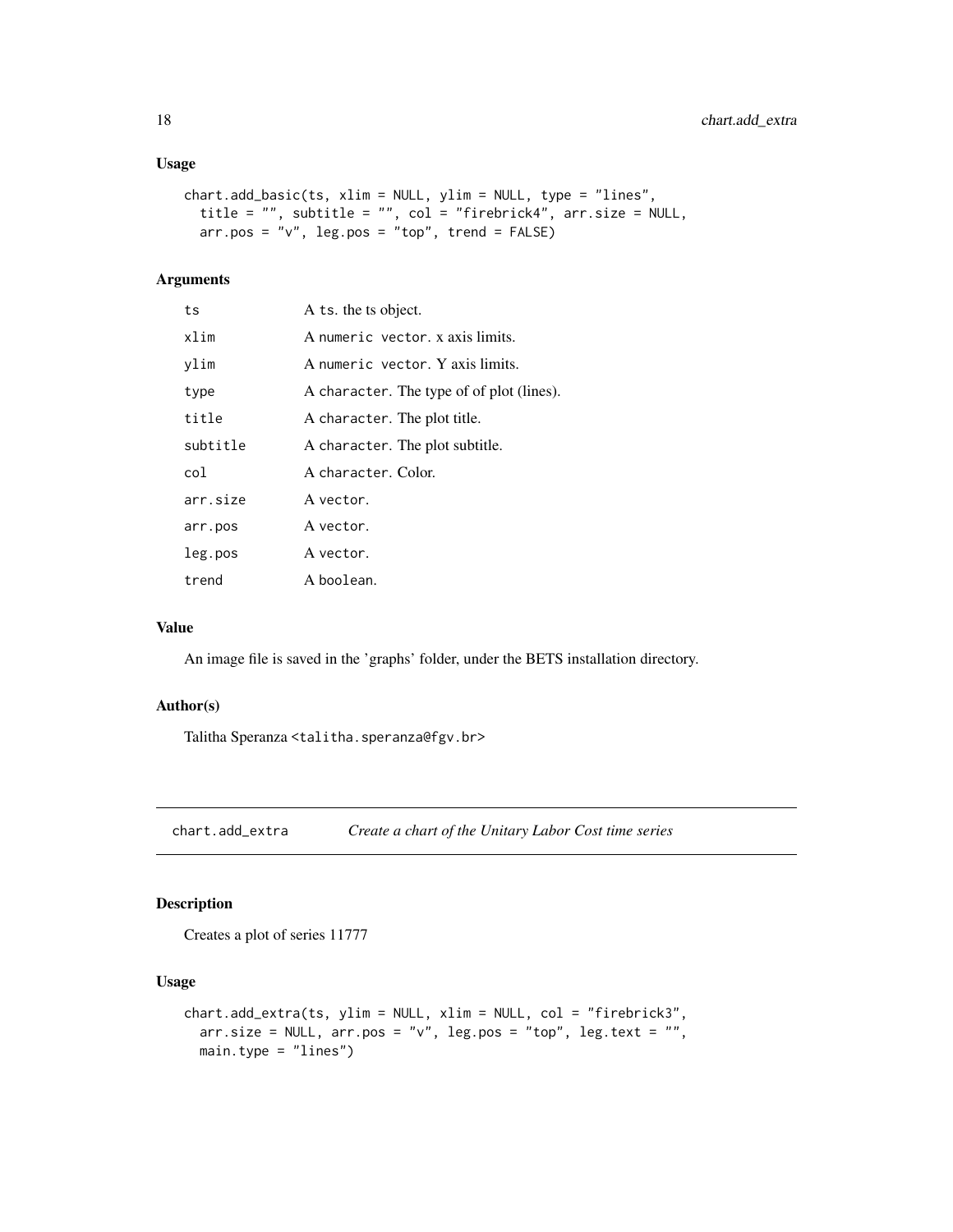#### <span id="page-17-0"></span>Usage

```
chart.add_basic(ts, xlim = NULL, ylim = NULL, type = "lines",
 title = "", subtitle = "", col = "firebrick4", arr.size = NULL,
 arr.pos = "v", leg.pos = "top", trend = FALSE)
```
# Arguments

| ts       | A ts. the ts object.                      |
|----------|-------------------------------------------|
| xlim     | A numeric vector. x axis limits.          |
| ylim     | A numeric vector. Y axis limits.          |
| type     | A character. The type of of plot (lines). |
| title    | A character. The plot title.              |
| subtitle | A character. The plot subtitle.           |
| col      | A character. Color.                       |
| arr.size | A vector.                                 |
| arr.pos  | A vector.                                 |
| leg.pos  | A vector.                                 |
| trend    | A boolean.                                |

#### Value

An image file is saved in the 'graphs' folder, under the BETS installation directory.

#### Author(s)

Talitha Speranza <talitha.speranza@fgv.br>

chart.add\_extra *Create a chart of the Unitary Labor Cost time series*

# Description

Creates a plot of series 11777

#### Usage

```
chart.add_extra(ts, ylim = NULL, xlim = NULL, col = "firebrick3",
 arr.size = NULL, arr.pos = "v", leg.pos = "top", leg.text = "",
 main.type = "lines")
```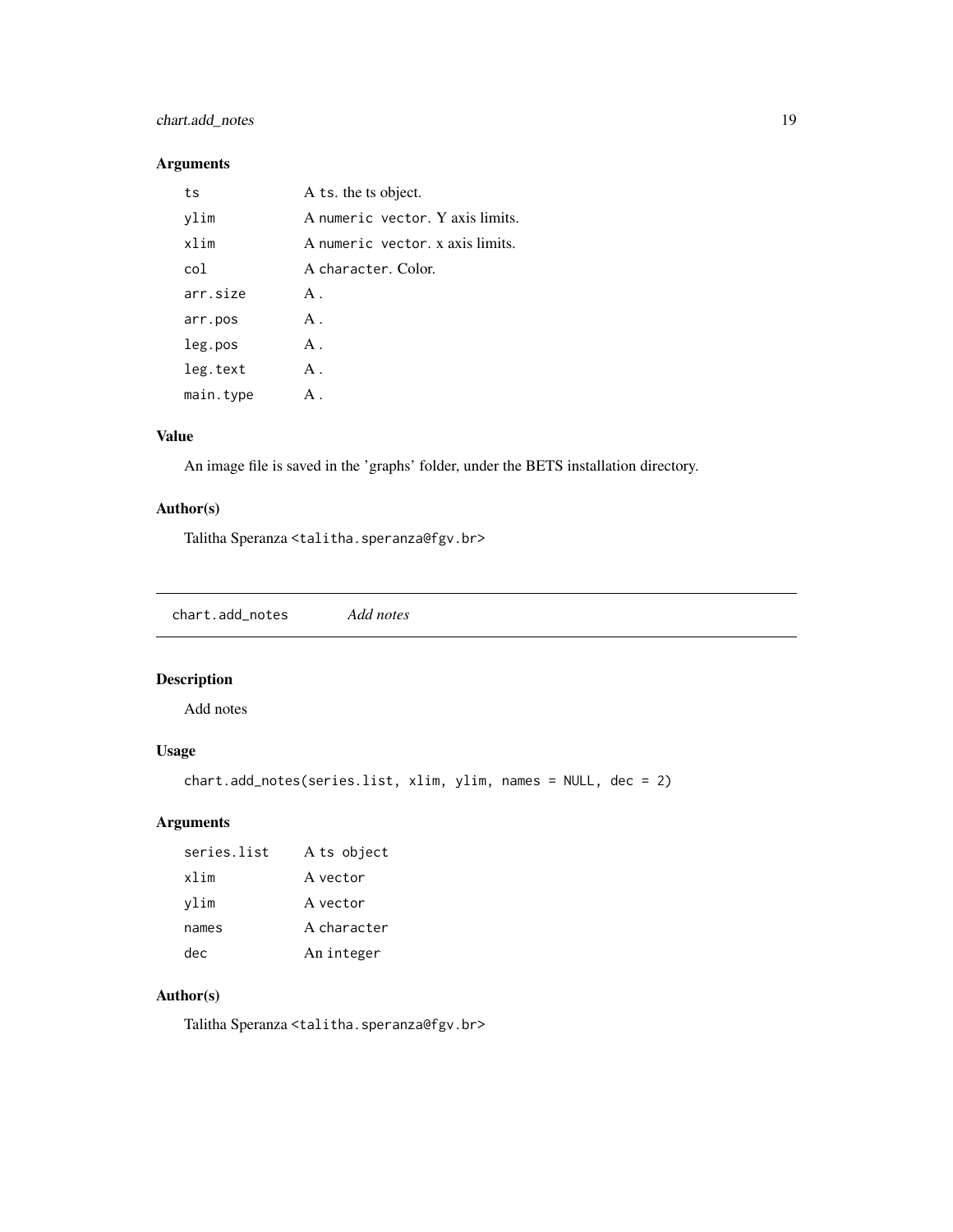# <span id="page-18-0"></span>chart.add\_notes 19

# Arguments

| ts        | A ts. the ts object.             |
|-----------|----------------------------------|
| ylim      | A numeric vector. Y axis limits. |
| xlim      | A numeric vector. x axis limits. |
| col       | A character. Color.              |
| arr.size  | $A$ .                            |
| arr.pos   | A.                               |
| leg.pos   | A.                               |
| leg.text  | $A$ .                            |
| main.type | $A$ .                            |

# Value

An image file is saved in the 'graphs' folder, under the BETS installation directory.

# Author(s)

Talitha Speranza <talitha.speranza@fgv.br>

chart.add\_notes *Add notes*

# Description

Add notes

# Usage

```
chart.add_notes(series.list, xlim, ylim, names = NULL, dec = 2)
```
# Arguments

| series list | A ts object |
|-------------|-------------|
| xlim        | A vector    |
| vlim        | A vector    |
| names       | A character |
| dec.        | An integer  |

# Author(s)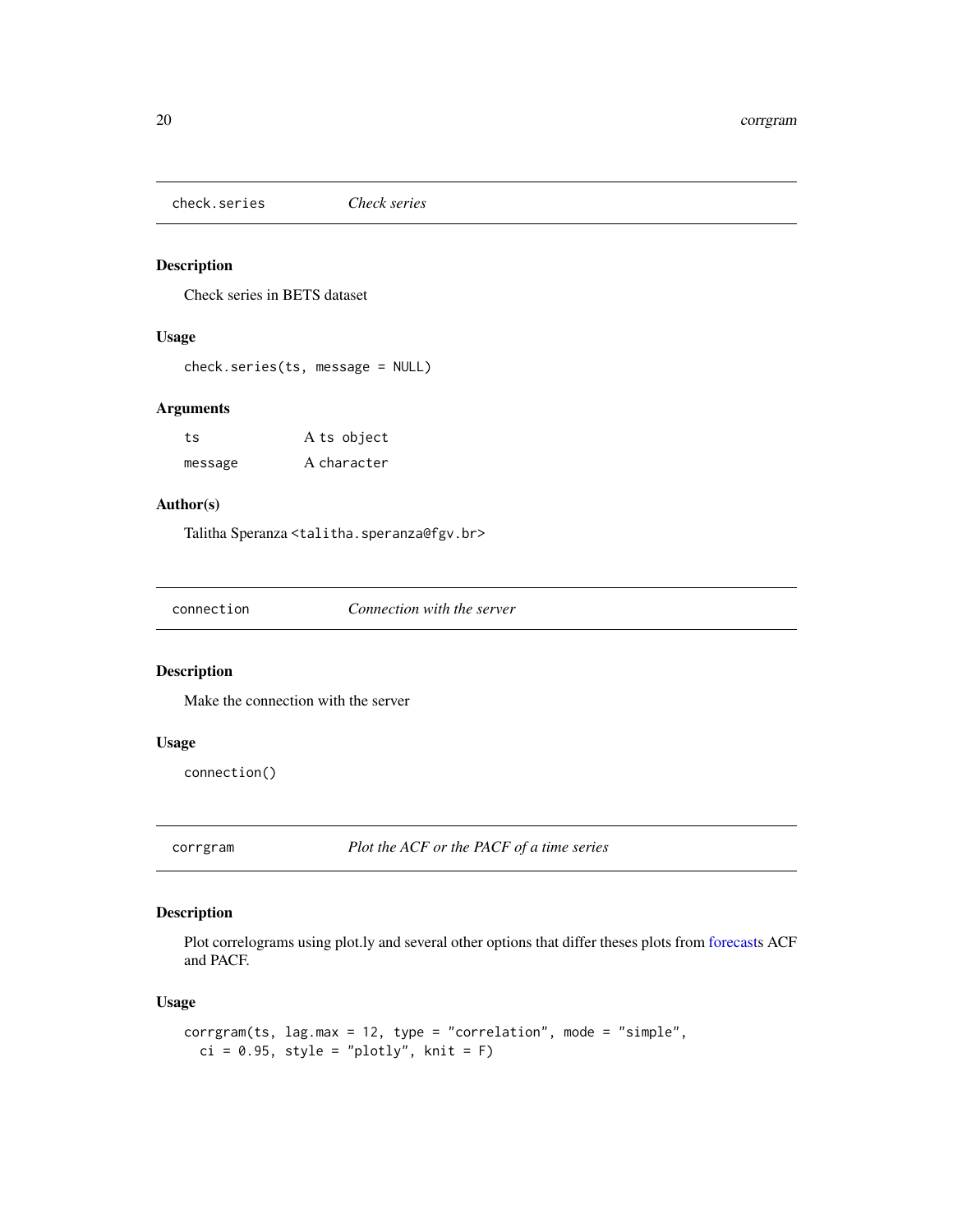<span id="page-19-0"></span>check.series *Check series*

# Description

Check series in BETS dataset

# Usage

```
check.series(ts, message = NULL)
```
# Arguments

| ts      | A ts object |
|---------|-------------|
| message | A character |

# Author(s)

Talitha Speranza <talitha.speranza@fgv.br>

| connection | Connection with the server |
|------------|----------------------------|
|------------|----------------------------|

#### Description

Make the connection with the server

#### Usage

connection()

corrgram *Plot the ACF or the PACF of a time series*

# Description

Plot correlograms using plot.ly and several other options that differ theses plots from [forecasts](#page-0-0) ACF and PACF.

#### Usage

```
corrgram(ts, lag.max = 12, type = "correlation", mode = "simple",
 ci = 0.95, style = "plotly", knit = F)
```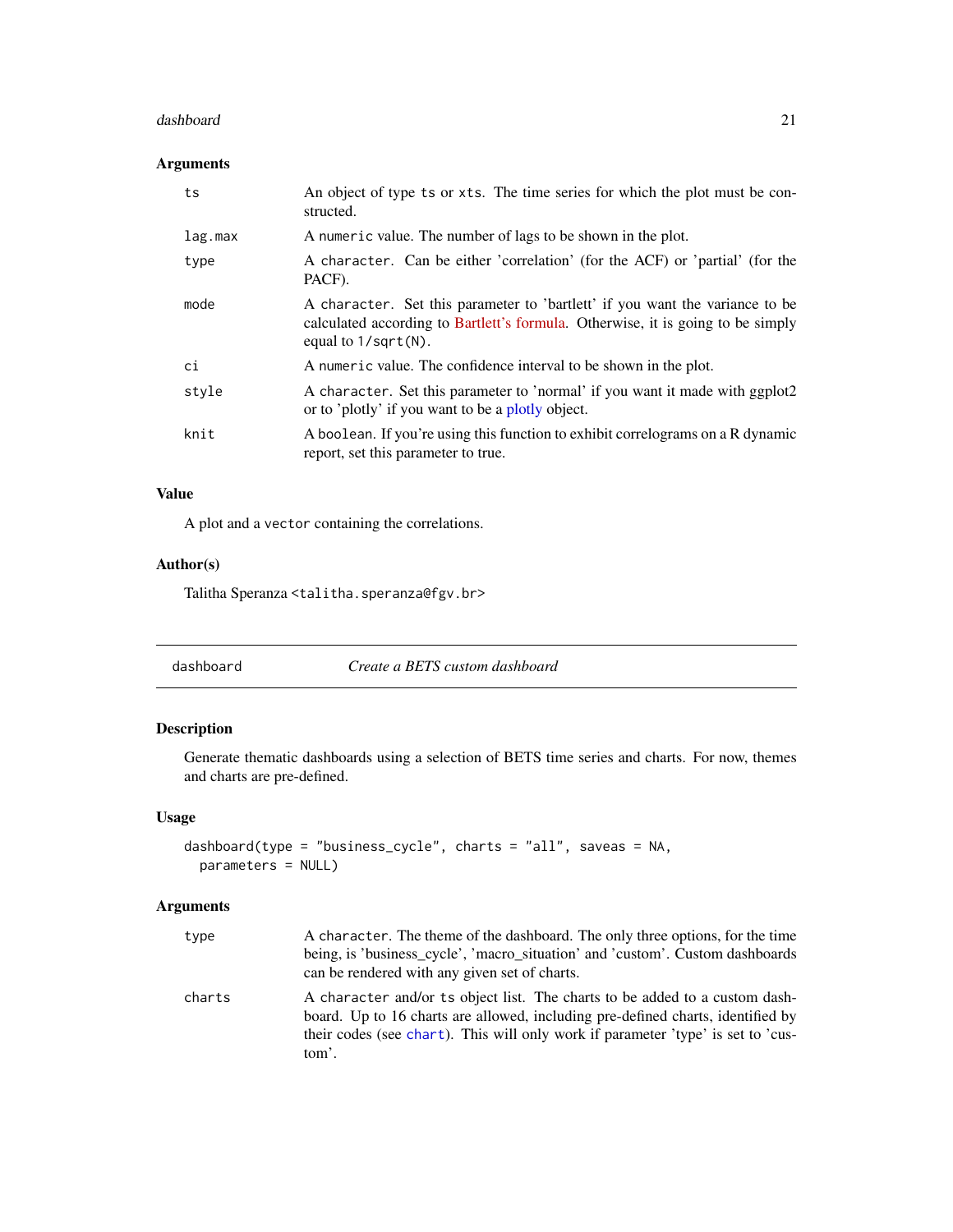#### <span id="page-20-0"></span>dashboard 21

# Arguments

| ts      | An object of type ts or xts. The time series for which the plot must be con-<br>structed.                                                                                                        |
|---------|--------------------------------------------------------------------------------------------------------------------------------------------------------------------------------------------------|
| lag.max | A numeric value. The number of lags to be shown in the plot.                                                                                                                                     |
| type    | A character. Can be either 'correlation' (for the ACF) or 'partial' (for the<br>PACF).                                                                                                           |
| mode    | A character. Set this parameter to 'bartlett' if you want the variance to be<br>calculated according to Bartlett's formula. Otherwise, it is going to be simply<br>equal to $1/\sqrt{sqrt(N)}$ . |
| ci      | A numeric value. The confidence interval to be shown in the plot.                                                                                                                                |
| style   | A character. Set this parameter to 'normal' if you want it made with ggplot2<br>or to 'plotly' if you want to be a plotly object.                                                                |
| knit    | A boolean. If you're using this function to exhibit correlograms on a R dynamic<br>report, set this parameter to true.                                                                           |

# Value

A plot and a vector containing the correlations.

# Author(s)

Talitha Speranza <talitha.speranza@fgv.br>

| Create a BETS custom dashboard<br>dashboard |  |
|---------------------------------------------|--|
|---------------------------------------------|--|

# Description

Generate thematic dashboards using a selection of BETS time series and charts. For now, themes and charts are pre-defined.

# Usage

```
dashboard(type = "business_cycle", charts = "all", saveas = NA,
 parameters = NULL)
```

| type   | A character. The theme of the dashboard. The only three options, for the time                                                                                                                                                                               |
|--------|-------------------------------------------------------------------------------------------------------------------------------------------------------------------------------------------------------------------------------------------------------------|
|        | being, is 'business_cycle', 'macro_situation' and 'custom'. Custom dashboards                                                                                                                                                                               |
|        | can be rendered with any given set of charts.                                                                                                                                                                                                               |
| charts | A character and/or ts object list. The charts to be added to a custom dash-<br>board. Up to 16 charts are allowed, including pre-defined charts, identified by<br>their codes (see chart). This will only work if parameter 'type' is set to 'cus-<br>tom'. |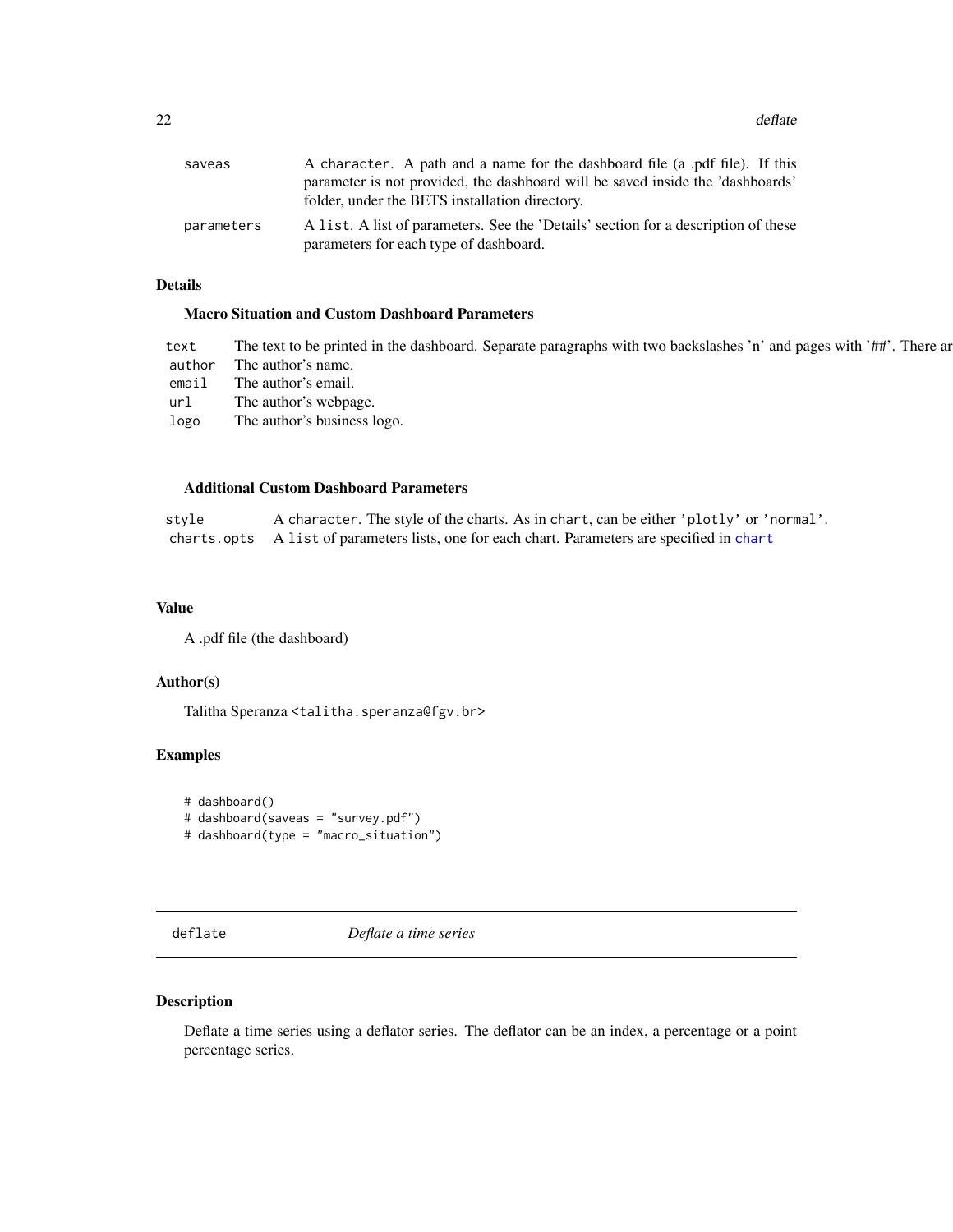<span id="page-21-0"></span>22 deflate the contract of the contract of the contract of the contract of the contract of the contract of the contract of the contract of the contract of the contract of the contract of the contract of the contract of the

| saveas     | A character. A path and a name for the dashboard file (a .pdf file). If this<br>parameter is not provided, the dashboard will be saved inside the 'dashboards'<br>folder, under the BETS installation directory. |
|------------|------------------------------------------------------------------------------------------------------------------------------------------------------------------------------------------------------------------|
| parameters | A list. A list of parameters. See the 'Details' section for a description of these<br>parameters for each type of dashboard.                                                                                     |

# Details

# Macro Situation and Custom Dashboard Parameters

| text   | The text to be printed in the dashboard. Separate paragraphs with two backslashes 'n' and pages with '##'. There are |
|--------|----------------------------------------------------------------------------------------------------------------------|
| author | The author's name.                                                                                                   |
| email  | The author's email.                                                                                                  |
| url    | The author's webpage.                                                                                                |
| logo   | The author's business logo.                                                                                          |
|        |                                                                                                                      |

# Additional Custom Dashboard Parameters

style A character. The style of the charts. As in chart, can be either 'plotly' or 'normal'. charts.opts A list of parameters lists, one for each chart. Parameters are specified in [chart](#page-14-1)

#### Value

A .pdf file (the dashboard)

#### Author(s)

Talitha Speranza <talitha.speranza@fgv.br>

# Examples

```
# dashboard()
# dashboard(saveas = "survey.pdf")
# dashboard(type = "macro_situation")
```
deflate *Deflate a time series*

#### Description

Deflate a time series using a deflator series. The deflator can be an index, a percentage or a point percentage series.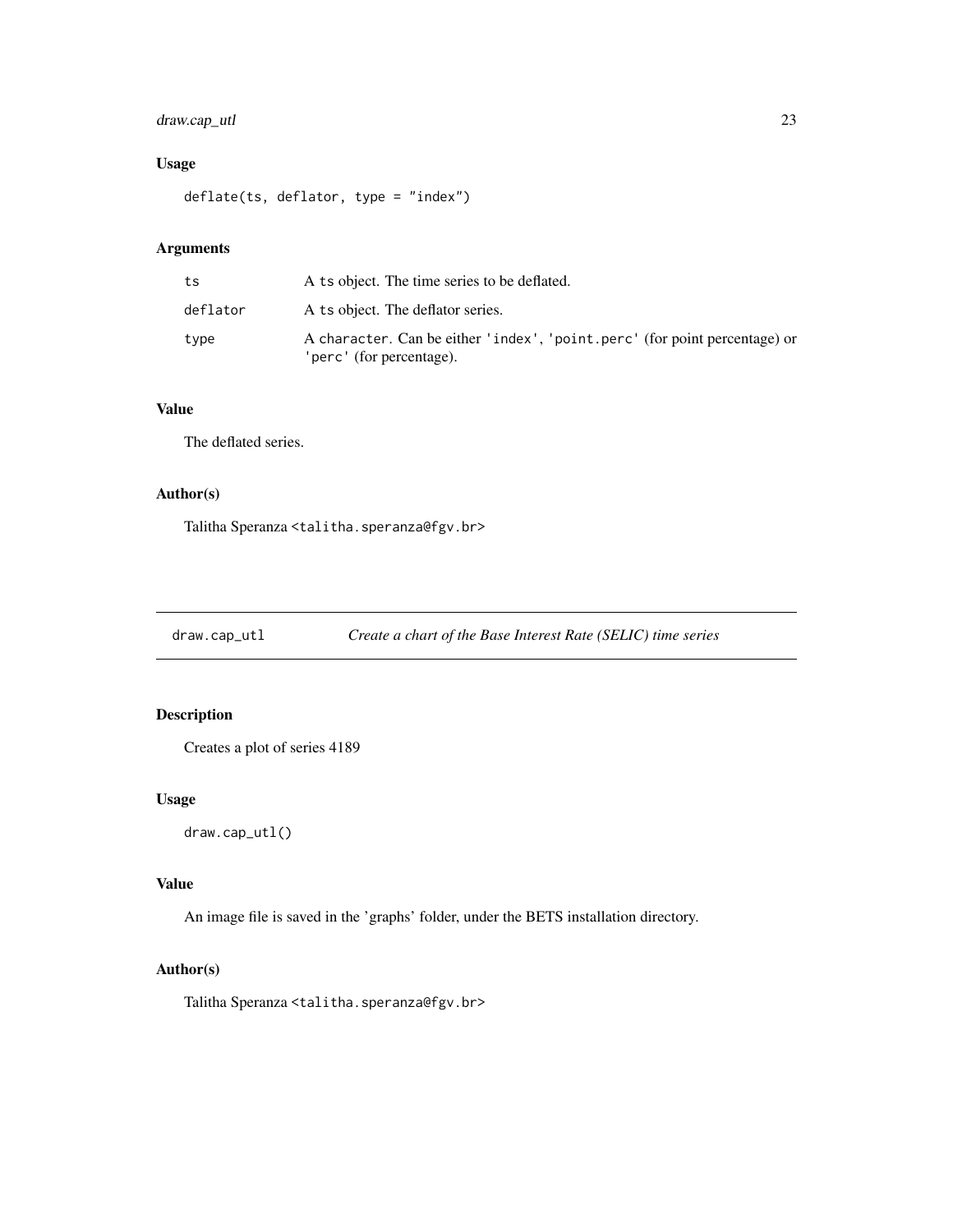# <span id="page-22-0"></span>draw.cap\_utl 23

# Usage

deflate(ts, deflator, type = "index")

# Arguments

| ts       | A ts object. The time series to be deflated.                                                           |
|----------|--------------------------------------------------------------------------------------------------------|
| deflator | A ts object. The deflator series.                                                                      |
| type     | A character. Can be either 'index', 'point.perc' (for point percentage) or<br>'perc' (for percentage). |

# Value

The deflated series.

# Author(s)

Talitha Speranza <talitha.speranza@fgv.br>

draw.cap\_utl *Create a chart of the Base Interest Rate (SELIC) time series*

# Description

Creates a plot of series 4189

#### Usage

draw.cap\_utl()

# Value

An image file is saved in the 'graphs' folder, under the BETS installation directory.

# Author(s)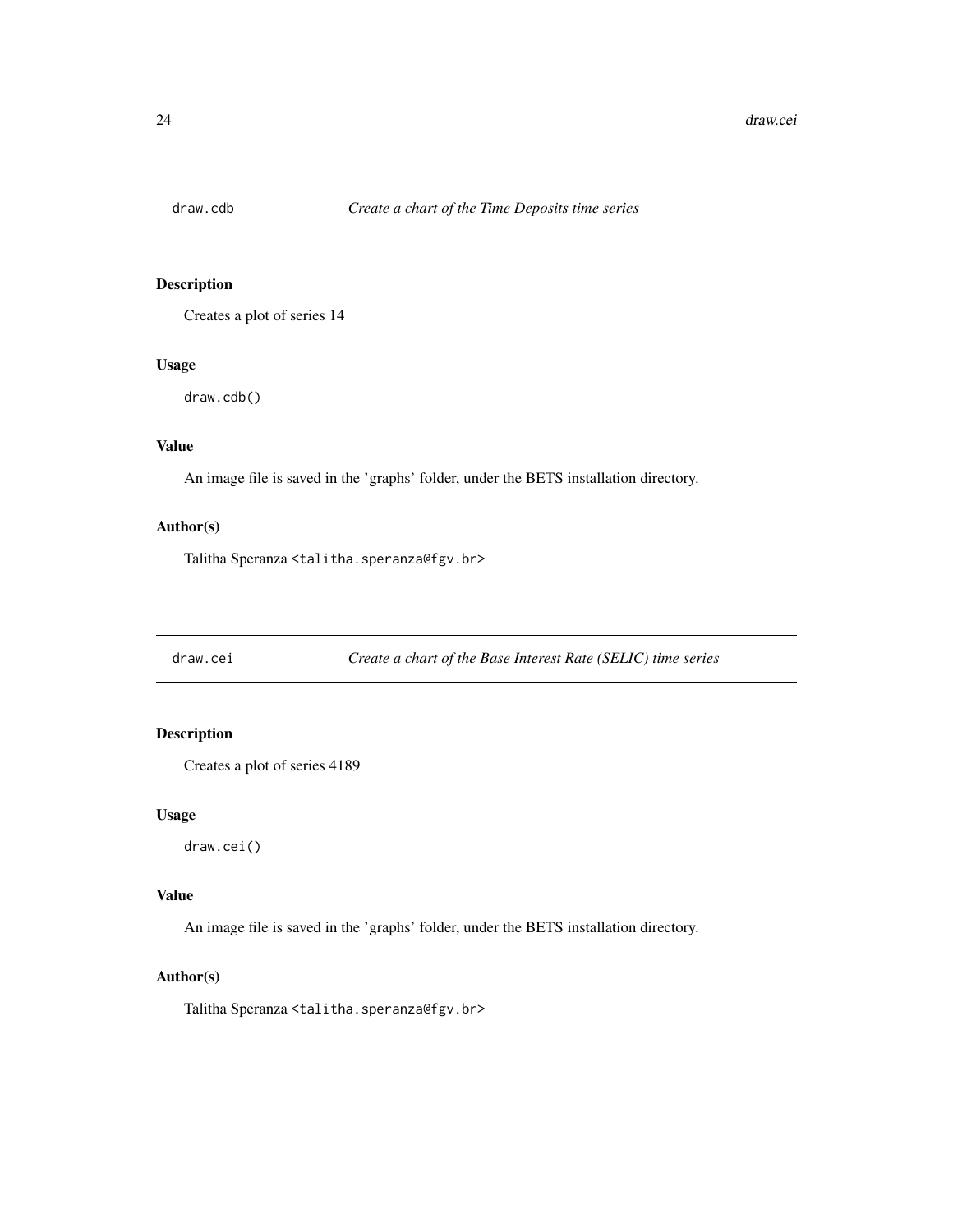<span id="page-23-0"></span>

Creates a plot of series 14

#### Usage

draw.cdb()

# Value

An image file is saved in the 'graphs' folder, under the BETS installation directory.

#### Author(s)

Talitha Speranza <talitha.speranza@fgv.br>

draw.cei *Create a chart of the Base Interest Rate (SELIC) time series*

# Description

Creates a plot of series 4189

#### Usage

draw.cei()

# Value

An image file is saved in the 'graphs' folder, under the BETS installation directory.

#### Author(s)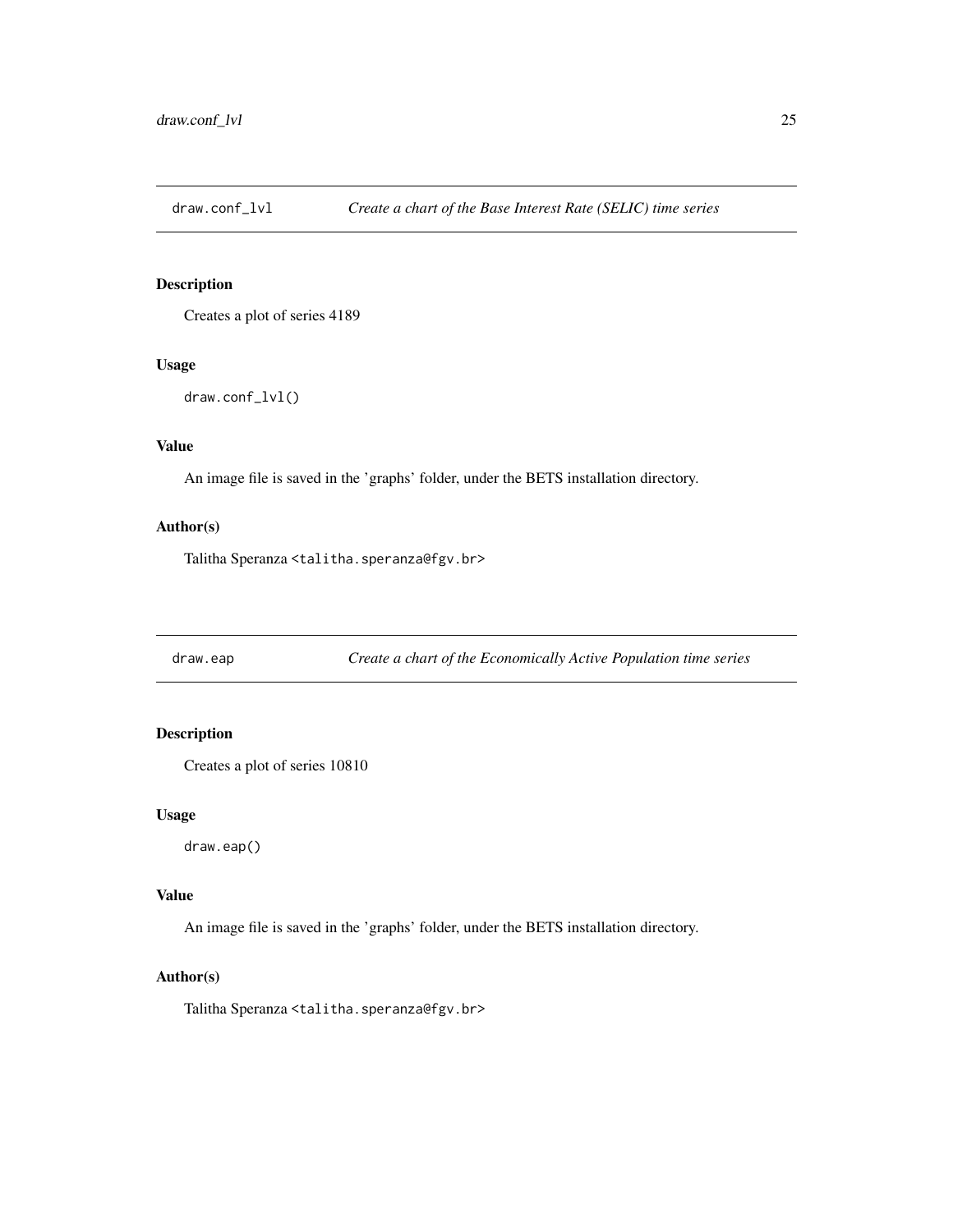<span id="page-24-0"></span>draw.conf\_lvl *Create a chart of the Base Interest Rate (SELIC) time series*

# Description

Creates a plot of series 4189

#### Usage

draw.conf\_lvl()

# Value

An image file is saved in the 'graphs' folder, under the BETS installation directory.

#### Author(s)

Talitha Speranza <talitha.speranza@fgv.br>

draw.eap *Create a chart of the Economically Active Population time series*

# **Description**

Creates a plot of series 10810

#### Usage

draw.eap()

#### Value

An image file is saved in the 'graphs' folder, under the BETS installation directory.

#### Author(s)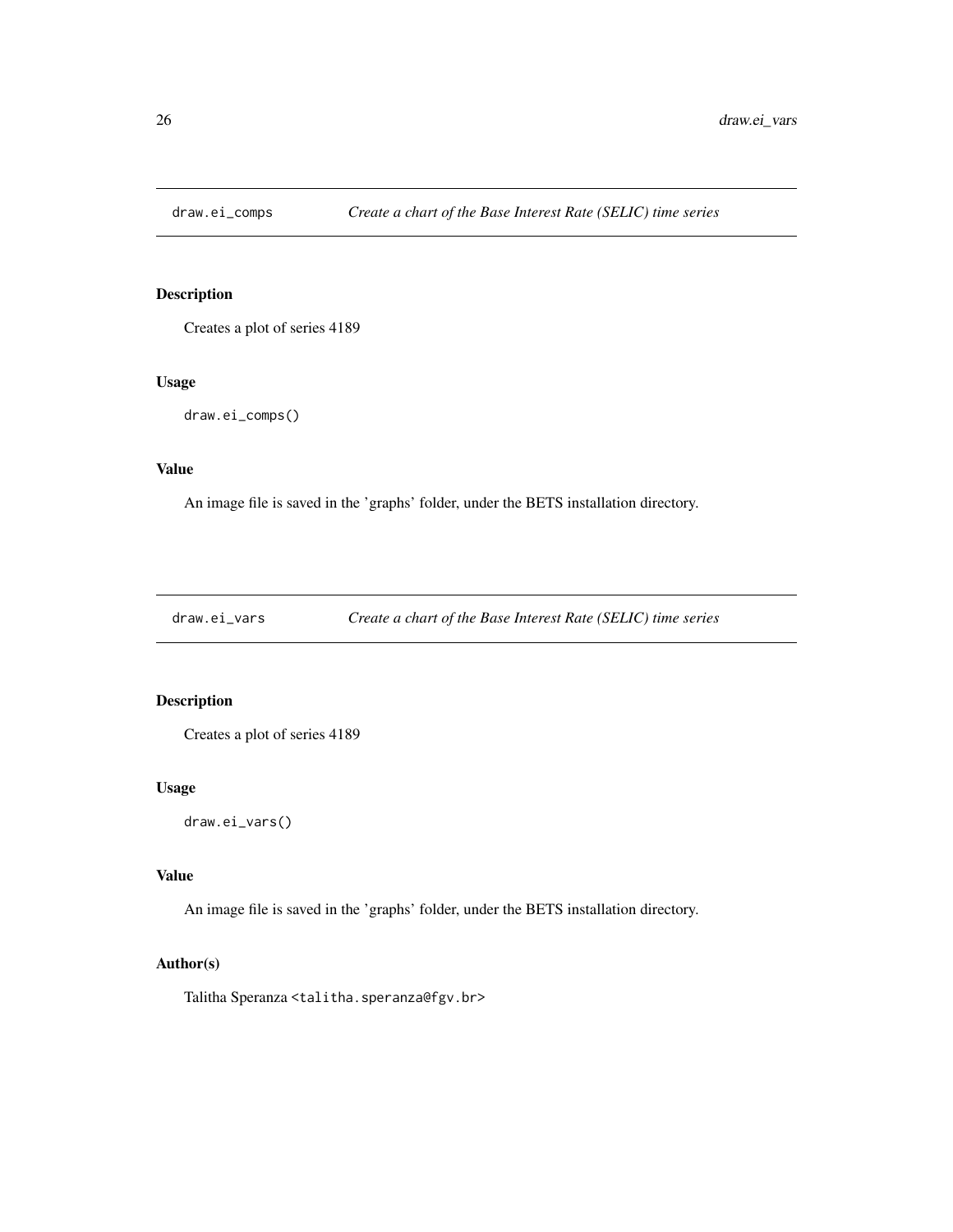<span id="page-25-0"></span>

Creates a plot of series 4189

#### Usage

draw.ei\_comps()

#### Value

An image file is saved in the 'graphs' folder, under the BETS installation directory.

draw.ei\_vars *Create a chart of the Base Interest Rate (SELIC) time series*

# Description

Creates a plot of series 4189

# Usage

draw.ei\_vars()

#### Value

An image file is saved in the 'graphs' folder, under the BETS installation directory.

# Author(s)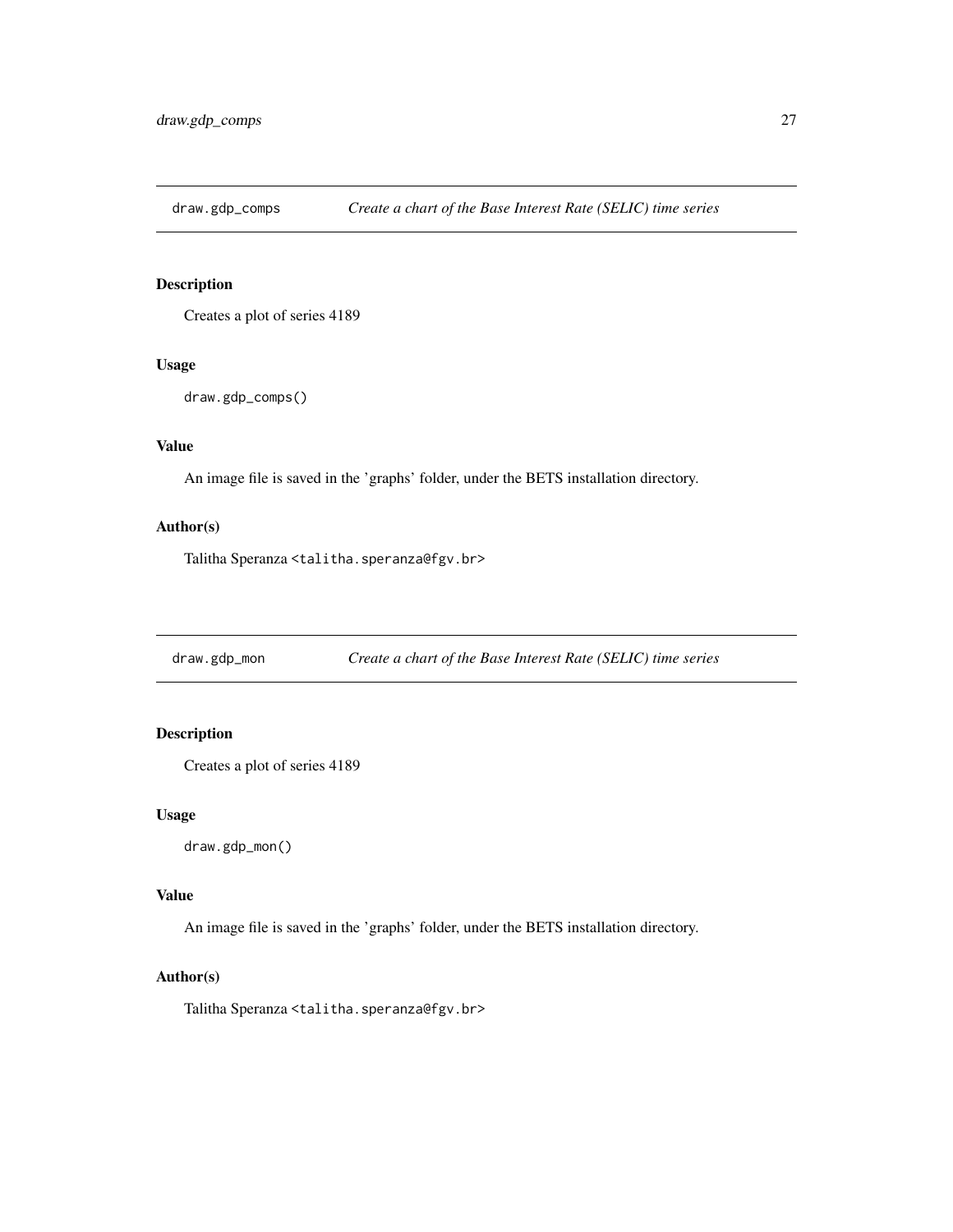<span id="page-26-0"></span>draw.gdp\_comps *Create a chart of the Base Interest Rate (SELIC) time series*

# Description

Creates a plot of series 4189

#### Usage

```
draw.gdp_comps()
```
# Value

An image file is saved in the 'graphs' folder, under the BETS installation directory.

# Author(s)

Talitha Speranza <talitha.speranza@fgv.br>

draw.gdp\_mon *Create a chart of the Base Interest Rate (SELIC) time series*

# **Description**

Creates a plot of series 4189

#### Usage

draw.gdp\_mon()

# Value

An image file is saved in the 'graphs' folder, under the BETS installation directory.

# Author(s)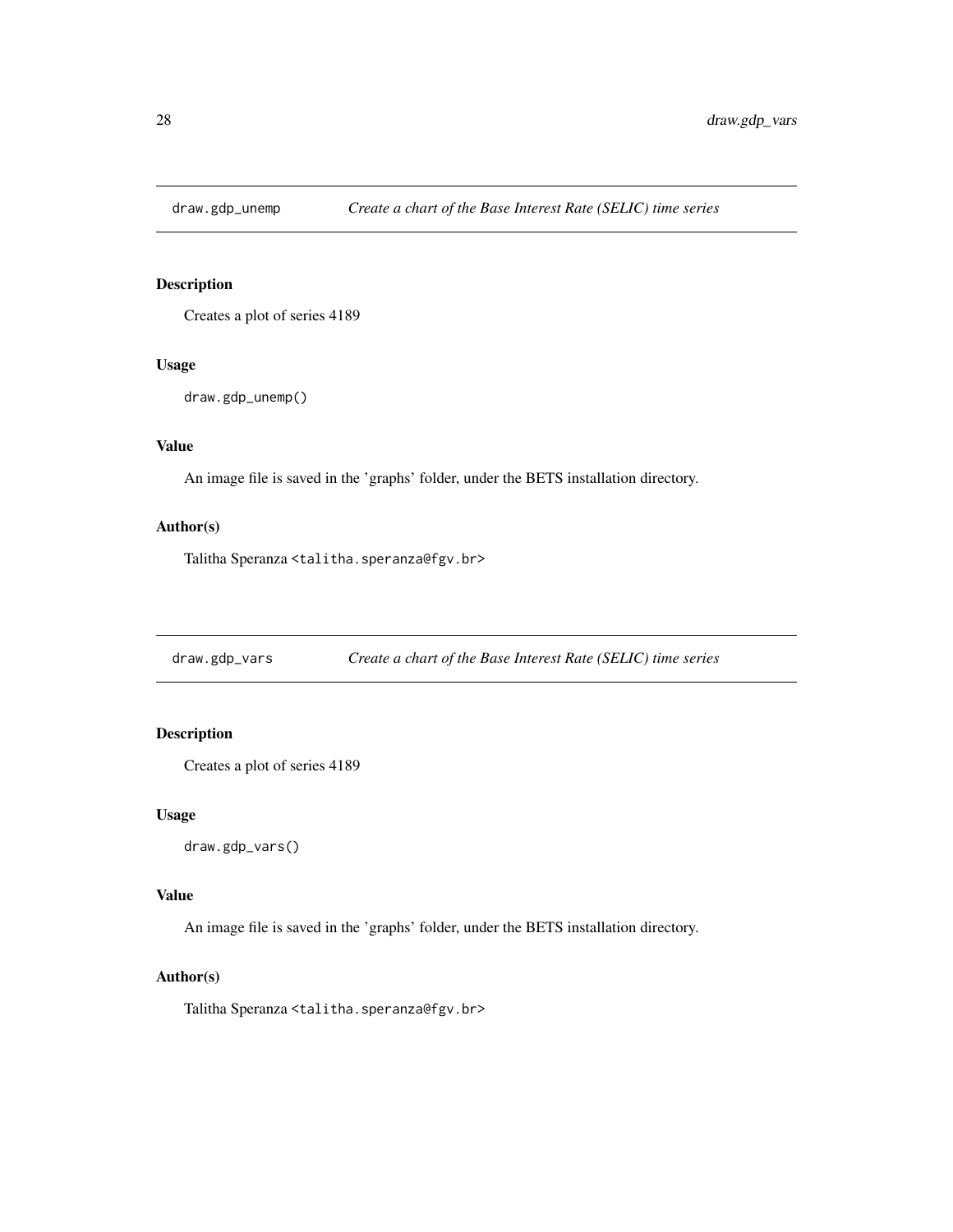<span id="page-27-0"></span>

Creates a plot of series 4189

#### Usage

```
draw.gdp_unemp()
```
# Value

An image file is saved in the 'graphs' folder, under the BETS installation directory.

#### Author(s)

Talitha Speranza <talitha.speranza@fgv.br>

draw.gdp\_vars *Create a chart of the Base Interest Rate (SELIC) time series*

# **Description**

Creates a plot of series 4189

#### Usage

```
draw.gdp_vars()
```
# Value

An image file is saved in the 'graphs' folder, under the BETS installation directory.

#### Author(s)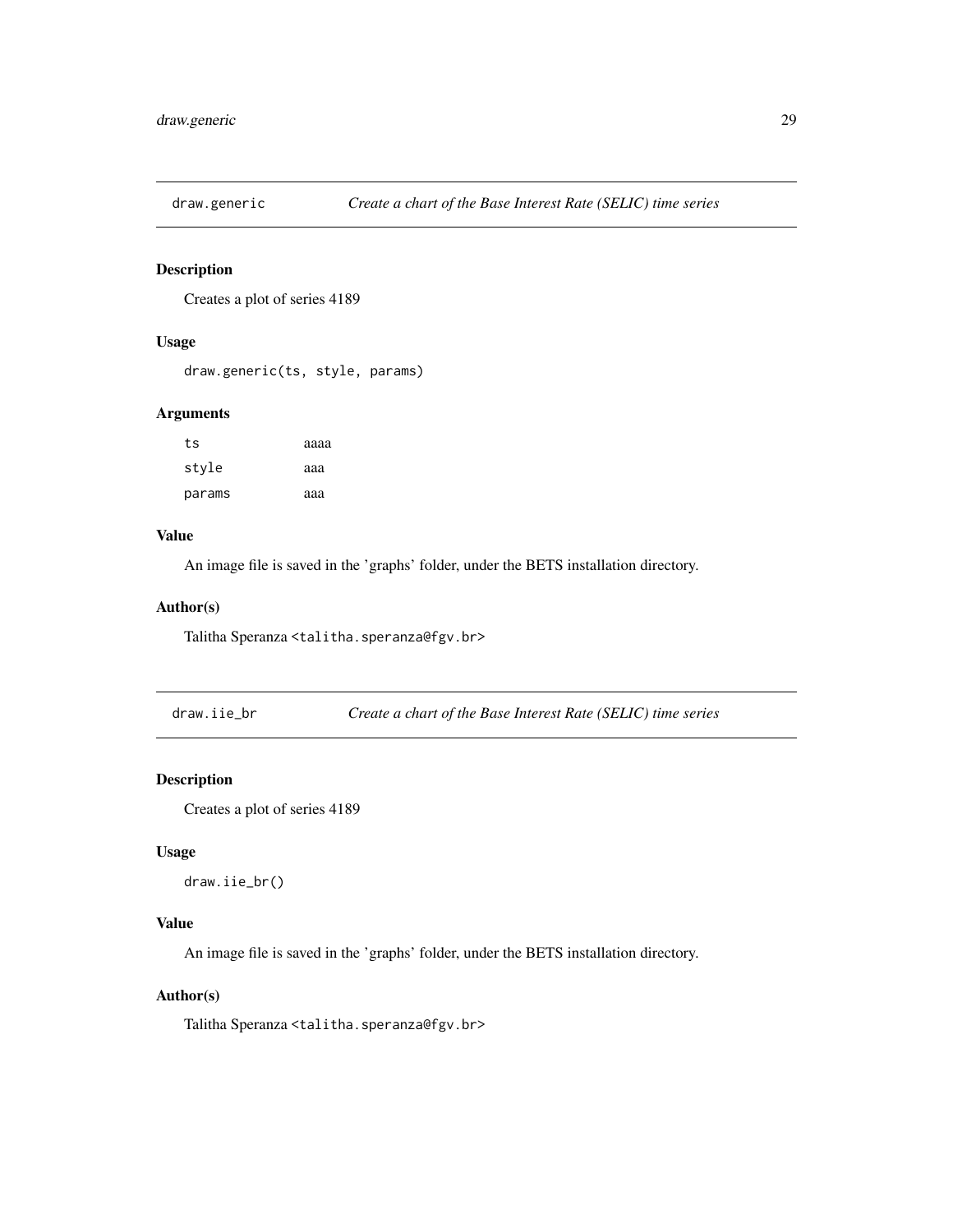<span id="page-28-0"></span>

Creates a plot of series 4189

# Usage

draw.generic(ts, style, params)

#### Arguments

| ts     | аааа |
|--------|------|
| style  | ааа  |
| params | aaa  |

#### Value

An image file is saved in the 'graphs' folder, under the BETS installation directory.

#### Author(s)

Talitha Speranza <talitha.speranza@fgv.br>

draw.iie\_br *Create a chart of the Base Interest Rate (SELIC) time series*

# Description

Creates a plot of series 4189

#### Usage

```
draw.iie_br()
```
# Value

An image file is saved in the 'graphs' folder, under the BETS installation directory.

# Author(s)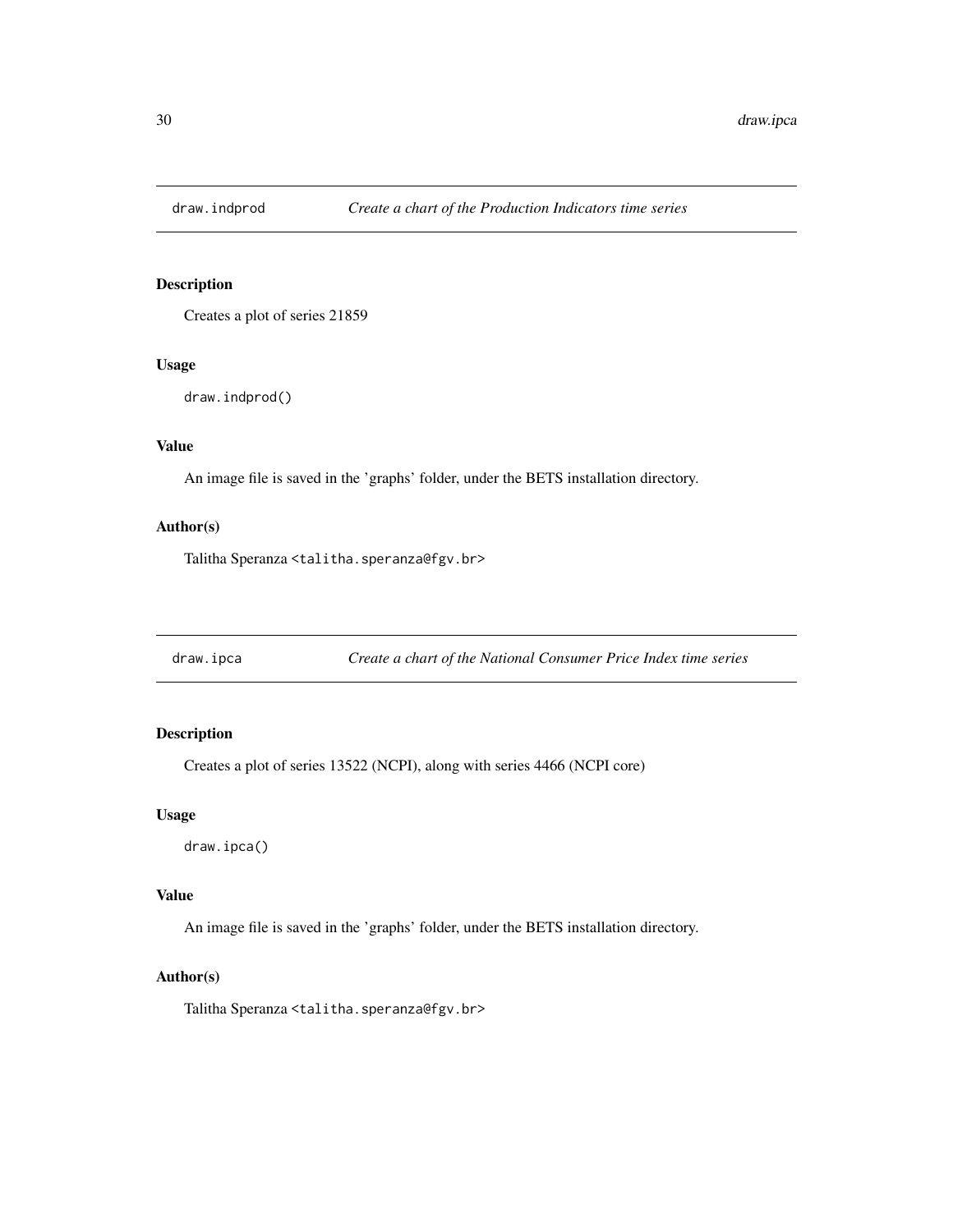<span id="page-29-0"></span>

Creates a plot of series 21859

#### Usage

draw.indprod()

# Value

An image file is saved in the 'graphs' folder, under the BETS installation directory.

# Author(s)

Talitha Speranza <talitha.speranza@fgv.br>

draw.ipca *Create a chart of the National Consumer Price Index time series*

# **Description**

Creates a plot of series 13522 (NCPI), along with series 4466 (NCPI core)

#### Usage

draw.ipca()

# Value

An image file is saved in the 'graphs' folder, under the BETS installation directory.

#### Author(s)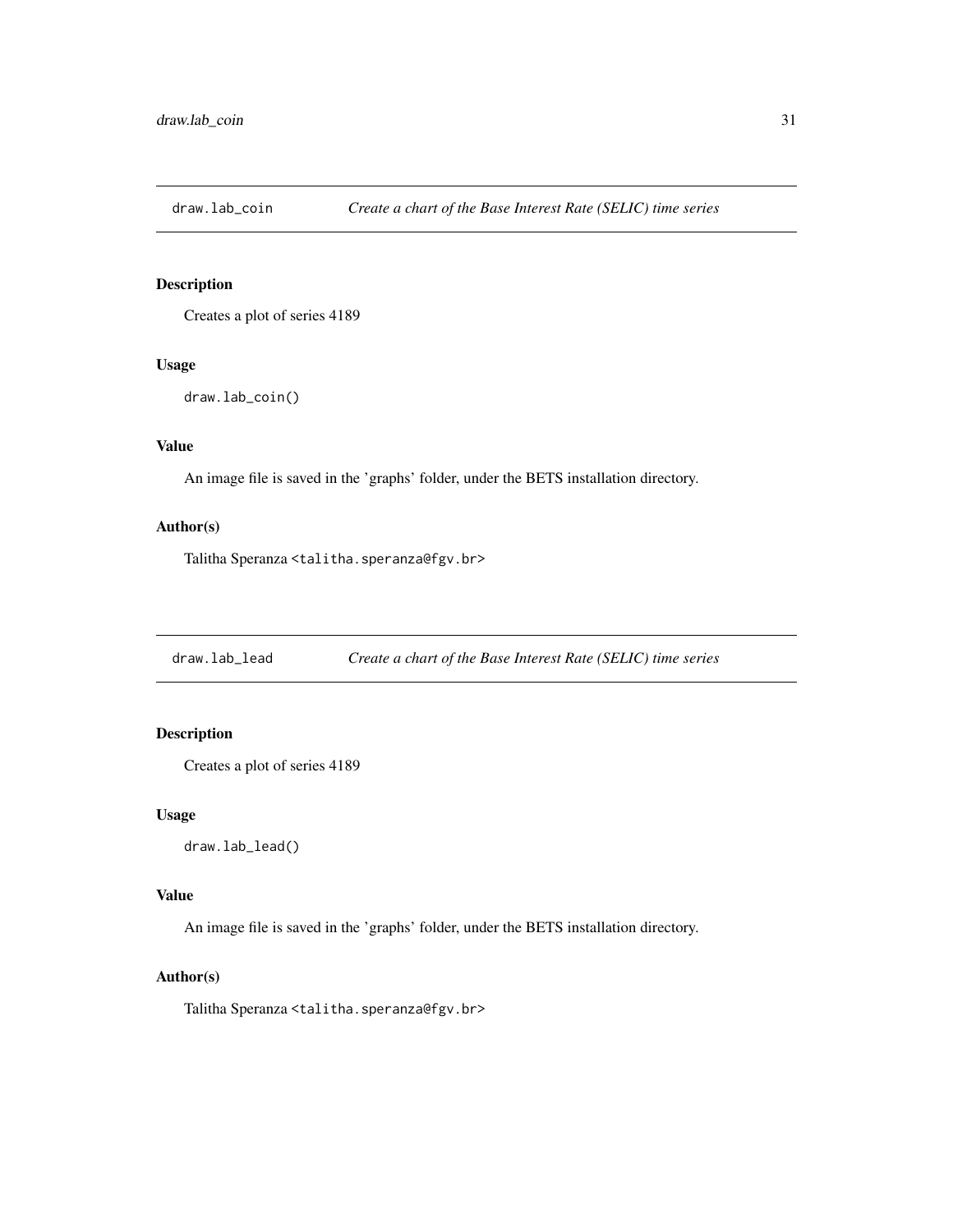<span id="page-30-0"></span>

Creates a plot of series 4189

#### Usage

```
draw.lab_coin()
```
# Value

An image file is saved in the 'graphs' folder, under the BETS installation directory.

#### Author(s)

Talitha Speranza <talitha.speranza@fgv.br>

draw.lab\_lead *Create a chart of the Base Interest Rate (SELIC) time series*

# **Description**

Creates a plot of series 4189

#### Usage

draw.lab\_lead()

# Value

An image file is saved in the 'graphs' folder, under the BETS installation directory.

#### Author(s)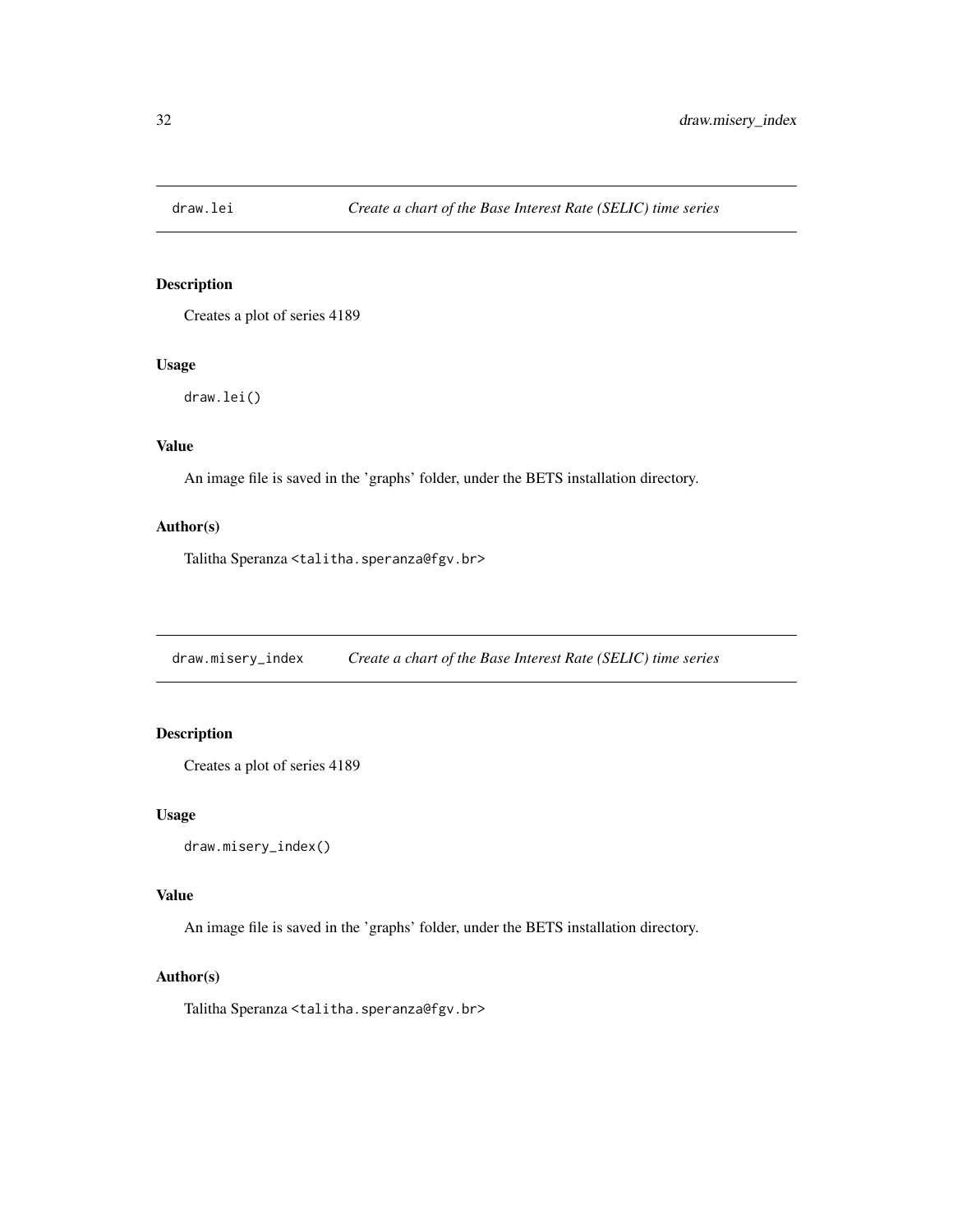<span id="page-31-0"></span>

Creates a plot of series 4189

#### Usage

draw.lei()

# Value

An image file is saved in the 'graphs' folder, under the BETS installation directory.

# Author(s)

Talitha Speranza <talitha.speranza@fgv.br>

draw.misery\_index *Create a chart of the Base Interest Rate (SELIC) time series*

# **Description**

Creates a plot of series 4189

#### Usage

```
draw.misery_index()
```
#### Value

An image file is saved in the 'graphs' folder, under the BETS installation directory.

#### Author(s)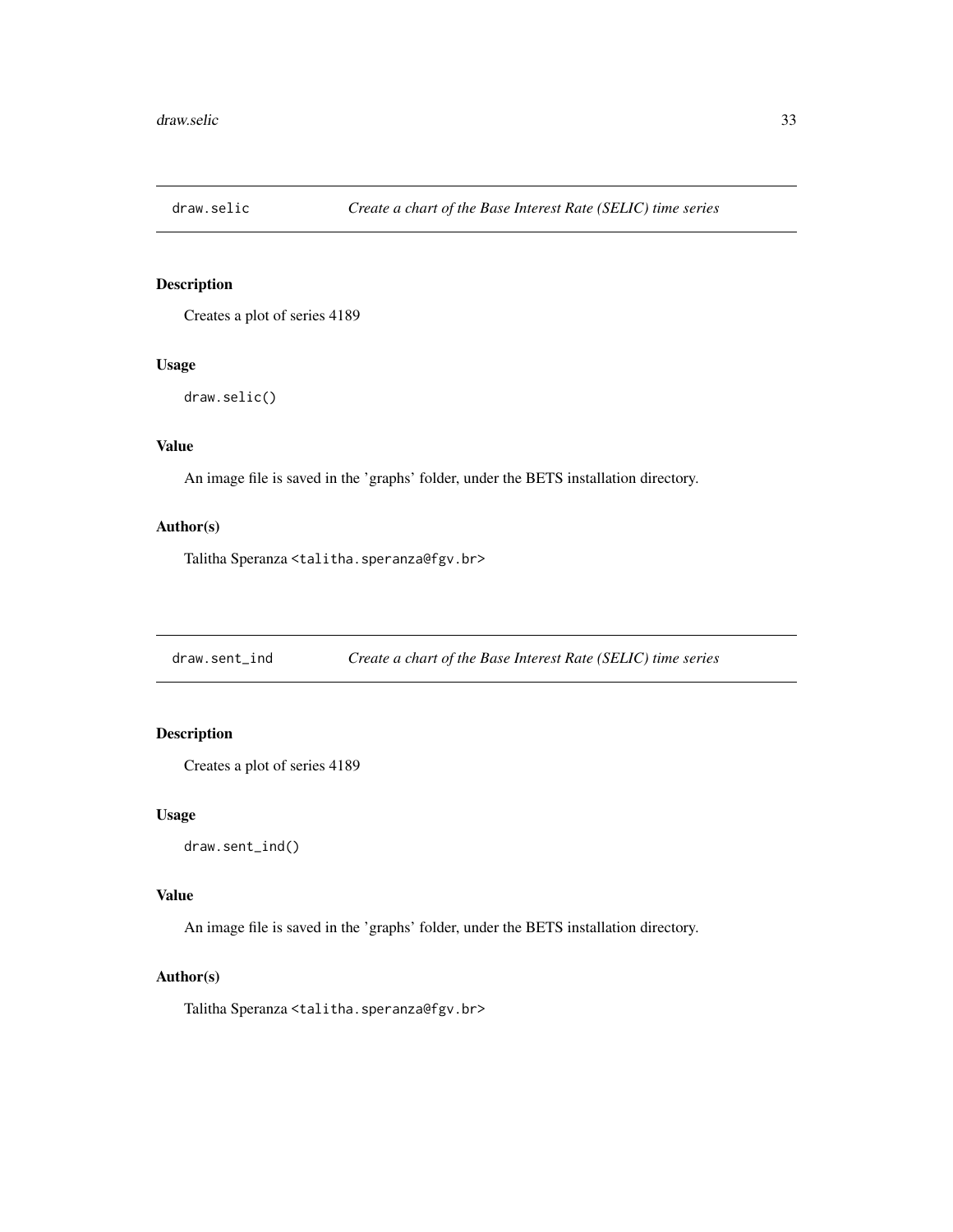<span id="page-32-0"></span>

Creates a plot of series 4189

#### Usage

draw.selic()

# Value

An image file is saved in the 'graphs' folder, under the BETS installation directory.

#### Author(s)

Talitha Speranza <talitha.speranza@fgv.br>

draw.sent\_ind *Create a chart of the Base Interest Rate (SELIC) time series*

# **Description**

Creates a plot of series 4189

#### Usage

draw.sent\_ind()

# Value

An image file is saved in the 'graphs' folder, under the BETS installation directory.

#### Author(s)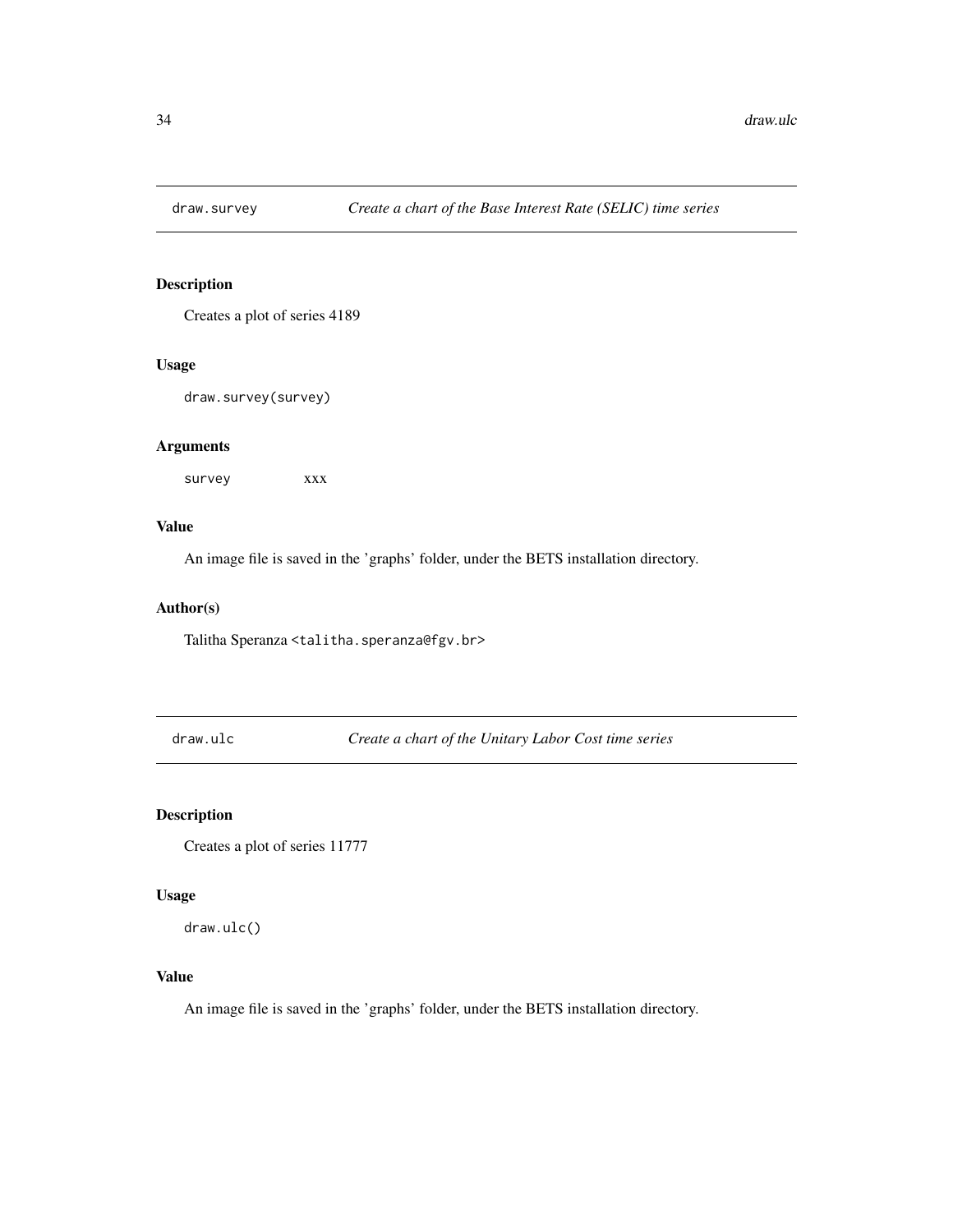<span id="page-33-0"></span>

Creates a plot of series 4189

#### Usage

draw.survey(survey)

#### Arguments

survey xxx

#### Value

An image file is saved in the 'graphs' folder, under the BETS installation directory.

#### Author(s)

Talitha Speranza <talitha.speranza@fgv.br>

draw.ulc *Create a chart of the Unitary Labor Cost time series*

# Description

Creates a plot of series 11777

#### Usage

draw.ulc()

#### Value

An image file is saved in the 'graphs' folder, under the BETS installation directory.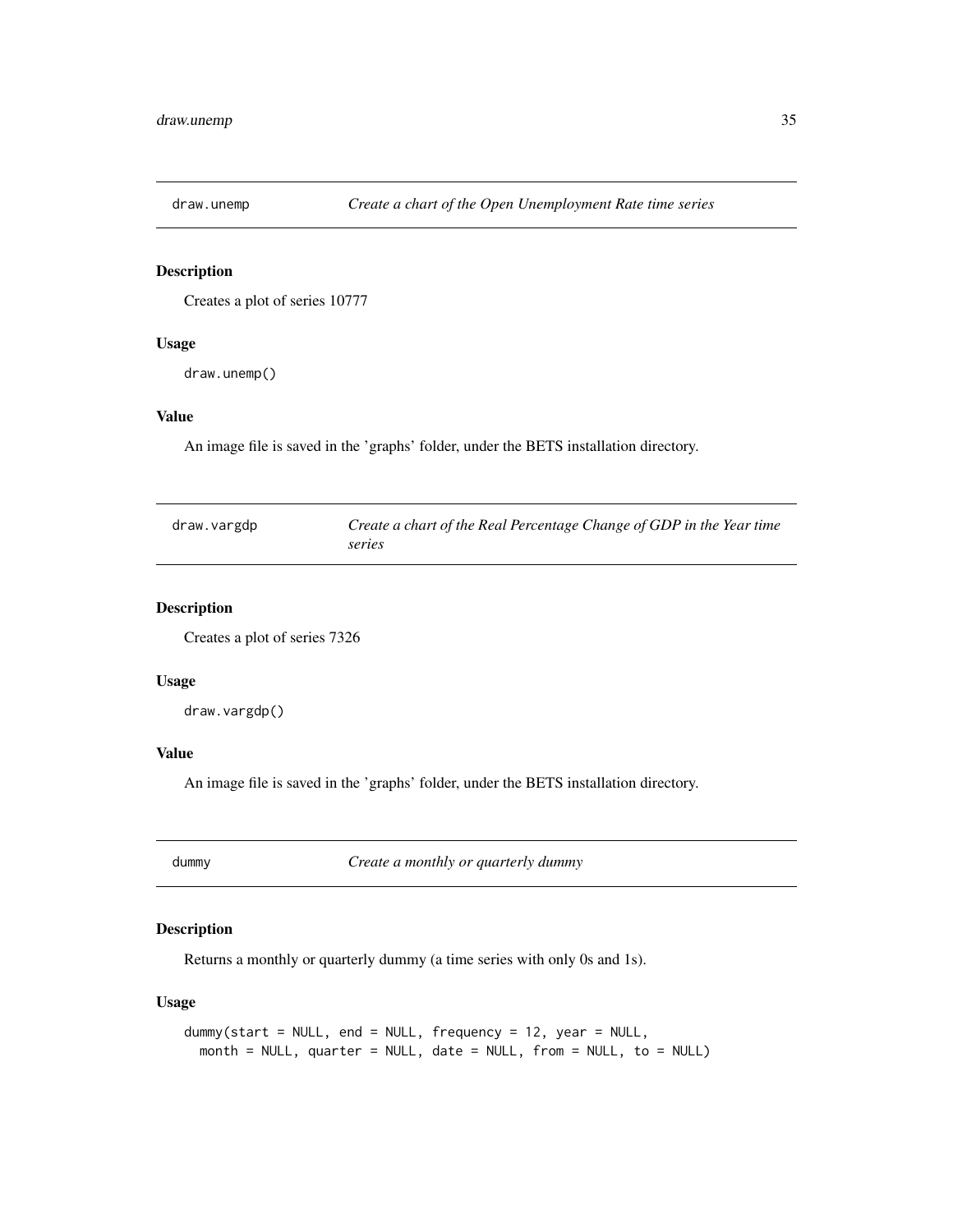<span id="page-34-0"></span>

Creates a plot of series 10777

#### Usage

draw.unemp()

# Value

An image file is saved in the 'graphs' folder, under the BETS installation directory.

| draw.vargdp | Create a chart of the Real Percentage Change of GDP in the Year time |
|-------------|----------------------------------------------------------------------|
|             | series                                                               |

# Description

Creates a plot of series 7326

#### Usage

draw.vargdp()

# Value

An image file is saved in the 'graphs' folder, under the BETS installation directory.

<span id="page-34-1"></span>dummy *Create a monthly or quarterly dummy*

# Description

Returns a monthly or quarterly dummy (a time series with only 0s and 1s).

#### Usage

```
dummy(start = NULL, end = NULL, frequency = 12, year = NULL,
 month = NULL, quarter = NULL, date = NULL, from = NULL, to = NULL)
```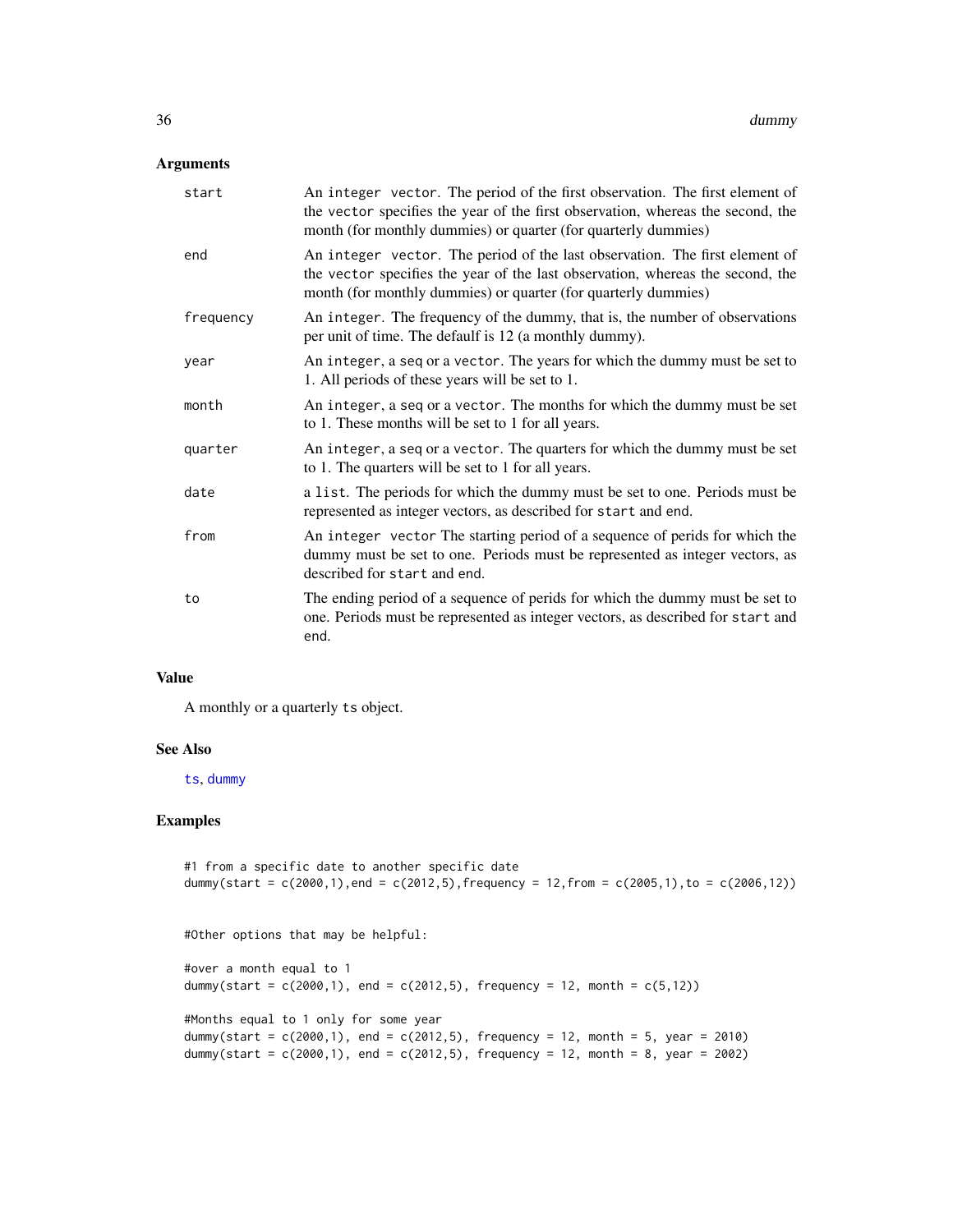#### <span id="page-35-0"></span>Arguments

| start     | An integer vector. The period of the first observation. The first element of<br>the vector specifies the year of the first observation, whereas the second, the<br>month (for monthly dummies) or quarter (for quarterly dummies) |
|-----------|-----------------------------------------------------------------------------------------------------------------------------------------------------------------------------------------------------------------------------------|
| end       | An integer vector. The period of the last observation. The first element of<br>the vector specifies the year of the last observation, whereas the second, the<br>month (for monthly dummies) or quarter (for quarterly dummies)   |
| frequency | An integer. The frequency of the dummy, that is, the number of observations<br>per unit of time. The defaulf is 12 (a monthly dummy).                                                                                             |
| year      | An integer, a seq or a vector. The years for which the dummy must be set to<br>1. All periods of these years will be set to 1.                                                                                                    |
| month     | An integer, a seq or a vector. The months for which the dummy must be set<br>to 1. These months will be set to 1 for all years.                                                                                                   |
| quarter   | An integer, a seq or a vector. The quarters for which the dummy must be set<br>to 1. The quarters will be set to 1 for all years.                                                                                                 |
| date      | a list. The periods for which the dummy must be set to one. Periods must be<br>represented as integer vectors, as described for start and end.                                                                                    |
| from      | An integer vector The starting period of a sequence of perids for which the<br>dummy must be set to one. Periods must be represented as integer vectors, as<br>described for start and end.                                       |
| to        | The ending period of a sequence of perids for which the dummy must be set to<br>one. Periods must be represented as integer vectors, as described for start and<br>end.                                                           |

#### Value

A monthly or a quarterly ts object.

#### See Also

[ts](#page-0-0), [dummy](#page-34-1)

# Examples

```
#1 from a specific date to another specific date
dummy(start = c(2000,1),end = c(2012,5),frequency = 12,from = c(2005,1),to = c(2006,12))
#Other options that may be helpful:
#over a month equal to 1
dummy(start = c(2000,1), end = c(2012,5), frequency = 12, month = c(5,12))
#Months equal to 1 only for some year
dummy(start = c(2000, 1), end = c(2012, 5), frequency = 12, month = 5, year = 2010)
dummy(start = c(2000,1), end = c(2012,5), frequency = 12, month = 8, year = 2002)
```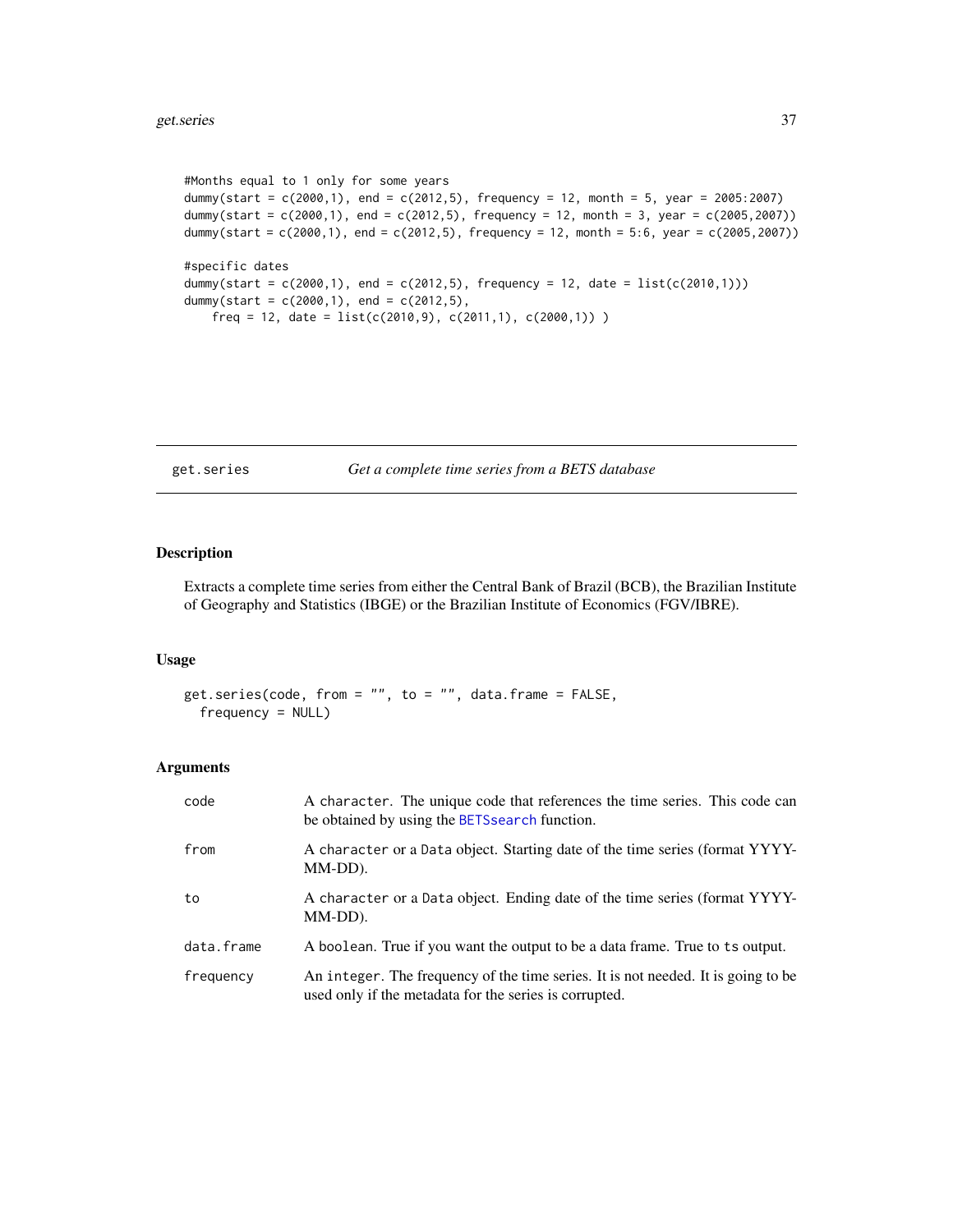```
#Months equal to 1 only for some years
dummy(start = c(2000,1), end = c(2012,5), frequency = 12, month = 5, year = 2005:2007)
dummy(start = c(2000,1), end = c(2012,5), frequency = 12, month = 3, year = c(2005,2007))
dummy(start = c(2000,1), end = c(2012,5), frequency = 12, month = 5:6, year = c(2005,2007))
#specific dates
dummy(start = c(2000,1), end = c(2012,5), frequency = 12, date = list(c(2010,1)))dummy(start = c(2000, 1), end = c(2012, 5),
   freq = 12, date = list(c(2010,9), c(2011,1), c(2000,1)))
```
get.series *Get a complete time series from a BETS database*

# Description

Extracts a complete time series from either the Central Bank of Brazil (BCB), the Brazilian Institute of Geography and Statistics (IBGE) or the Brazilian Institute of Economics (FGV/IBRE).

#### Usage

get.series(code, from = "", to = "", data.frame = FALSE, frequency = NULL)

| code       | A character. The unique code that references the time series. This code can<br>be obtained by using the BETS search function.               |
|------------|---------------------------------------------------------------------------------------------------------------------------------------------|
| from       | A character or a Data object. Starting date of the time series (format YYYY-<br>MM-DD).                                                     |
| to         | A character or a Data object. Ending date of the time series (format YYYY-<br>MM-DD).                                                       |
| data.frame | A boolean. True if you want the output to be a data frame. True to ts output.                                                               |
| frequency  | An integer. The frequency of the time series. It is not needed. It is going to be<br>used only if the metadata for the series is corrupted. |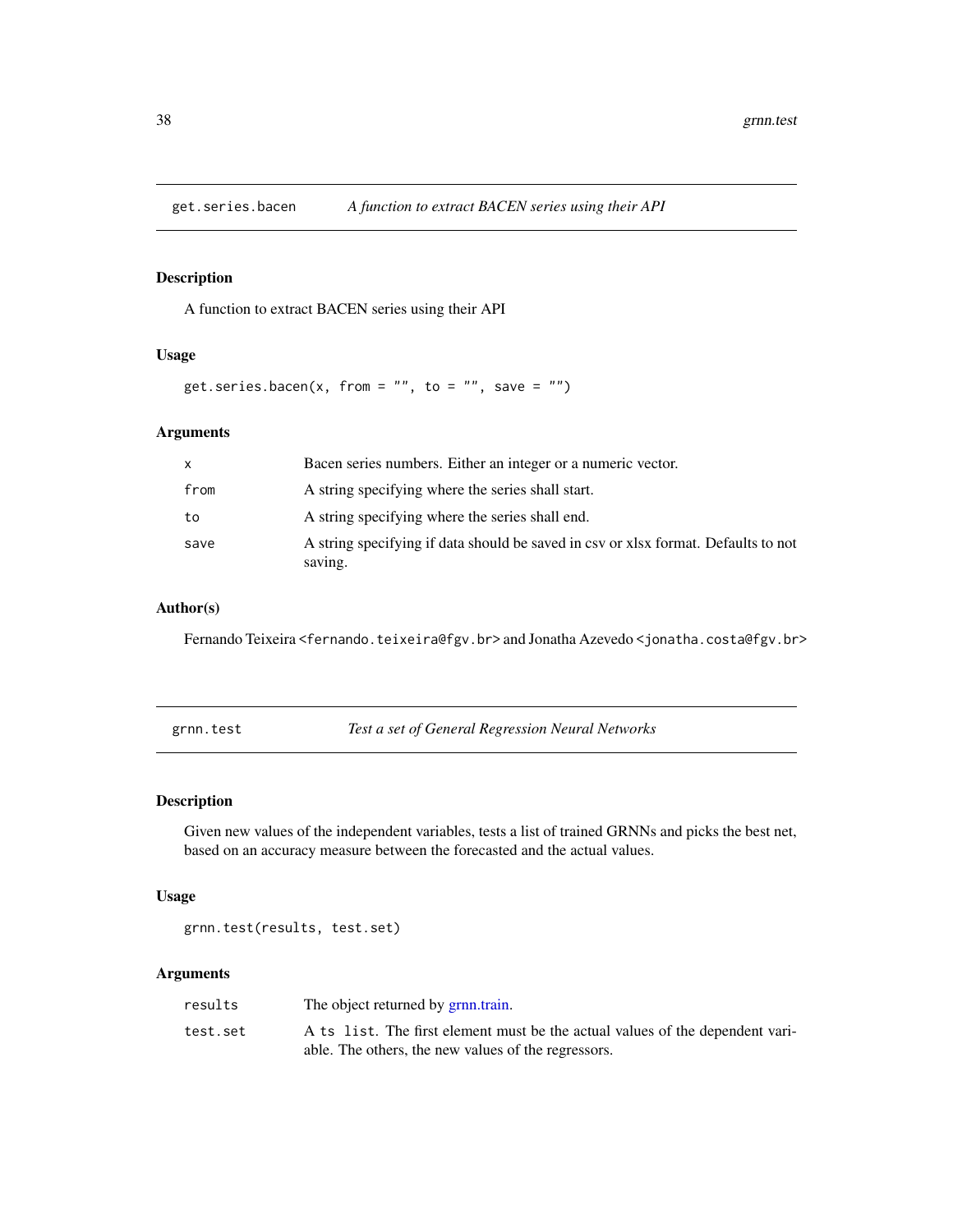<span id="page-37-0"></span>

A function to extract BACEN series using their API

#### Usage

get.series.bacen(x, from =  $"$ , to =  $"$ , save =  $"$ )

# Arguments

| $\mathsf{x}$ | Bacen series numbers. Either an integer or a numeric vector.                                  |
|--------------|-----------------------------------------------------------------------------------------------|
| from         | A string specifying where the series shall start.                                             |
| to           | A string specifying where the series shall end.                                               |
| save         | A string specifying if data should be saved in csy or xlsx format. Defaults to not<br>saving. |

#### Author(s)

Fernando Teixeira <fernando.teixeira@fgv.br> and Jonatha Azevedo <jonatha.costa@fgv.br>

<span id="page-37-1"></span>grnn.test *Test a set of General Regression Neural Networks*

# Description

Given new values of the independent variables, tests a list of trained GRNNs and picks the best net, based on an accuracy measure between the forecasted and the actual values.

#### Usage

grnn.test(results, test.set)

| results  | The object returned by grnn.train.                                            |
|----------|-------------------------------------------------------------------------------|
| test.set | A ts list. The first element must be the actual values of the dependent vari- |
|          | able. The others, the new values of the regressors.                           |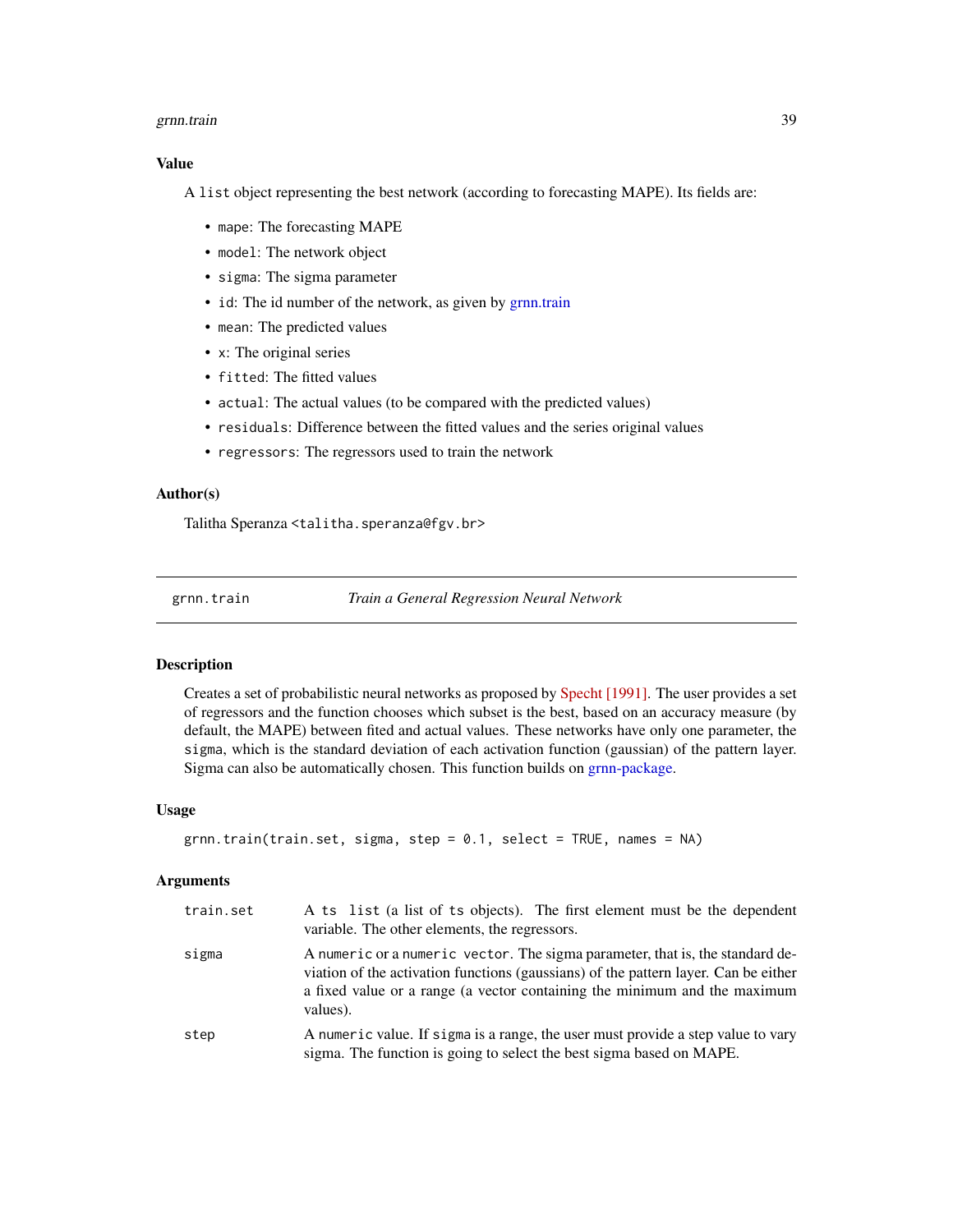#### <span id="page-38-0"></span>grnn.train 39

#### Value

A list object representing the best network (according to forecasting MAPE). Its fields are:

- mape: The forecasting MAPE
- model: The network object
- sigma: The sigma parameter
- id: The id number of the network, as given by [grnn.train](#page-38-1)
- mean: The predicted values
- x: The original series
- fitted: The fitted values
- actual: The actual values (to be compared with the predicted values)
- residuals: Difference between the fitted values and the series original values
- regressors: The regressors used to train the network

#### Author(s)

Talitha Speranza <talitha.speranza@fgv.br>

<span id="page-38-1"></span>grnn.train *Train a General Regression Neural Network*

#### Description

Creates a set of probabilistic neural networks as proposed by [Specht \[1991\].](http://www.inf.ufrgs.br/~engel/data/media/file/cmp121/GRNN.pdf) The user provides a set of regressors and the function chooses which subset is the best, based on an accuracy measure (by default, the MAPE) between fited and actual values. These networks have only one parameter, the sigma, which is the standard deviation of each activation function (gaussian) of the pattern layer. Sigma can also be automatically chosen. This function builds on [grnn-package.](#page-0-0)

#### Usage

```
grnn.train(train.set, sigma, step = 0.1, select = TRUE, names = NA)
```

| train.set | A ts list (a list of ts objects). The first element must be the dependent<br>variable. The other elements, the regressors.                                                                                                                                    |
|-----------|---------------------------------------------------------------------------------------------------------------------------------------------------------------------------------------------------------------------------------------------------------------|
| sigma     | A numeric or a numeric vector. The sigma parameter, that is, the standard de-<br>viation of the activation functions (gaussians) of the pattern layer. Can be either<br>a fixed value or a range (a vector containing the minimum and the maximum<br>values). |
| step      | A numeric value. If sigma is a range, the user must provide a step value to vary<br>sigma. The function is going to select the best sigma based on MAPE.                                                                                                      |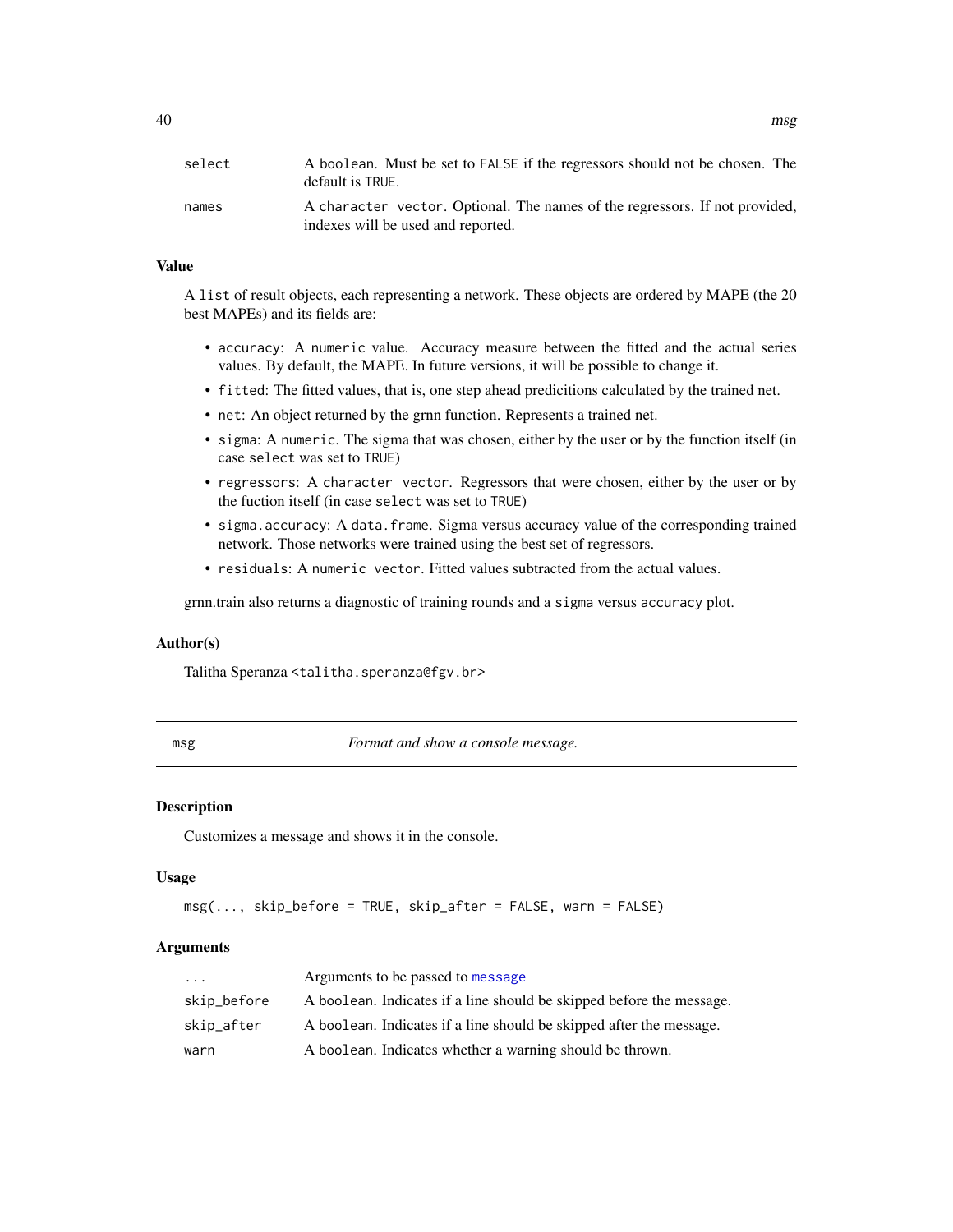# <span id="page-39-0"></span>Value

A list of result objects, each representing a network. These objects are ordered by MAPE (the 20 best MAPEs) and its fields are:

- accuracy: A numeric value. Accuracy measure between the fitted and the actual series values. By default, the MAPE. In future versions, it will be possible to change it.
- fitted: The fitted values, that is, one step ahead predicitions calculated by the trained net.
- net: An object returned by the grnn function. Represents a trained net.
- sigma: A numeric. The sigma that was chosen, either by the user or by the function itself (in case select was set to TRUE)
- regressors: A character vector. Regressors that were chosen, either by the user or by the fuction itself (in case select was set to TRUE)
- sigma.accuracy: A data.frame. Sigma versus accuracy value of the corresponding trained network. Those networks were trained using the best set of regressors.
- residuals: A numeric vector. Fitted values subtracted from the actual values.

grnn.train also returns a diagnostic of training rounds and a sigma versus accuracy plot.

#### Author(s)

Talitha Speranza <talitha.speranza@fgv.br>

msg *Format and show a console message.*

#### **Description**

Customizes a message and shows it in the console.

#### Usage

```
msg(..., skip_before = TRUE, skip_after = FALSE, warn = FALSE)
```

| $\cdots$    | Arguments to be passed to message                                    |
|-------------|----------------------------------------------------------------------|
| skip_before | A boolean. Indicates if a line should be skipped before the message. |
| skip_after  | A boolean. Indicates if a line should be skipped after the message.  |
| warn        | A boolean. Indicates whether a warning should be thrown.             |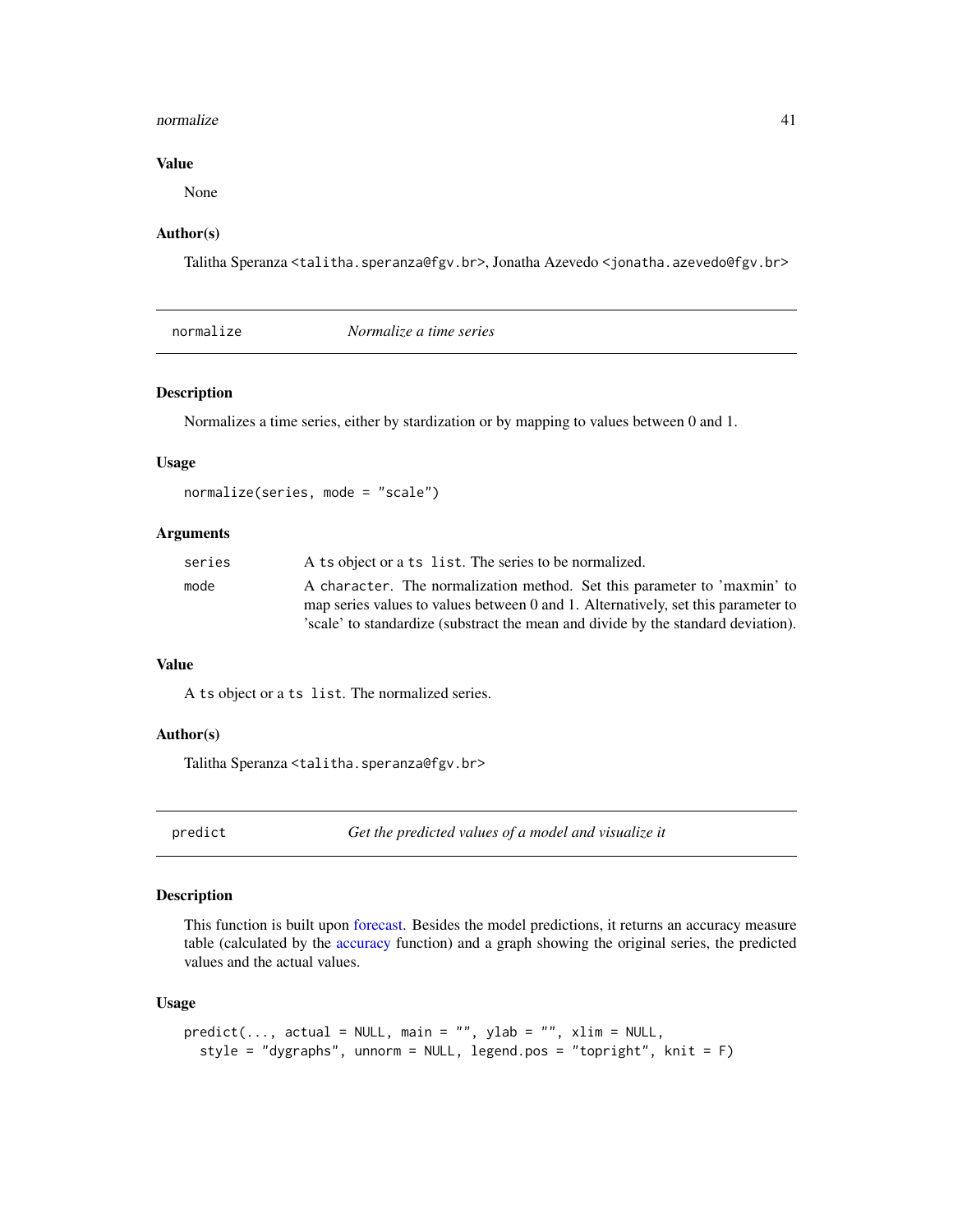#### <span id="page-40-0"></span>normalize the contract of the contract of the contract of the contract of the contract of the contract of the contract of the contract of the contract of the contract of the contract of the contract of the contract of the

# Value

None

#### Author(s)

Talitha Speranza <talitha.speranza@fgv.br>, Jonatha Azevedo <jonatha.azevedo@fgv.br>

| Normalize a time series |
|-------------------------|
|-------------------------|

#### Description

Normalizes a time series, either by stardization or by mapping to values between 0 and 1.

#### Usage

normalize(series, mode = "scale")

#### **Arguments**

| series | A ts object or a ts list. The series to be normalized.                            |
|--------|-----------------------------------------------------------------------------------|
| mode   | A character. The normalization method. Set this parameter to 'maxmin' to          |
|        | map series values to values between 0 and 1. Alternatively, set this parameter to |
|        | 'scale' to standardize (substract the mean and divide by the standard deviation). |

#### Value

A ts object or a ts list. The normalized series.

# Author(s)

Talitha Speranza <talitha.speranza@fgv.br>

predict *Get the predicted values of a model and visualize it*

#### Description

This function is built upon [forecast.](#page-0-0) Besides the model predictions, it returns an accuracy measure table (calculated by the [accuracy](#page-0-0) function) and a graph showing the original series, the predicted values and the actual values.

# Usage

```
predict(..., actual = NULL, main = "", ylab = "", xlim = NULL,style = "dygraphs", unnorm = NULL, legend.pos = "topright", knit = F)
```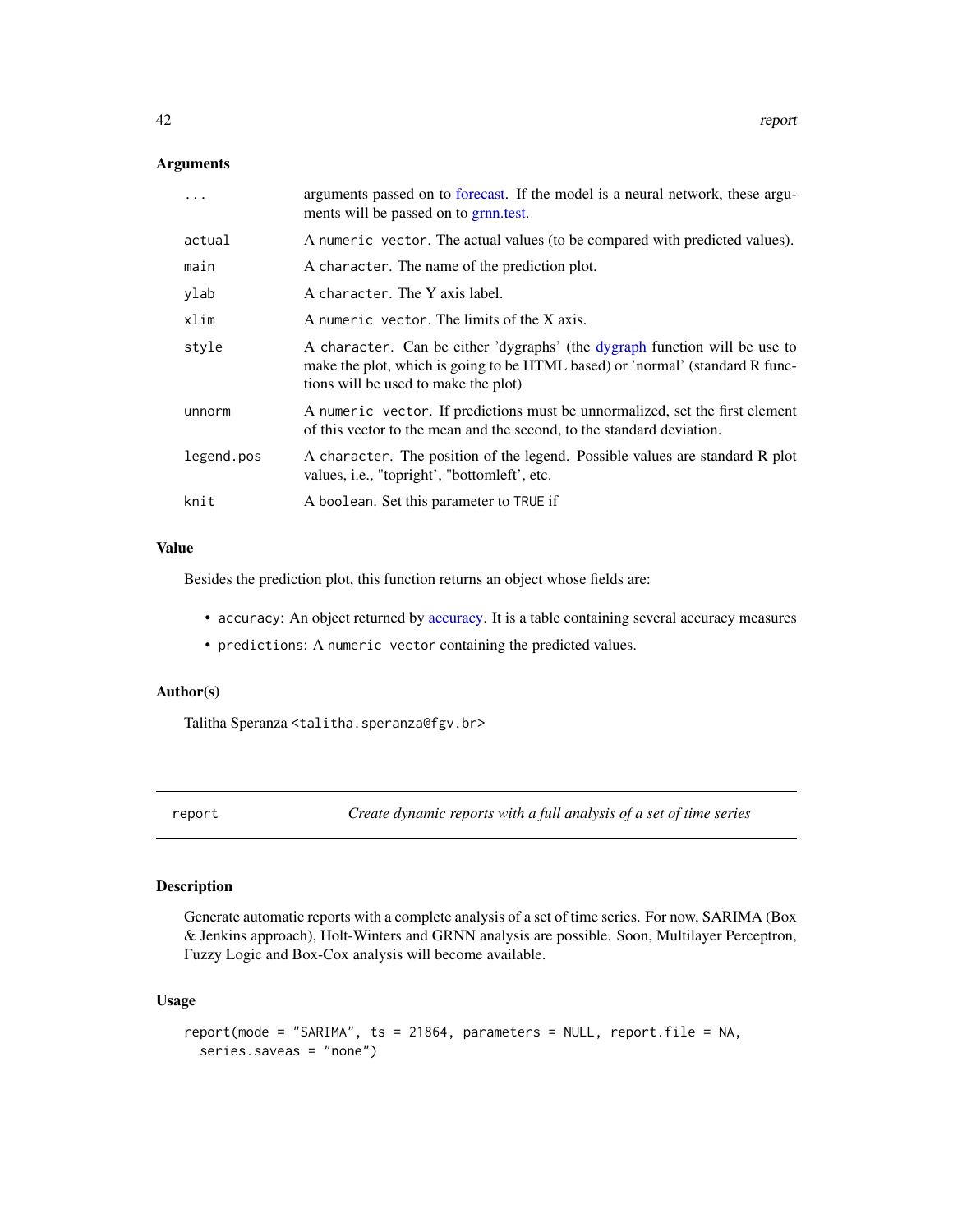### <span id="page-41-0"></span>Arguments

|            | arguments passed on to forecast. If the model is a neural network, these argu-<br>ments will be passed on to grnn.test.                                                                             |
|------------|-----------------------------------------------------------------------------------------------------------------------------------------------------------------------------------------------------|
| actual     | A numeric vector. The actual values (to be compared with predicted values).                                                                                                                         |
| main       | A character. The name of the prediction plot.                                                                                                                                                       |
| ylab       | A character. The Y axis label.                                                                                                                                                                      |
| xlim       | A numeric vector. The limits of the X axis.                                                                                                                                                         |
| style      | A character. Can be either 'dygraphs' (the dygraph function will be use to<br>make the plot, which is going to be HTML based) or 'normal' (standard R func-<br>tions will be used to make the plot) |
| unnorm     | A numeric vector. If predictions must be unnormalized, set the first element<br>of this vector to the mean and the second, to the standard deviation.                                               |
| legend.pos | A character. The position of the legend. Possible values are standard R plot<br>values, <i>i.e.</i> , "topright', "bottomleft', etc.                                                                |
| knit       | A boolean. Set this parameter to TRUE if                                                                                                                                                            |

# Value

Besides the prediction plot, this function returns an object whose fields are:

- accuracy: An object returned by [accuracy.](#page-0-0) It is a table containing several accuracy measures
- predictions: A numeric vector containing the predicted values.

#### Author(s)

Talitha Speranza <talitha.speranza@fgv.br>

report *Create dynamic reports with a full analysis of a set of time series*

#### Description

Generate automatic reports with a complete analysis of a set of time series. For now, SARIMA (Box & Jenkins approach), Holt-Winters and GRNN analysis are possible. Soon, Multilayer Perceptron, Fuzzy Logic and Box-Cox analysis will become available.

### Usage

```
report(mode = "SARIMA", ts = 21864, parameters = NULL, report.file = NA,
 series.saveas = "none")
```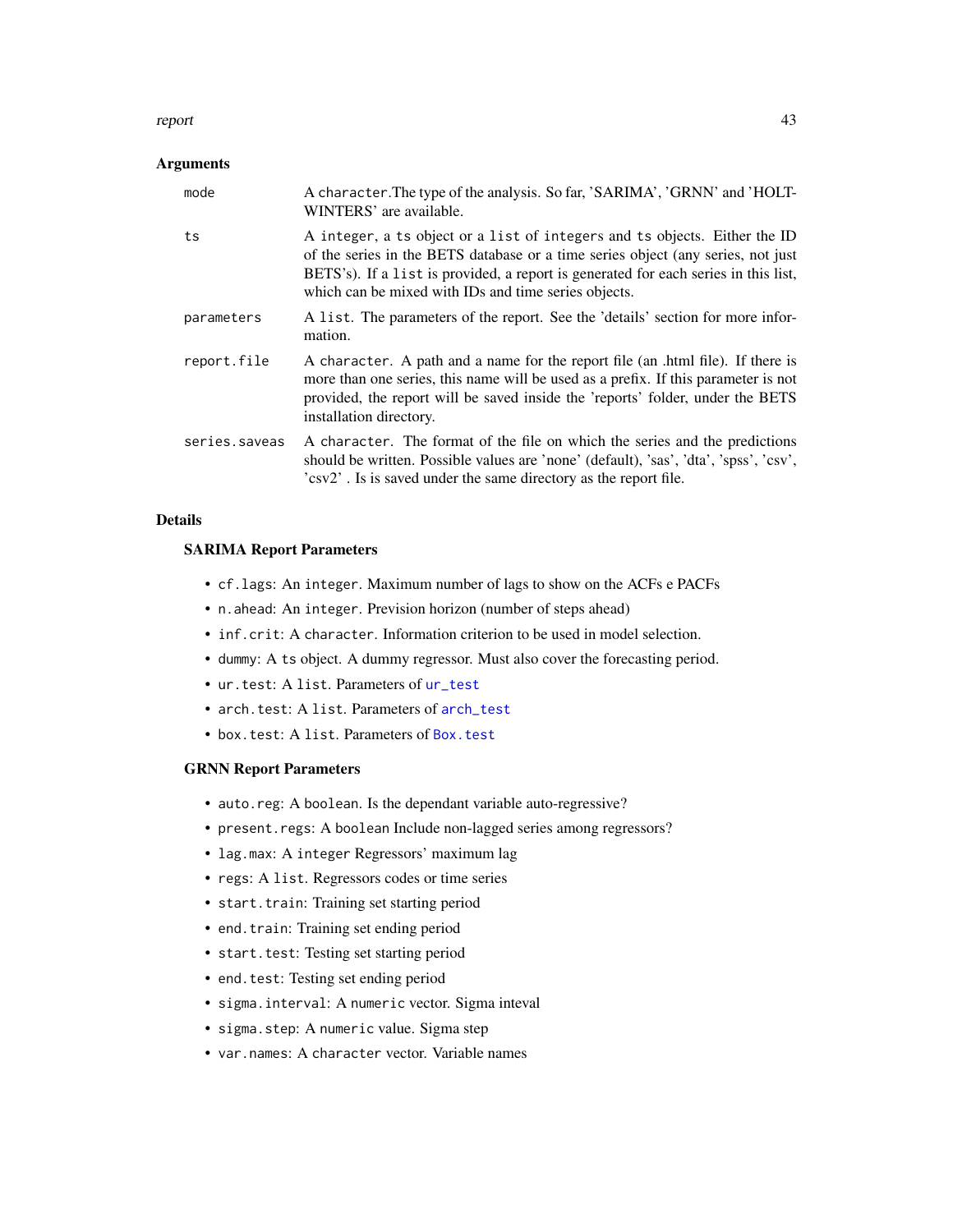#### <span id="page-42-0"></span>report 43

# Arguments

| mode          | A character. The type of the analysis. So far, 'SARIMA', 'GRNN' and 'HOLT-<br>WINTERS' are available.                                                                                                                                                                                                         |
|---------------|---------------------------------------------------------------------------------------------------------------------------------------------------------------------------------------------------------------------------------------------------------------------------------------------------------------|
| ts            | A integer, a ts object or a list of integers and ts objects. Either the ID<br>of the series in the BETS database or a time series object (any series, not just<br>BETS's). If a list is provided, a report is generated for each series in this list,<br>which can be mixed with IDs and time series objects. |
| parameters    | A list. The parameters of the report. See the 'details' section for more infor-<br>mation.                                                                                                                                                                                                                    |
| report.file   | A character. A path and a name for the report file (an .html file). If there is<br>more than one series, this name will be used as a prefix. If this parameter is not<br>provided, the report will be saved inside the 'reports' folder, under the BETS<br>installation directory.                            |
| series.saveas | A character. The format of the file on which the series and the predictions<br>should be written. Possible values are 'none' (default), 'sas', 'dta', 'spss', 'csv',<br>'csv2'. Is is saved under the same directory as the report file.                                                                      |

#### Details

# SARIMA Report Parameters

- cf.lags: An integer. Maximum number of lags to show on the ACFs e PACFs
- n.ahead: An integer. Prevision horizon (number of steps ahead)
- inf.crit: A character. Information criterion to be used in model selection.
- dummy: A ts object. A dummy regressor. Must also cover the forecasting period.
- ur.test: A list. Parameters of [ur\\_test](#page-51-1)
- arch.test: A list. Parameters of [arch\\_test](#page-2-1)
- box.test: A list. Parameters of [Box.test](#page-0-0)

#### GRNN Report Parameters

- auto.reg: A boolean. Is the dependant variable auto-regressive?
- present.regs: A boolean Include non-lagged series among regressors?
- lag.max: A integer Regressors' maximum lag
- regs: A list. Regressors codes or time series
- start.train: Training set starting period
- end.train: Training set ending period
- start.test: Testing set starting period
- end.test: Testing set ending period
- sigma.interval: A numeric vector. Sigma inteval
- sigma.step: A numeric value. Sigma step
- var.names: A character vector. Variable names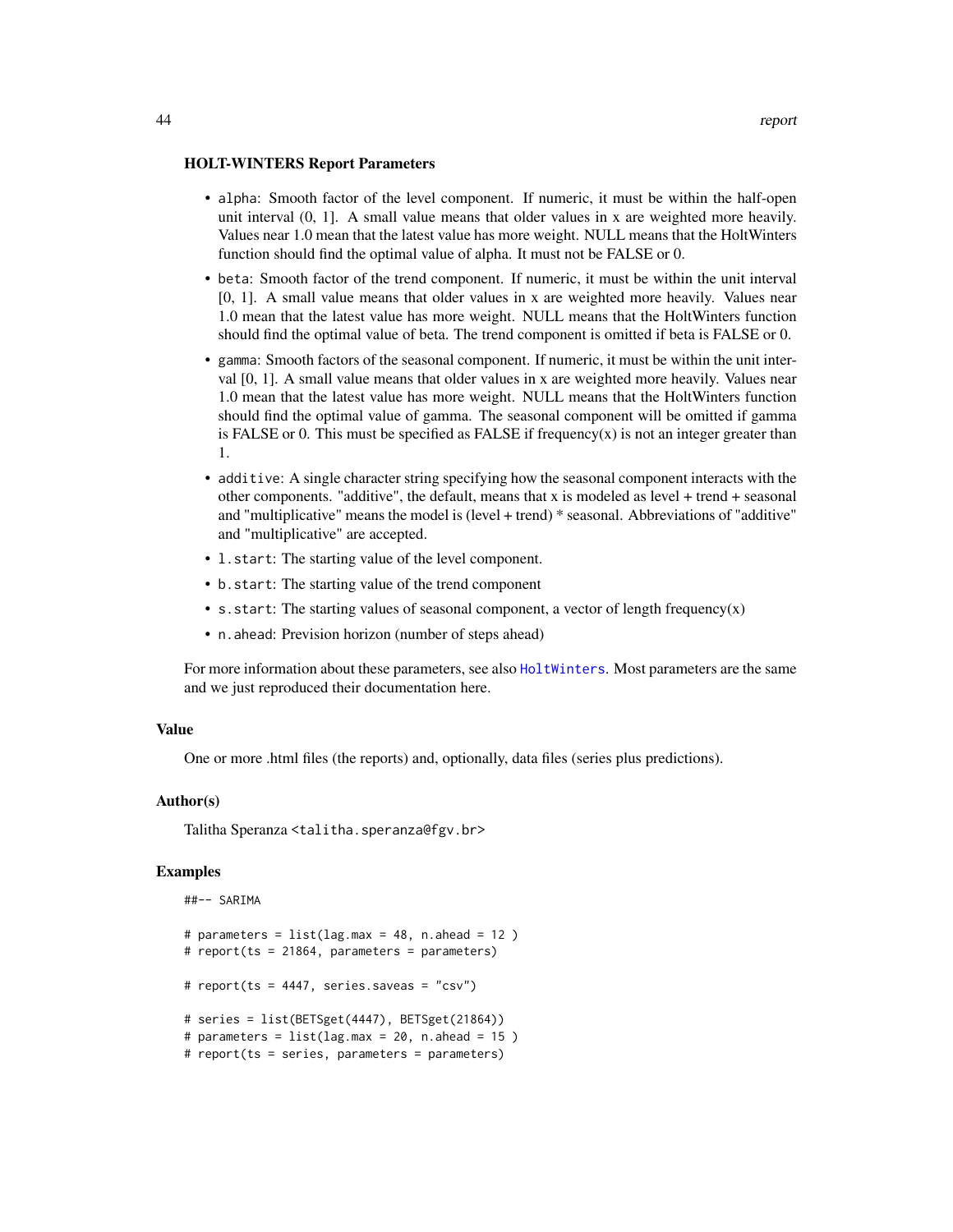- <span id="page-43-0"></span>• alpha: Smooth factor of the level component. If numeric, it must be within the half-open unit interval (0, 1]. A small value means that older values in x are weighted more heavily. Values near 1.0 mean that the latest value has more weight. NULL means that the HoltWinters function should find the optimal value of alpha. It must not be FALSE or 0.
- beta: Smooth factor of the trend component. If numeric, it must be within the unit interval [0, 1]. A small value means that older values in x are weighted more heavily. Values near 1.0 mean that the latest value has more weight. NULL means that the HoltWinters function should find the optimal value of beta. The trend component is omitted if beta is FALSE or 0.
- gamma: Smooth factors of the seasonal component. If numeric, it must be within the unit interval [0, 1]. A small value means that older values in x are weighted more heavily. Values near 1.0 mean that the latest value has more weight. NULL means that the HoltWinters function should find the optimal value of gamma. The seasonal component will be omitted if gamma is FALSE or 0. This must be specified as FALSE if frequency $(x)$  is not an integer greater than 1.
- additive: A single character string specifying how the seasonal component interacts with the other components. "additive", the default, means that x is modeled as level + trend + seasonal and "multiplicative" means the model is (level + trend) \* seasonal. Abbreviations of "additive" and "multiplicative" are accepted.
- l.start: The starting value of the level component.
- b.start: The starting value of the trend component
- s.start: The starting values of seasonal component, a vector of length frequency(x)
- n.ahead: Prevision horizon (number of steps ahead)

For more information about these parameters, see also [HoltWinters](#page-0-0). Most parameters are the same and we just reproduced their documentation here.

#### Value

One or more .html files (the reports) and, optionally, data files (series plus predictions).

#### Author(s)

Talitha Speranza <talitha.speranza@fgv.br>

#### Examples

```
##-- SARIMA
# parameters = list(\text{lag.max} = 48, n. \text{ ahead} = 12)# report(ts = 21864, parameters = parameters)
# report(ts = 4447, series.saveas = "csv")
# series = list(BETSget(4447), BETSget(21864))
# parameters = list(\text{lag.max = 20, n. ahead = 15 )}# report(ts = series, parameters = parameters)
```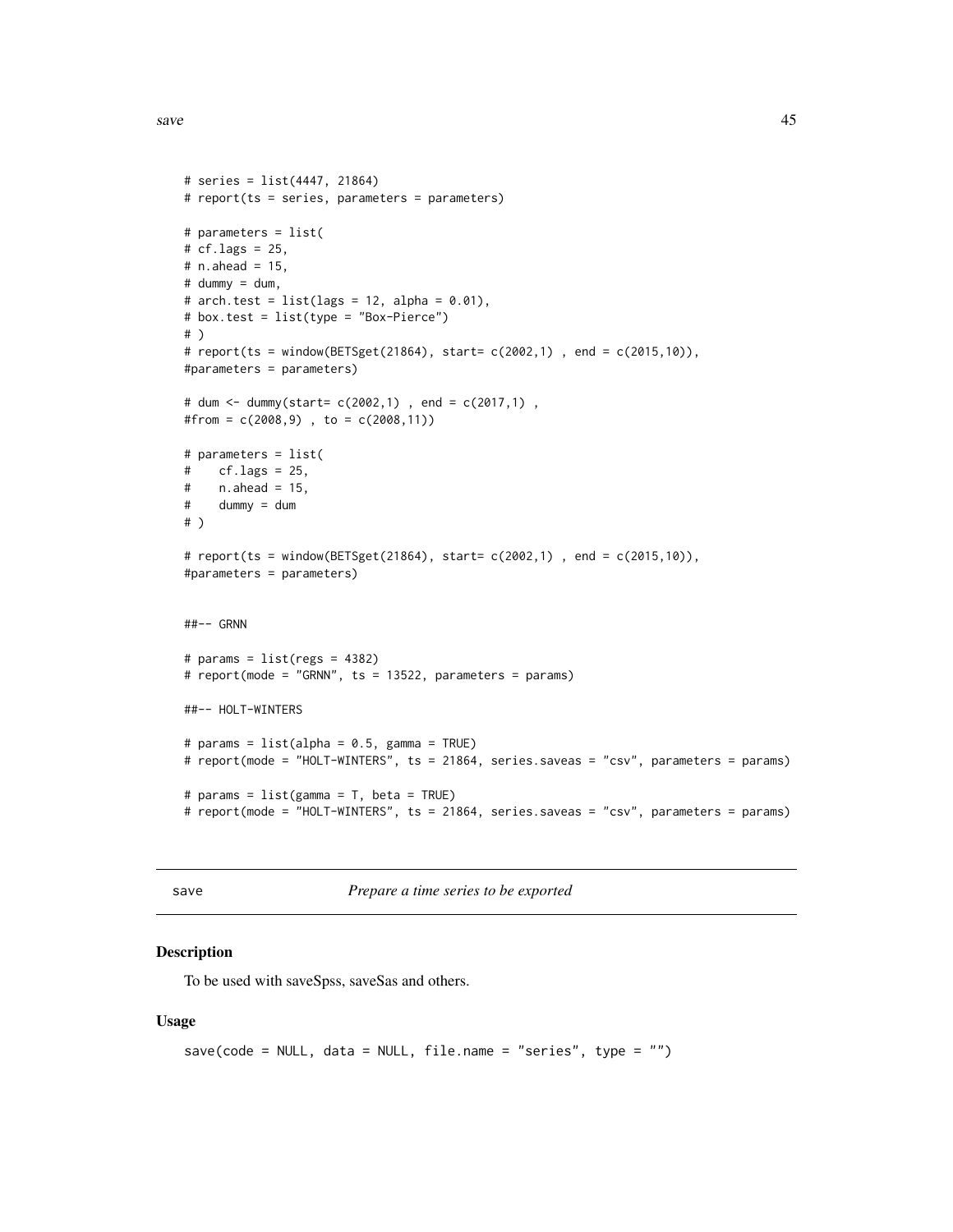<span id="page-44-0"></span> $s$ ave  $\frac{45}{3}$ 

```
# series = list(4447, 21864)
# report(ts = series, parameters = parameters)
# parameters = list(
# cf.lags = 25,
# n.ahead = 15,
# dummy = dum,
# arch.test = list(lags = 12, alpha = 0.01),
# box.test = list(type = "Box-Pierce")
# )
# report(ts = window(BETSget(21864), start= c(2002,1) , end = c(2015,10)),
#parameters = parameters)
# dum <- dummy(start= c(2002,1) , end = c(2017,1) ,
#from = c(2008,9) , to = c(2008,11))
# parameters = list(
# cf.lags = 25,
# n. ahead = 15,
# dummy = dum
# )
# report(ts = window(BETSget(21864), start= c(2002,1) , end = c(2015,10)),
#parameters = parameters)
##-- GRNN
# params = list(regs = 4382)
# report(mode = "GRNN", ts = 13522, parameters = params)
##-- HOLT-WINTERS
# params = list(alpha = 0.5, gamma = TRUE)
# report(mode = "HOLT-WINTERS", ts = 21864, series.saveas = "csv", parameters = params)
# params = list(gamma = T, beta = TRUE)
# report(mode = "HOLT-WINTERS", ts = 21864, series.saveas = "csv", parameters = params)
```
save *Prepare a time series to be exported*

#### Description

To be used with saveSpss, saveSas and others.

#### Usage

```
save(code = NULL, data = NULL, file.name = "series", type = "")
```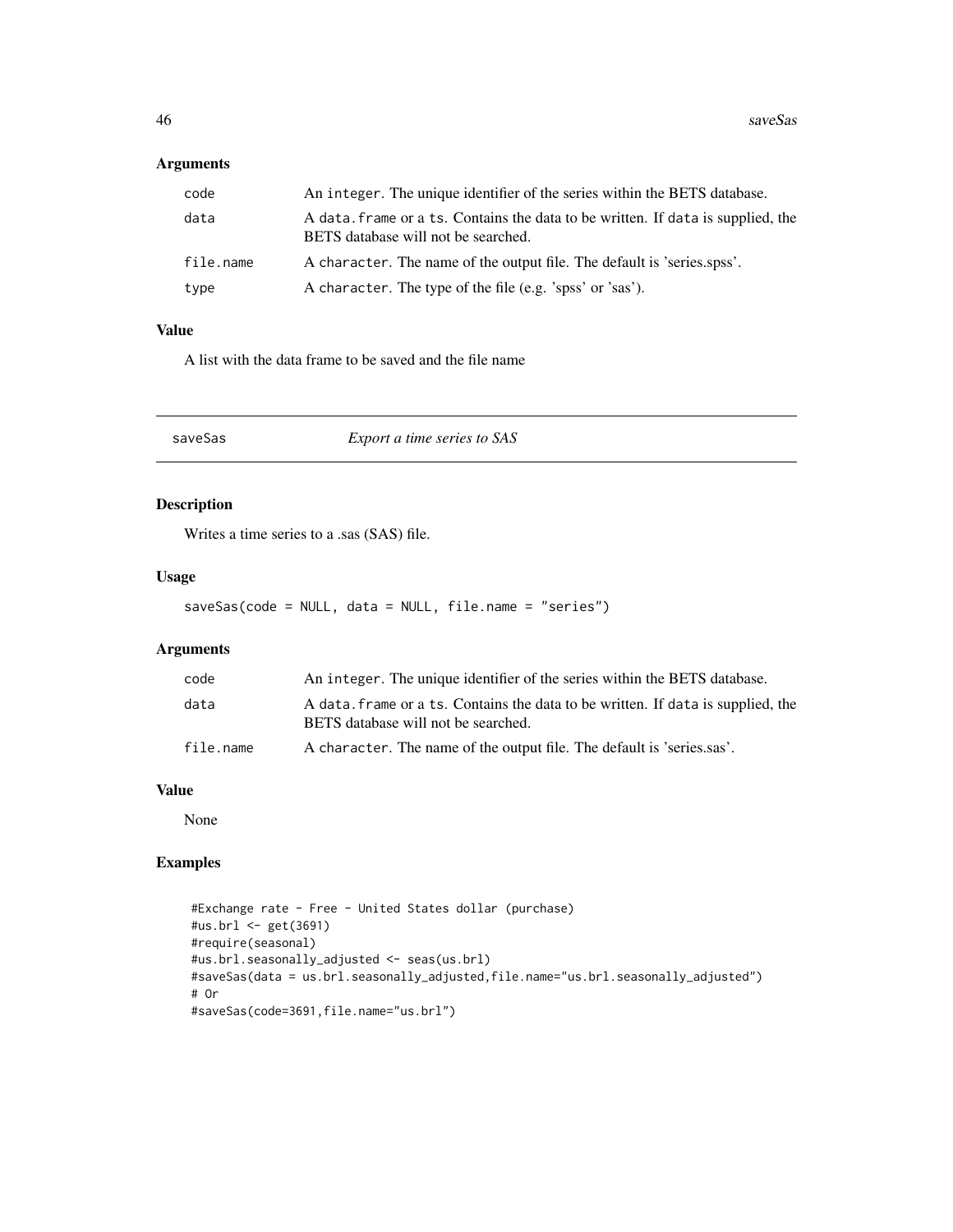# <span id="page-45-0"></span>Arguments

| code      | An integer. The unique identifier of the series within the BETS database.                                               |
|-----------|-------------------------------------------------------------------------------------------------------------------------|
| data      | A data, frame or a ts. Contains the data to be written. If data is supplied, the<br>BETS database will not be searched. |
| file.name | A character. The name of the output file. The default is 'series.spss'.                                                 |
| type      | A character. The type of the file (e.g. 'spss' or 'sas').                                                               |

#### Value

A list with the data frame to be saved and the file name

| saveSas | <i>Export a time series to SAS</i> |  |
|---------|------------------------------------|--|
|---------|------------------------------------|--|

# Description

Writes a time series to a .sas (SAS) file.

#### Usage

saveSas(code = NULL, data = NULL, file.name = "series")

# Arguments

| code      | An integer. The unique identifier of the series within the BETS database.                                               |
|-----------|-------------------------------------------------------------------------------------------------------------------------|
| data      | A data, frame or a ts. Contains the data to be written. If data is supplied, the<br>BETS database will not be searched. |
| file.name | A character. The name of the output file. The default is 'series.sas'.                                                  |

# Value

None

# Examples

```
#Exchange rate - Free - United States dollar (purchase)
#us.brl <- get(3691)
#require(seasonal)
#us.brl.seasonally_adjusted <- seas(us.brl)
#saveSas(data = us.brl.seasonally_adjusted,file.name="us.brl.seasonally_adjusted")
# Or
#saveSas(code=3691,file.name="us.brl")
```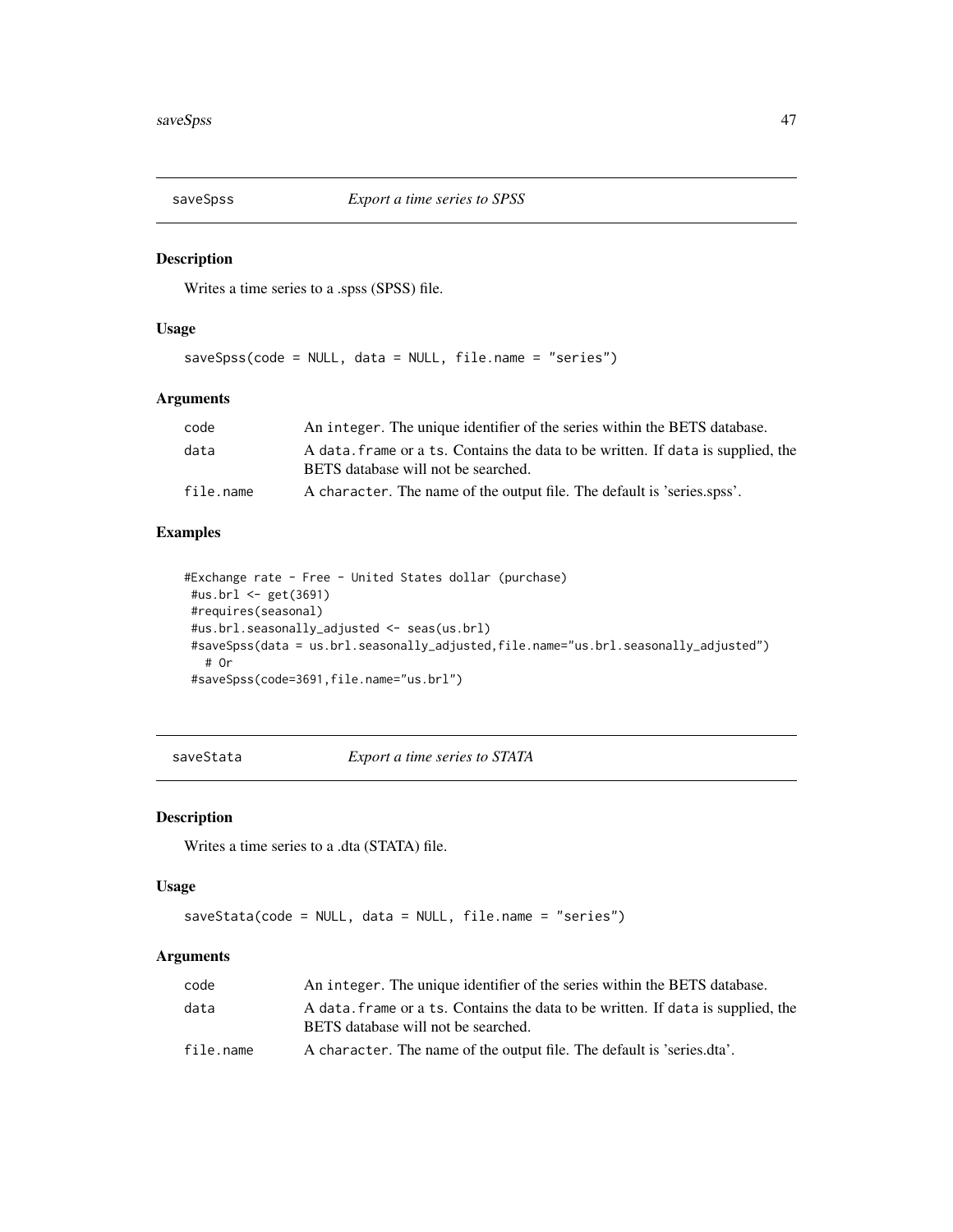<span id="page-46-0"></span>

Writes a time series to a .spss (SPSS) file.

#### Usage

saveSpss(code = NULL, data = NULL, file.name = "series")

#### Arguments

| code      | An integer. The unique identifier of the series within the BETS database.                                              |
|-----------|------------------------------------------------------------------------------------------------------------------------|
| data      | A data frame or a ts. Contains the data to be written. If data is supplied, the<br>BETS database will not be searched. |
| file.name | A character. The name of the output file. The default is 'series.spss'.                                                |

# Examples

```
#Exchange rate - Free - United States dollar (purchase)
#us.brl <- get(3691)
#requires(seasonal)
#us.brl.seasonally_adjusted <- seas(us.brl)
#saveSpss(data = us.brl.seasonally_adjusted,file.name="us.brl.seasonally_adjusted")
  # Or
#saveSpss(code=3691,file.name="us.brl")
```
saveStata *Export a time series to STATA*

#### Description

Writes a time series to a .dta (STATA) file.

#### Usage

```
saveStata(code = NULL, data = NULL, file.name = "series")
```

| code      | An integer. The unique identifier of the series within the BETS database.                                               |
|-----------|-------------------------------------------------------------------------------------------------------------------------|
| data      | A data, frame or a ts. Contains the data to be written. If data is supplied, the<br>BETS database will not be searched. |
| file.name | A character. The name of the output file. The default is 'series.dta'.                                                  |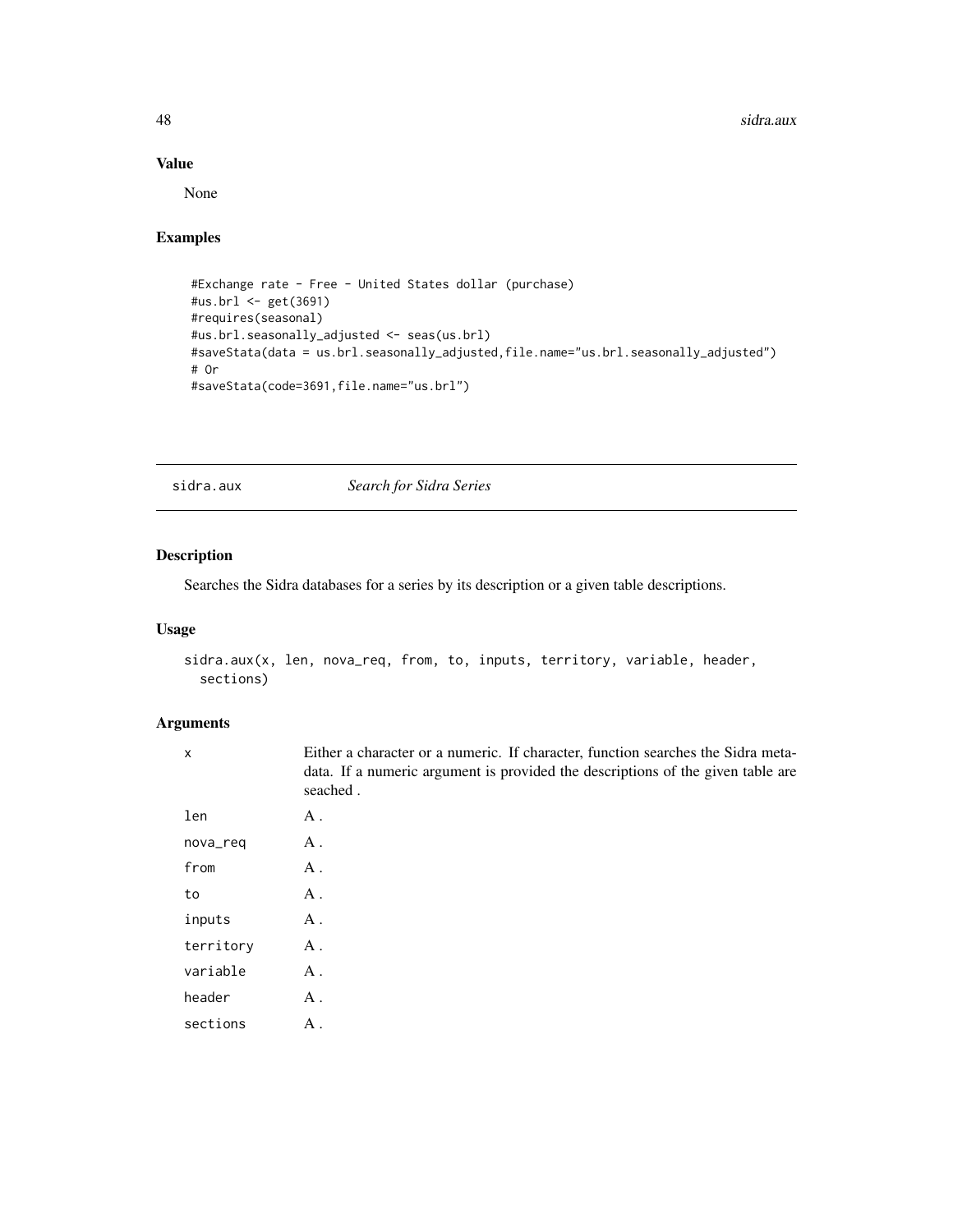#### Value

None

#### Examples

```
#Exchange rate - Free - United States dollar (purchase)
#us.brl <- get(3691)
#requires(seasonal)
#us.brl.seasonally_adjusted <- seas(us.brl)
#saveStata(data = us.brl.seasonally_adjusted,file.name="us.brl.seasonally_adjusted")
# Or
#saveStata(code=3691,file.name="us.brl")
```
sidra.aux *Search for Sidra Series*

# Description

Searches the Sidra databases for a series by its description or a given table descriptions.

#### Usage

```
sidra.aux(x, len, nova_req, from, to, inputs, territory, variable, header,
 sections)
```

| $\times$  | Either a character or a numeric. If character, function searches the Sidra meta-<br>data. If a numeric argument is provided the descriptions of the given table are<br>seached. |
|-----------|---------------------------------------------------------------------------------------------------------------------------------------------------------------------------------|
| len       | Α.                                                                                                                                                                              |
| nova_req  | A.                                                                                                                                                                              |
| from      | A .                                                                                                                                                                             |
| to        | A .                                                                                                                                                                             |
| inputs    | A.                                                                                                                                                                              |
| territory | $A$ .                                                                                                                                                                           |
| variable  | $A$ .                                                                                                                                                                           |
| header    | $A$ .                                                                                                                                                                           |
| sections  | A.                                                                                                                                                                              |
|           |                                                                                                                                                                                 |

<span id="page-47-0"></span>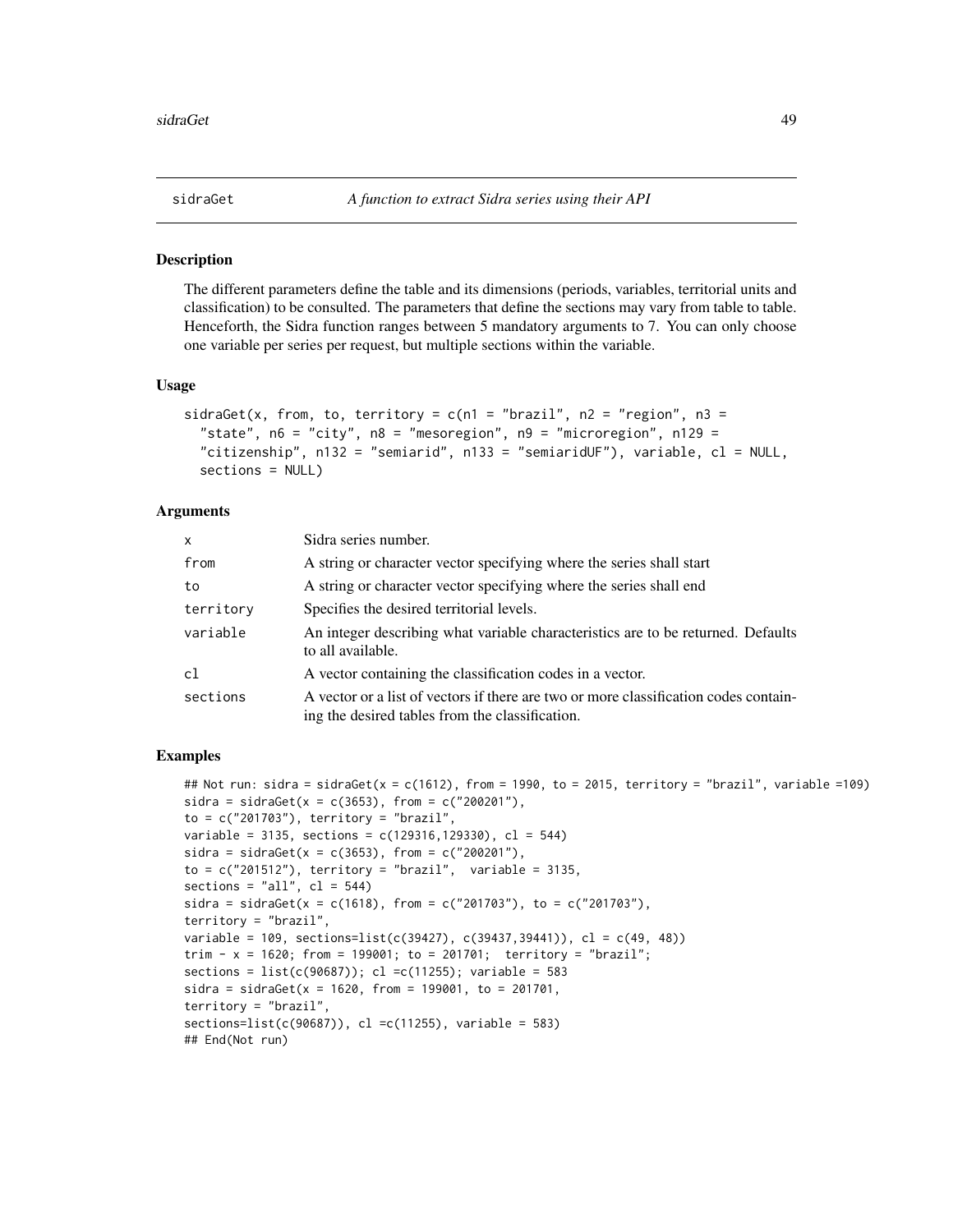<span id="page-48-0"></span>

The different parameters define the table and its dimensions (periods, variables, territorial units and classification) to be consulted. The parameters that define the sections may vary from table to table. Henceforth, the Sidra function ranges between 5 mandatory arguments to 7. You can only choose one variable per series per request, but multiple sections within the variable.

#### Usage

```
sidraGet(x, from, to, territory = c(n1 = "braz1", n2 = "region", n3 =
  "state", n6 = "city", n8 = "mesoregion", n9 = "microregion", n129 ="citizenship", n132 = "semiarid", n133 = "semiaridUF"), variable, cl = NULL,
  sections = NULL)
```
#### Arguments

| X         | Sidra series number.                                                                                                                    |
|-----------|-----------------------------------------------------------------------------------------------------------------------------------------|
| from      | A string or character vector specifying where the series shall start                                                                    |
| to        | A string or character vector specifying where the series shall end                                                                      |
| territory | Specifies the desired territorial levels.                                                                                               |
| variable  | An integer describing what variable characteristics are to be returned. Defaults<br>to all available.                                   |
| cl        | A vector containing the classification codes in a vector.                                                                               |
| sections  | A vector or a list of vectors if there are two or more classification codes contain-<br>ing the desired tables from the classification. |

#### Examples

```
## Not run: sidra = sidraGet(x = c(1612), from = 1990, to = 2015, territory = "brazil", variable =109)
sidra = sidraGet(x = c(3653), from = c("200201"),to = c("201703"), territory = "brazil",
variable = 3135, sections = c(129316, 129330), cl = 544)
sidra = sidraGet(x = c(3653), from = c("200201"),to = c("201512"), territory = "brazil", variable = 3135,
sections = "all", cl = 544)sidra = sidraGet(x = c(1618), from = c("201703"), to = c("201703"),
territory = "brazil",
variable = 109, sections=list(c(39427), c(39437,39441)), cl = c(49, 48))
trim - x = 1620; from = 199001; to = 201701; territory = "brazil";
sections = list(c(90687)); cl = c(11255); variable = 583sidra = sidraGet(x = 1620, from = 199001, to = 201701,territory = "brazil",
sections=list(c(90687)), cl =c(11255), variable = 583)
## End(Not run)
```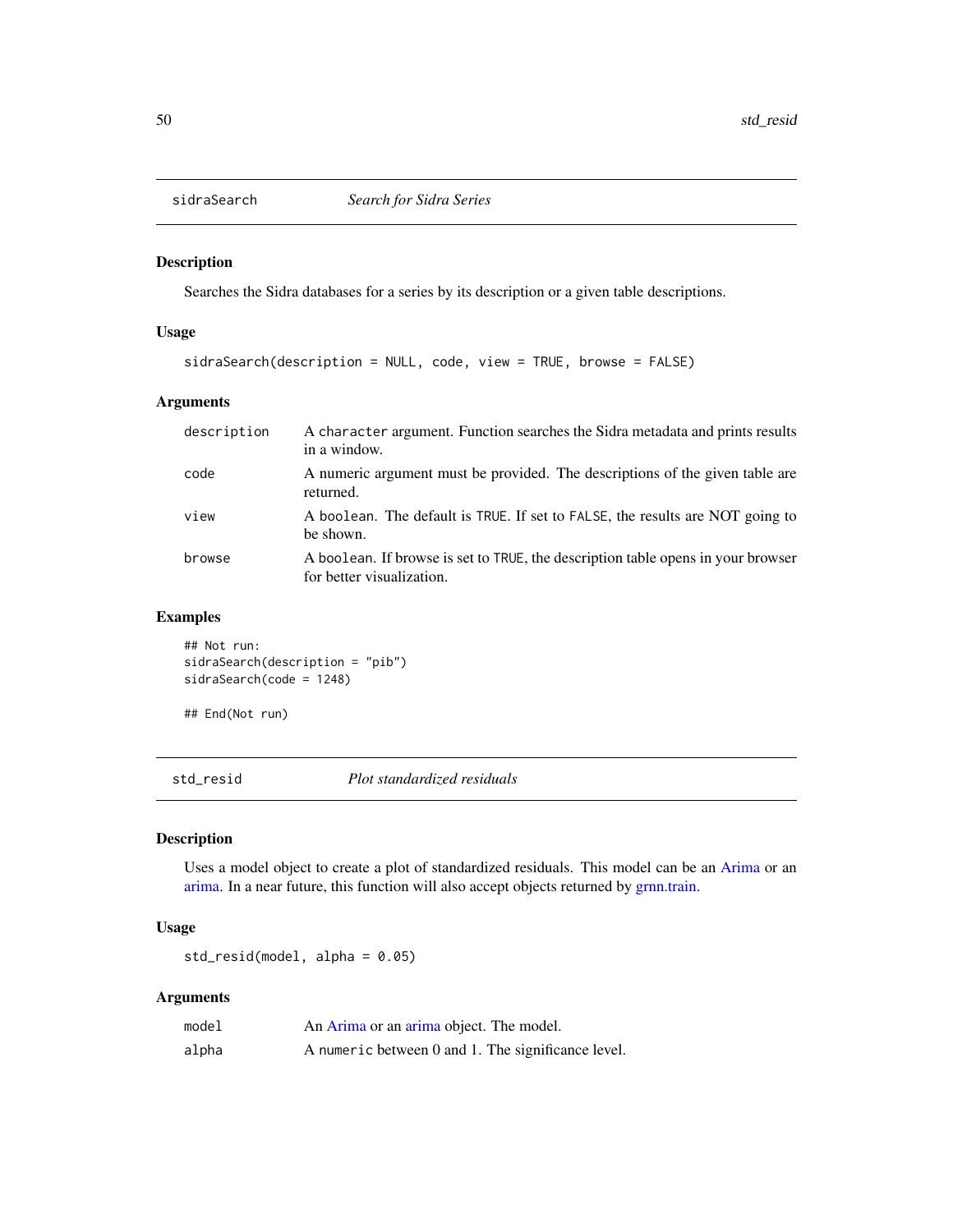<span id="page-49-0"></span>

Searches the Sidra databases for a series by its description or a given table descriptions.

# Usage

```
sidraSearch(description = NULL, code, view = TRUE, browse = FALSE)
```
# Arguments

| description | A character argument. Function searches the Sidra metadata and prints results<br>in a window.                 |
|-------------|---------------------------------------------------------------------------------------------------------------|
| code        | A numeric argument must be provided. The descriptions of the given table are<br>returned.                     |
| view        | A boolean. The default is TRUE. If set to FALSE, the results are NOT going to<br>be shown.                    |
| browse      | A boolean. If browse is set to TRUE, the description table opens in your browser<br>for better visualization. |

#### Examples

```
## Not run:
sidraSearch(description = "pib")
sidraSearch(code = 1248)
```
## End(Not run)

std\_resid *Plot standardized residuals*

# Description

Uses a model object to create a plot of standardized residuals. This model can be an [Arima](#page-0-0) or an [arima.](#page-0-0) In a near future, this function will also accept objects returned by [grnn.train.](#page-38-1)

# Usage

std\_resid(model, alpha = 0.05)

| model | An Arima or an arima object. The model.            |
|-------|----------------------------------------------------|
| alpha | A numeric between 0 and 1. The significance level. |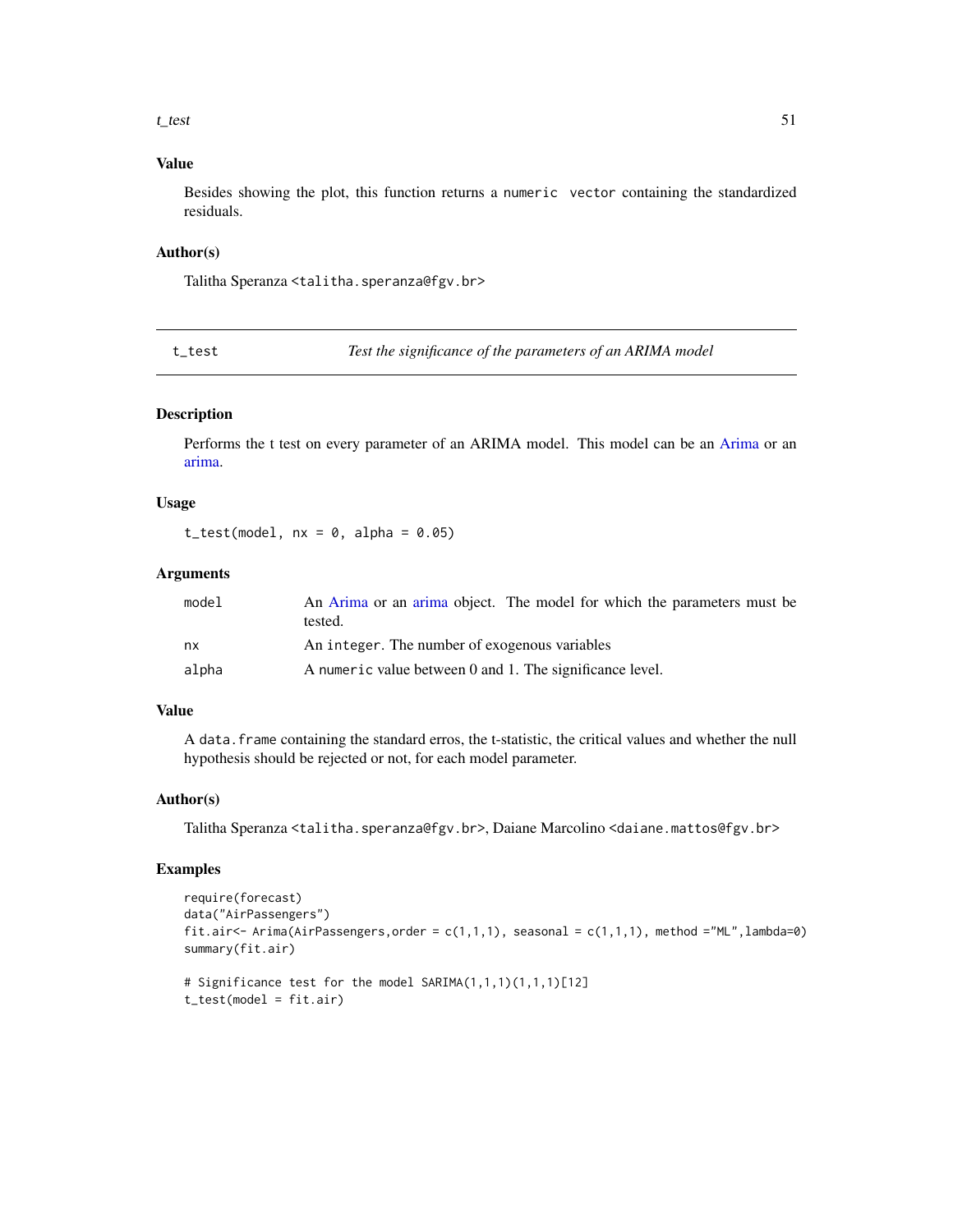#### <span id="page-50-0"></span> $t_{\text{test}}$  51

# Value

Besides showing the plot, this function returns a numeric vector containing the standardized residuals.

#### Author(s)

Talitha Speranza <talitha.speranza@fgv.br>

t\_test *Test the significance of the parameters of an ARIMA model*

#### Description

Performs the t test on every parameter of an ARIMA model. This model can be an [Arima](#page-0-0) or an [arima.](#page-0-0)

#### Usage

 $t_test(model, nx = 0, alpha = 0.05)$ 

# Arguments

| model | An Arima or an arima object. The model for which the parameters must be<br>tested. |
|-------|------------------------------------------------------------------------------------|
| nx    | An integer. The number of exogenous variables                                      |
| alpha | A numeric value between 0 and 1. The significance level.                           |

#### Value

A data.frame containing the standard erros, the t-statistic, the critical values and whether the null hypothesis should be rejected or not, for each model parameter.

#### Author(s)

Talitha Speranza <talitha.speranza@fgv.br>, Daiane Marcolino <daiane.mattos@fgv.br>

#### Examples

```
require(forecast)
data("AirPassengers")
fit.air <- Arima(AirPassengers, order = c(1,1,1), seasonal = c(1,1,1), method ="ML", lambda=0)
summary(fit.air)
# Significance test for the model SARIMA(1,1,1)(1,1,1)[12]
t_test(model = fit.air)
```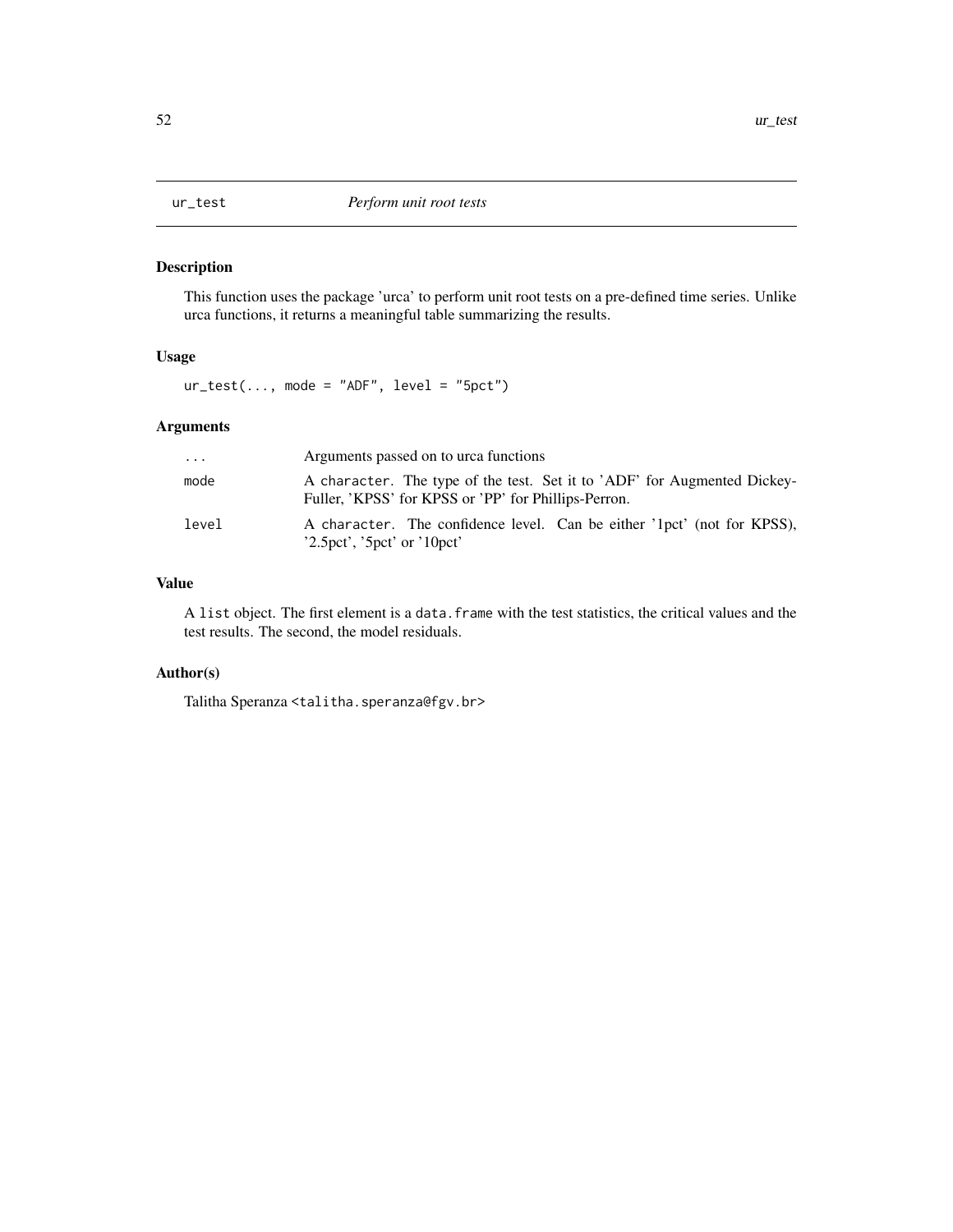<span id="page-51-1"></span><span id="page-51-0"></span>

This function uses the package 'urca' to perform unit root tests on a pre-defined time series. Unlike urca functions, it returns a meaningful table summarizing the results.

#### Usage

 $ur_test(..., mode = "ADF", level = "5pct")$ 

# Arguments

| $\cdot$ | Arguments passed on to urca functions                                                                                            |
|---------|----------------------------------------------------------------------------------------------------------------------------------|
| mode    | A character. The type of the test. Set it to 'ADF' for Augmented Dickey-<br>Fuller, 'KPSS' for KPSS or 'PP' for Phillips-Perron. |
| level   | A character. The confidence level. Can be either '1pct' (not for KPSS),<br>$2.5$ pct', '5pct' or '10pct'                         |

#### Value

A list object. The first element is a data. frame with the test statistics, the critical values and the test results. The second, the model residuals.

#### Author(s)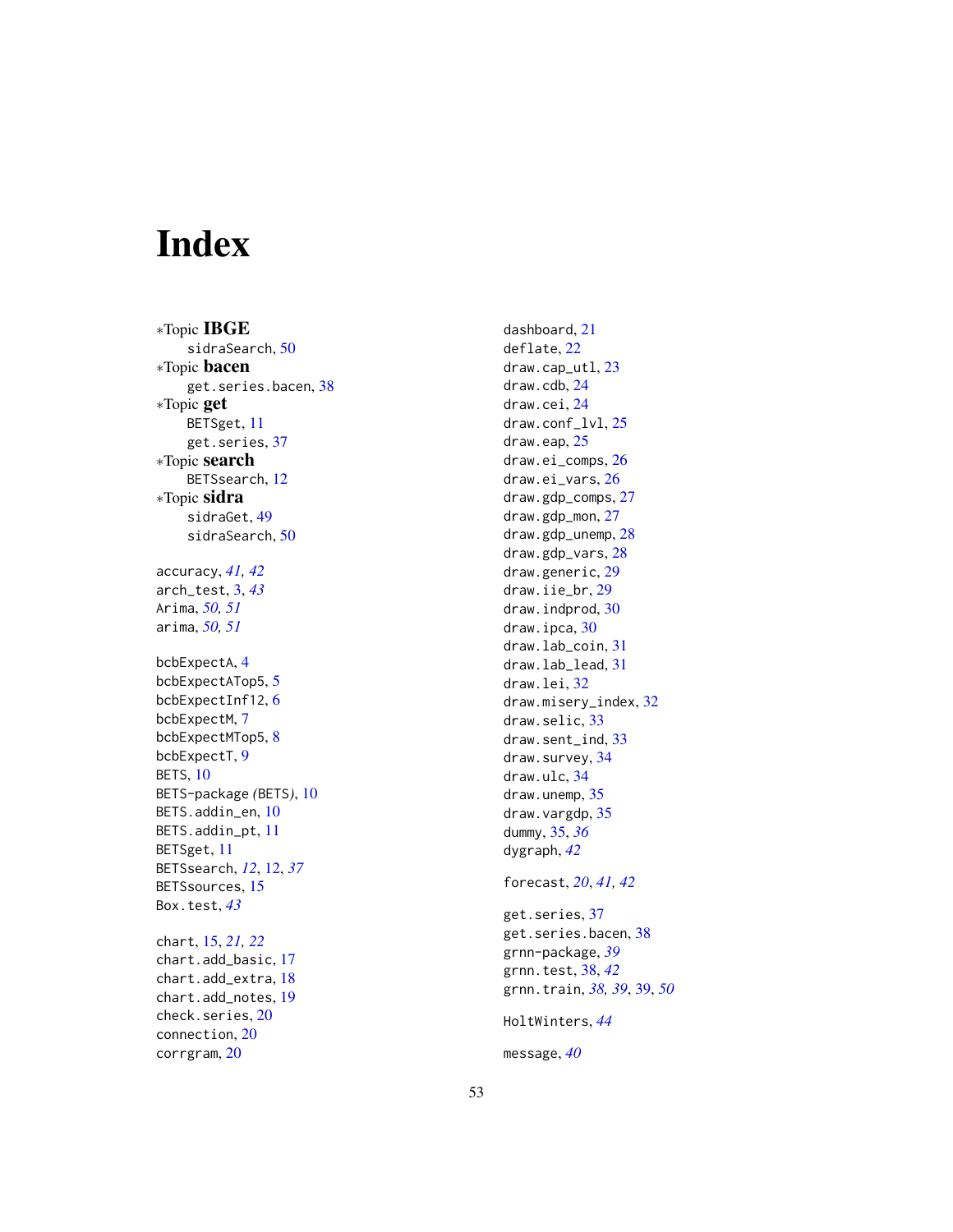# <span id="page-52-0"></span>Index

∗Topic IBGE sidraSearch , [50](#page-49-0) ∗Topic bacen get.series.bacen , [38](#page-37-0) ∗Topic get BETSget , [11](#page-10-0) get.series , [37](#page-36-0) ∗Topic search BETSsearch , [12](#page-11-0) ∗Topic sidra sidraGet , [49](#page-48-0) sidraSearch , [50](#page-49-0) accuracy , *[41](#page-40-0) , [42](#page-41-0)* arch\_test , [3](#page-2-0) , *[43](#page-42-0)* Arima , *[50](#page-49-0) , [51](#page-50-0)* arima , *[50](#page-49-0) , [51](#page-50-0)* bcbExpectA, [4](#page-3-0) bcbExpectATop[5](#page-4-0), 5 bcbExpectInf12 , [6](#page-5-0) bcbExpectM, [7](#page-6-0) bcbExpectMTop5, [8](#page-7-0) bcbExpectT, [9](#page-8-0) BETS, [10](#page-9-0) BETS-package *(*BETS *)* , [10](#page-9-0) BETS.addin\_en, [10](#page-9-0) BETS.addin\_pt , [11](#page-10-0) BETSget , [11](#page-10-0) BETSsearch , *[12](#page-11-0)* , [12](#page-11-0) , *[37](#page-36-0)* BETSsources, [15](#page-14-0) Box.test , *[43](#page-42-0)* chart , [15](#page-14-0) , *[21](#page-20-0) , [22](#page-21-0)* chart.add\_basic , [17](#page-16-0) chart.add\_extra , [18](#page-17-0) chart.add\_notes , [19](#page-18-0) check.series, [20](#page-19-0) connection , [20](#page-19-0) corrgram , [20](#page-19-0)

dashboard , [21](#page-20-0) deflate , [22](#page-21-0) draw.cap\_utl , [23](#page-22-0) draw.cdb , [24](#page-23-0) draw.cei , [24](#page-23-0) draw.conf\_lvl, [25](#page-24-0) draw.eap, [25](#page-24-0) draw.ei\_comps , [26](#page-25-0) draw.ei\_vars , [26](#page-25-0) draw.gdp\_comps , [27](#page-26-0) draw.gdp\_mon, [27](#page-26-0) draw.gdp\_unemp , [28](#page-27-0) draw.gdp\_vars, [28](#page-27-0) draw.generic, 2<mark>9</mark> draw.iie\_br , [29](#page-28-0) draw.indprod, [30](#page-29-0) draw.ipca, [30](#page-29-0) draw.lab\_coin , [31](#page-30-0) draw.lab\_lead , [31](#page-30-0) draw.lei , [32](#page-31-0) draw.misery\_index , [32](#page-31-0) draw.selic, [33](#page-32-0) draw.sent\_ind, [33](#page-32-0) draw.survey, [34](#page-33-0) draw.ulc , [34](#page-33-0) draw.unemp, [35](#page-34-0) draw.vargdp, [35](#page-34-0) dummy , [35](#page-34-0) , *[36](#page-35-0)* dygraph , *[42](#page-41-0)* forecast , *[20](#page-19-0)* , *[41](#page-40-0) , [42](#page-41-0)* get.series, [37](#page-36-0) get.series.bacen , [38](#page-37-0) grnn-package , *[39](#page-38-0)* grnn.test , [38](#page-37-0) , *[42](#page-41-0)* grnn.train , *[38](#page-37-0) , [39](#page-38-0)* , [39](#page-38-0) , *[50](#page-49-0)* HoltWinters , *[44](#page-43-0)*

message , *[40](#page-39-0)*